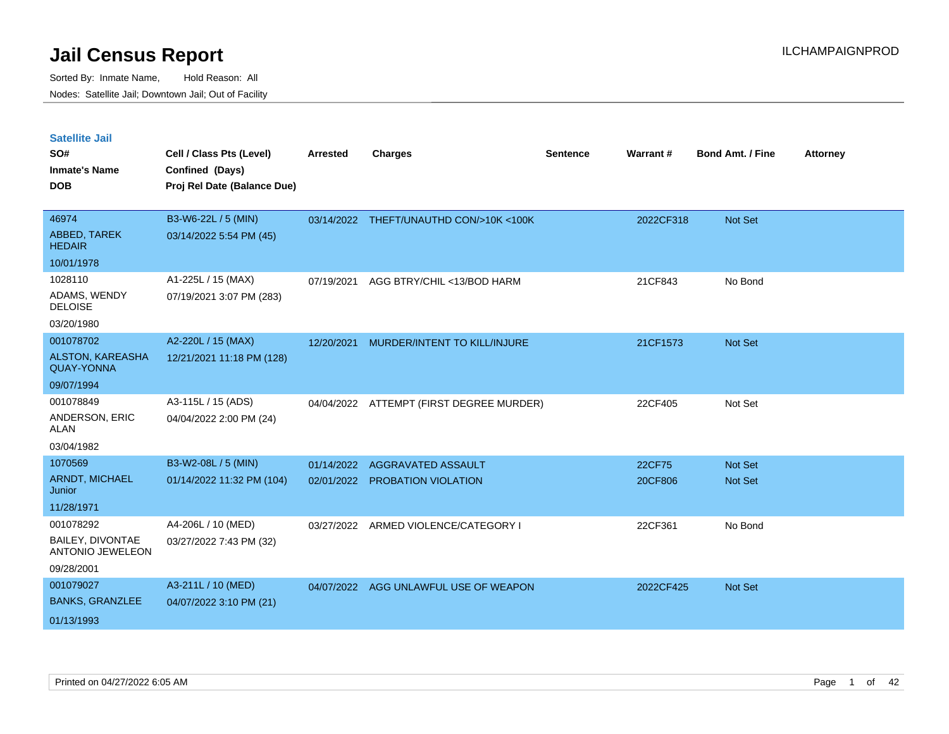Sorted By: Inmate Name, Hold Reason: All Nodes: Satellite Jail; Downtown Jail; Out of Facility

| <b>Satellite Jail</b>                              |                             |                 |                                         |                 |           |                         |                 |
|----------------------------------------------------|-----------------------------|-----------------|-----------------------------------------|-----------------|-----------|-------------------------|-----------------|
| SO#                                                | Cell / Class Pts (Level)    | <b>Arrested</b> | <b>Charges</b>                          | <b>Sentence</b> | Warrant#  | <b>Bond Amt. / Fine</b> | <b>Attorney</b> |
| <b>Inmate's Name</b>                               | Confined (Days)             |                 |                                         |                 |           |                         |                 |
| <b>DOB</b>                                         | Proj Rel Date (Balance Due) |                 |                                         |                 |           |                         |                 |
| 46974                                              | B3-W6-22L / 5 (MIN)         |                 | 03/14/2022 THEFT/UNAUTHD CON/>10K <100K |                 | 2022CF318 | Not Set                 |                 |
| ABBED, TAREK<br><b>HEDAIR</b>                      | 03/14/2022 5:54 PM (45)     |                 |                                         |                 |           |                         |                 |
| 10/01/1978                                         |                             |                 |                                         |                 |           |                         |                 |
| 1028110                                            | A1-225L / 15 (MAX)          | 07/19/2021      | AGG BTRY/CHIL <13/BOD HARM              |                 | 21CF843   | No Bond                 |                 |
| ADAMS, WENDY<br><b>DELOISE</b>                     | 07/19/2021 3:07 PM (283)    |                 |                                         |                 |           |                         |                 |
| 03/20/1980                                         |                             |                 |                                         |                 |           |                         |                 |
| 001078702                                          | A2-220L / 15 (MAX)          | 12/20/2021      | MURDER/INTENT TO KILL/INJURE            |                 | 21CF1573  | <b>Not Set</b>          |                 |
| ALSTON, KAREASHA<br><b>QUAY-YONNA</b>              | 12/21/2021 11:18 PM (128)   |                 |                                         |                 |           |                         |                 |
| 09/07/1994                                         |                             |                 |                                         |                 |           |                         |                 |
| 001078849                                          | A3-115L / 15 (ADS)          | 04/04/2022      | ATTEMPT (FIRST DEGREE MURDER)           |                 | 22CF405   | Not Set                 |                 |
| ANDERSON, ERIC<br><b>ALAN</b>                      | 04/04/2022 2:00 PM (24)     |                 |                                         |                 |           |                         |                 |
| 03/04/1982                                         |                             |                 |                                         |                 |           |                         |                 |
| 1070569                                            | B3-W2-08L / 5 (MIN)         | 01/14/2022      | AGGRAVATED ASSAULT                      |                 | 22CF75    | Not Set                 |                 |
| ARNDT, MICHAEL<br>Junior                           | 01/14/2022 11:32 PM (104)   | 02/01/2022      | PROBATION VIOLATION                     |                 | 20CF806   | <b>Not Set</b>          |                 |
| 11/28/1971                                         |                             |                 |                                         |                 |           |                         |                 |
| 001078292                                          | A4-206L / 10 (MED)          | 03/27/2022      | ARMED VIOLENCE/CATEGORY I               |                 | 22CF361   | No Bond                 |                 |
| <b>BAILEY, DIVONTAE</b><br><b>ANTONIO JEWELEON</b> | 03/27/2022 7:43 PM (32)     |                 |                                         |                 |           |                         |                 |
| 09/28/2001                                         |                             |                 |                                         |                 |           |                         |                 |
| 001079027                                          | A3-211L / 10 (MED)          | 04/07/2022      | AGG UNLAWFUL USE OF WEAPON              |                 | 2022CF425 | <b>Not Set</b>          |                 |
| <b>BANKS, GRANZLEE</b>                             | 04/07/2022 3:10 PM (21)     |                 |                                         |                 |           |                         |                 |

01/13/1993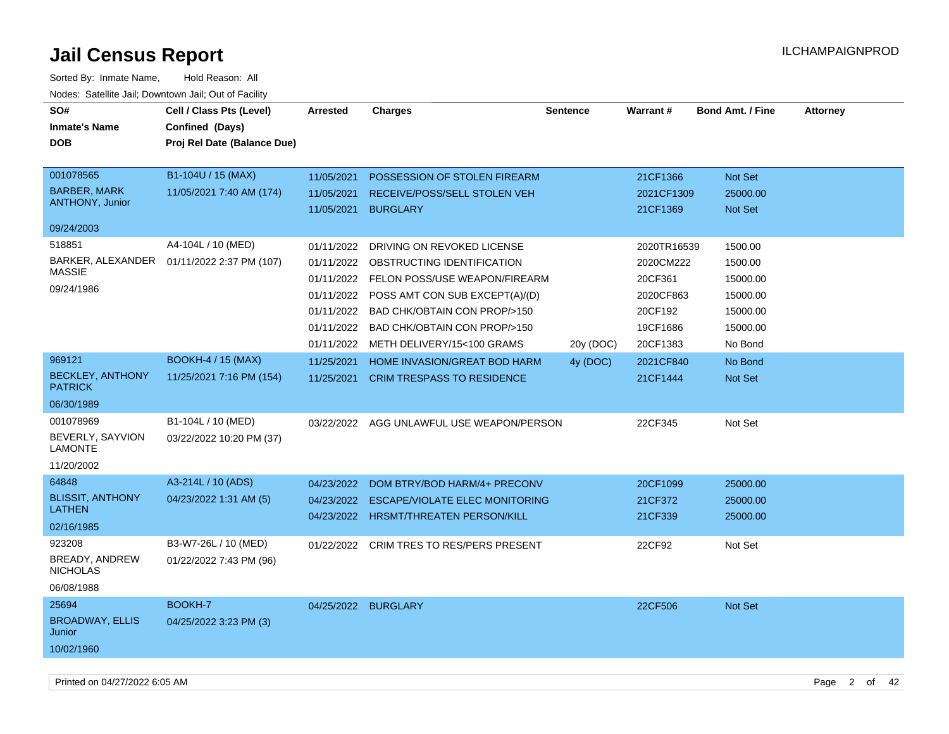| SO#<br><b>Inmate's Name</b><br><b>DOB</b><br>001078565            | Cell / Class Pts (Level)<br>Confined (Days)<br>Proj Rel Date (Balance Due)<br>B1-104U / 15 (MAX) | Arrested<br>11/05/2021                                                           | Charges<br>POSSESSION OF STOLEN FIREARM                                                                                                                                                                                                        | <b>Sentence</b> | Warrant#<br>21CF1366                                                                | <b>Bond Amt. / Fine</b><br>Not Set                                            | <b>Attorney</b> |
|-------------------------------------------------------------------|--------------------------------------------------------------------------------------------------|----------------------------------------------------------------------------------|------------------------------------------------------------------------------------------------------------------------------------------------------------------------------------------------------------------------------------------------|-----------------|-------------------------------------------------------------------------------------|-------------------------------------------------------------------------------|-----------------|
| <b>BARBER, MARK</b><br>ANTHONY, Junior                            | 11/05/2021 7:40 AM (174)                                                                         | 11/05/2021<br>11/05/2021                                                         | RECEIVE/POSS/SELL STOLEN VEH<br><b>BURGLARY</b>                                                                                                                                                                                                |                 | 2021CF1309<br>21CF1369                                                              | 25000.00<br><b>Not Set</b>                                                    |                 |
| 09/24/2003                                                        |                                                                                                  |                                                                                  |                                                                                                                                                                                                                                                |                 |                                                                                     |                                                                               |                 |
| 518851<br>BARKER, ALEXANDER<br><b>MASSIE</b><br>09/24/1986        | A4-104L / 10 (MED)<br>01/11/2022 2:37 PM (107)                                                   | 01/11/2022<br>01/11/2022<br>01/11/2022<br>01/11/2022<br>01/11/2022<br>01/11/2022 | DRIVING ON REVOKED LICENSE<br>OBSTRUCTING IDENTIFICATION<br>01/11/2022 FELON POSS/USE WEAPON/FIREARM<br>POSS AMT CON SUB EXCEPT(A)/(D)<br>BAD CHK/OBTAIN CON PROP/>150<br><b>BAD CHK/OBTAIN CON PROP/&gt;150</b><br>METH DELIVERY/15<100 GRAMS | 20y (DOC)       | 2020TR16539<br>2020CM222<br>20CF361<br>2020CF863<br>20CF192<br>19CF1686<br>20CF1383 | 1500.00<br>1500.00<br>15000.00<br>15000.00<br>15000.00<br>15000.00<br>No Bond |                 |
| 969121<br><b>BECKLEY, ANTHONY</b><br><b>PATRICK</b><br>06/30/1989 | <b>BOOKH-4 / 15 (MAX)</b><br>11/25/2021 7:16 PM (154)                                            | 11/25/2021<br>11/25/2021                                                         | HOME INVASION/GREAT BOD HARM<br><b>CRIM TRESPASS TO RESIDENCE</b>                                                                                                                                                                              | 4y (DOC)        | 2021CF840<br>21CF1444                                                               | No Bond<br>Not Set                                                            |                 |
| 001078969<br>BEVERLY, SAYVION<br><b>LAMONTE</b><br>11/20/2002     | B1-104L / 10 (MED)<br>03/22/2022 10:20 PM (37)                                                   |                                                                                  | 03/22/2022 AGG UNLAWFUL USE WEAPON/PERSON                                                                                                                                                                                                      |                 | 22CF345                                                                             | Not Set                                                                       |                 |
| 64848<br><b>BLISSIT, ANTHONY</b><br><b>LATHEN</b><br>02/16/1985   | A3-214L / 10 (ADS)<br>04/23/2022 1:31 AM (5)                                                     | 04/23/2022<br>04/23/2022<br>04/23/2022                                           | DOM BTRY/BOD HARM/4+ PRECONV<br><b>ESCAPE/VIOLATE ELEC MONITORING</b><br><b>HRSMT/THREATEN PERSON/KILL</b>                                                                                                                                     |                 | 20CF1099<br>21CF372<br>21CF339                                                      | 25000.00<br>25000.00<br>25000.00                                              |                 |
| 923208<br>BREADY, ANDREW<br><b>NICHOLAS</b><br>06/08/1988         | B3-W7-26L / 10 (MED)<br>01/22/2022 7:43 PM (96)                                                  | 01/22/2022                                                                       | <b>CRIM TRES TO RES/PERS PRESENT</b>                                                                                                                                                                                                           |                 | 22CF92                                                                              | Not Set                                                                       |                 |
| 25694<br><b>BROADWAY, ELLIS</b><br>Junior<br>10/02/1960           | BOOKH-7<br>04/25/2022 3:23 PM (3)                                                                |                                                                                  | 04/25/2022 BURGLARY                                                                                                                                                                                                                            |                 | 22CF506                                                                             | Not Set                                                                       |                 |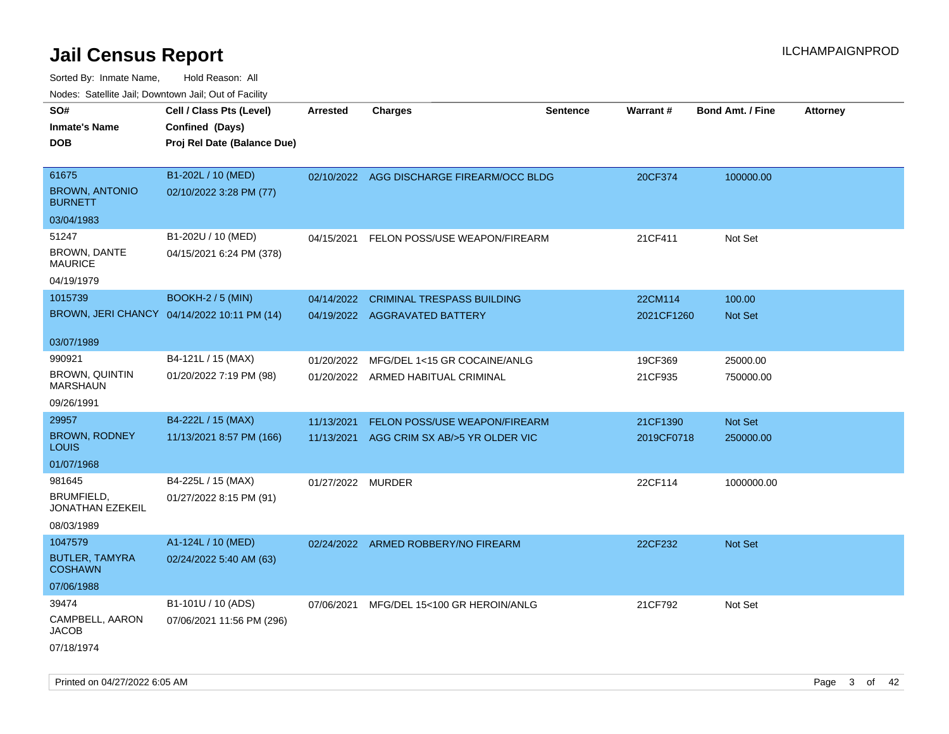| rouco. Calcinic Jan, Downtown Jan, Out of Facility |                                             |                   |                                           |                 |                 |                         |                 |
|----------------------------------------------------|---------------------------------------------|-------------------|-------------------------------------------|-----------------|-----------------|-------------------------|-----------------|
| SO#                                                | Cell / Class Pts (Level)                    | <b>Arrested</b>   | <b>Charges</b>                            | <b>Sentence</b> | <b>Warrant#</b> | <b>Bond Amt. / Fine</b> | <b>Attorney</b> |
| Inmate's Name                                      | Confined (Days)                             |                   |                                           |                 |                 |                         |                 |
| <b>DOB</b>                                         | Proj Rel Date (Balance Due)                 |                   |                                           |                 |                 |                         |                 |
|                                                    |                                             |                   |                                           |                 |                 |                         |                 |
| 61675                                              | B1-202L / 10 (MED)                          |                   | 02/10/2022 AGG DISCHARGE FIREARM/OCC BLDG |                 | 20CF374         | 100000.00               |                 |
| <b>BROWN, ANTONIO</b><br><b>BURNETT</b>            | 02/10/2022 3:28 PM (77)                     |                   |                                           |                 |                 |                         |                 |
| 03/04/1983                                         |                                             |                   |                                           |                 |                 |                         |                 |
| 51247                                              | B1-202U / 10 (MED)                          | 04/15/2021        | FELON POSS/USE WEAPON/FIREARM             |                 | 21CF411         | Not Set                 |                 |
| <b>BROWN, DANTE</b><br>MAURICE                     | 04/15/2021 6:24 PM (378)                    |                   |                                           |                 |                 |                         |                 |
| 04/19/1979                                         |                                             |                   |                                           |                 |                 |                         |                 |
| 1015739                                            | <b>BOOKH-2 / 5 (MIN)</b>                    | 04/14/2022        | <b>CRIMINAL TRESPASS BUILDING</b>         |                 | 22CM114         | 100.00                  |                 |
|                                                    | BROWN, JERI CHANCY 04/14/2022 10:11 PM (14) |                   | 04/19/2022 AGGRAVATED BATTERY             |                 | 2021CF1260      | <b>Not Set</b>          |                 |
|                                                    |                                             |                   |                                           |                 |                 |                         |                 |
| 03/07/1989                                         |                                             |                   |                                           |                 |                 |                         |                 |
| 990921                                             | B4-121L / 15 (MAX)                          | 01/20/2022        | MFG/DEL 1<15 GR COCAINE/ANLG              |                 | 19CF369         | 25000.00                |                 |
| BROWN, QUINTIN<br>MARSHAUN                         | 01/20/2022 7:19 PM (98)                     |                   | 01/20/2022 ARMED HABITUAL CRIMINAL        |                 | 21CF935         | 750000.00               |                 |
| 09/26/1991                                         |                                             |                   |                                           |                 |                 |                         |                 |
| 29957                                              | B4-222L / 15 (MAX)                          | 11/13/2021        | FELON POSS/USE WEAPON/FIREARM             |                 | 21CF1390        | Not Set                 |                 |
| <b>BROWN, RODNEY</b><br>Louis                      | 11/13/2021 8:57 PM (166)                    | 11/13/2021        | AGG CRIM SX AB/>5 YR OLDER VIC            |                 | 2019CF0718      | 250000.00               |                 |
| 01/07/1968                                         |                                             |                   |                                           |                 |                 |                         |                 |
| 981645                                             | B4-225L / 15 (MAX)                          | 01/27/2022 MURDER |                                           |                 | 22CF114         | 1000000.00              |                 |
| BRUMFIELD,<br>JONATHAN EZEKEIL                     | 01/27/2022 8:15 PM (91)                     |                   |                                           |                 |                 |                         |                 |
| 08/03/1989                                         |                                             |                   |                                           |                 |                 |                         |                 |
| 1047579                                            | A1-124L / 10 (MED)                          |                   | 02/24/2022 ARMED ROBBERY/NO FIREARM       |                 | 22CF232         | <b>Not Set</b>          |                 |
| <b>BUTLER, TAMYRA</b><br>COSHAWN                   | 02/24/2022 5:40 AM (63)                     |                   |                                           |                 |                 |                         |                 |
| 07/06/1988                                         |                                             |                   |                                           |                 |                 |                         |                 |
| 39474                                              | B1-101U / 10 (ADS)                          | 07/06/2021        | MFG/DEL 15<100 GR HEROIN/ANLG             |                 | 21CF792         | Not Set                 |                 |
| CAMPBELL, AARON<br>JACOB                           | 07/06/2021 11:56 PM (296)                   |                   |                                           |                 |                 |                         |                 |
| 07/18/1974                                         |                                             |                   |                                           |                 |                 |                         |                 |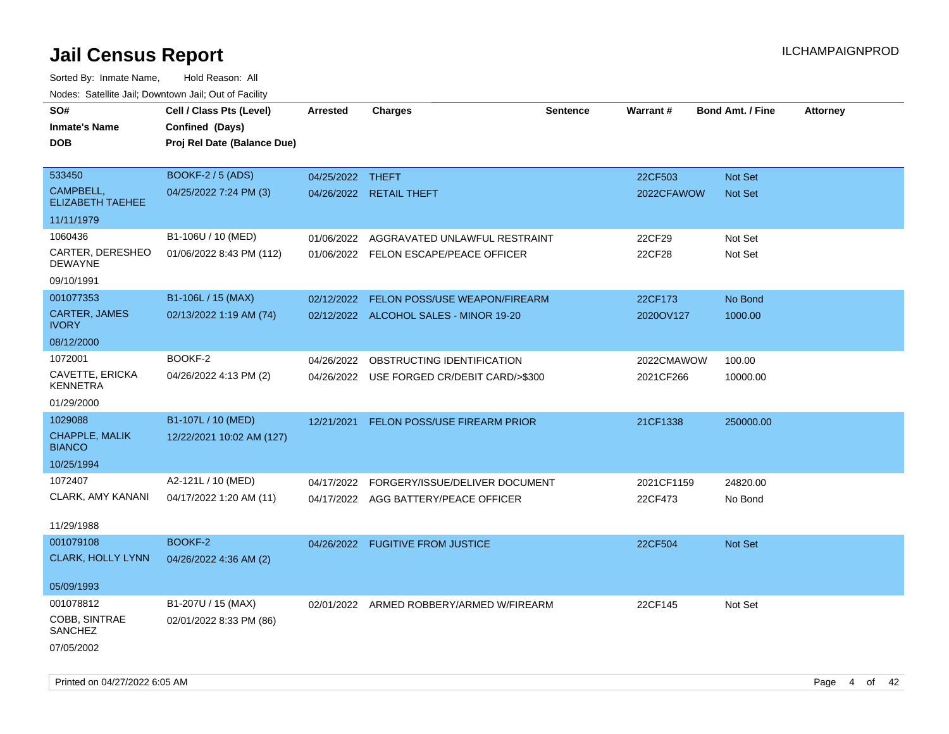| rouce. Calcinic Jan, Downtown Jan, Out or Facility |                             |                  |                                            |                 |            |                         |                 |
|----------------------------------------------------|-----------------------------|------------------|--------------------------------------------|-----------------|------------|-------------------------|-----------------|
| SO#                                                | Cell / Class Pts (Level)    | <b>Arrested</b>  | <b>Charges</b>                             | <b>Sentence</b> | Warrant#   | <b>Bond Amt. / Fine</b> | <b>Attorney</b> |
| <b>Inmate's Name</b>                               | Confined (Days)             |                  |                                            |                 |            |                         |                 |
| DOB                                                | Proj Rel Date (Balance Due) |                  |                                            |                 |            |                         |                 |
|                                                    |                             |                  |                                            |                 |            |                         |                 |
| 533450                                             | <b>BOOKF-2 / 5 (ADS)</b>    | 04/25/2022 THEFT |                                            |                 | 22CF503    | Not Set                 |                 |
| CAMPBELL,<br><b>ELIZABETH TAEHEE</b>               | 04/25/2022 7:24 PM (3)      |                  | 04/26/2022 RETAIL THEFT                    |                 | 2022CFAWOW | <b>Not Set</b>          |                 |
| 11/11/1979                                         |                             |                  |                                            |                 |            |                         |                 |
| 1060436                                            | B1-106U / 10 (MED)          | 01/06/2022       | AGGRAVATED UNLAWFUL RESTRAINT              |                 | 22CF29     | Not Set                 |                 |
| CARTER, DERESHEO<br><b>DEWAYNE</b>                 | 01/06/2022 8:43 PM (112)    |                  | 01/06/2022 FELON ESCAPE/PEACE OFFICER      |                 | 22CF28     | Not Set                 |                 |
| 09/10/1991                                         |                             |                  |                                            |                 |            |                         |                 |
| 001077353                                          | B1-106L / 15 (MAX)          | 02/12/2022       | FELON POSS/USE WEAPON/FIREARM              |                 | 22CF173    | No Bond                 |                 |
| <b>CARTER, JAMES</b><br><b>IVORY</b>               | 02/13/2022 1:19 AM (74)     |                  | 02/12/2022 ALCOHOL SALES - MINOR 19-20     |                 | 2020OV127  | 1000.00                 |                 |
| 08/12/2000                                         |                             |                  |                                            |                 |            |                         |                 |
| 1072001                                            | BOOKF-2                     | 04/26/2022       | OBSTRUCTING IDENTIFICATION                 |                 | 2022CMAWOW | 100.00                  |                 |
| CAVETTE, ERICKA<br><b>KENNETRA</b>                 | 04/26/2022 4:13 PM (2)      |                  | 04/26/2022 USE FORGED CR/DEBIT CARD/>\$300 |                 | 2021CF266  | 10000.00                |                 |
| 01/29/2000                                         |                             |                  |                                            |                 |            |                         |                 |
| 1029088                                            | B1-107L / 10 (MED)          | 12/21/2021       | <b>FELON POSS/USE FIREARM PRIOR</b>        |                 | 21CF1338   | 250000.00               |                 |
| CHAPPLE, MALIK<br><b>BIANCO</b>                    | 12/22/2021 10:02 AM (127)   |                  |                                            |                 |            |                         |                 |
| 10/25/1994                                         |                             |                  |                                            |                 |            |                         |                 |
| 1072407                                            | A2-121L / 10 (MED)          | 04/17/2022       | FORGERY/ISSUE/DELIVER DOCUMENT             |                 | 2021CF1159 | 24820.00                |                 |
| CLARK, AMY KANANI                                  | 04/17/2022 1:20 AM (11)     |                  | 04/17/2022 AGG BATTERY/PEACE OFFICER       |                 | 22CF473    | No Bond                 |                 |
|                                                    |                             |                  |                                            |                 |            |                         |                 |
| 11/29/1988                                         |                             |                  |                                            |                 |            |                         |                 |
| 001079108                                          | BOOKF-2                     |                  | 04/26/2022 FUGITIVE FROM JUSTICE           |                 | 22CF504    | <b>Not Set</b>          |                 |
| <b>CLARK, HOLLY LYNN</b>                           | 04/26/2022 4:36 AM (2)      |                  |                                            |                 |            |                         |                 |
| 05/09/1993                                         |                             |                  |                                            |                 |            |                         |                 |
| 001078812                                          | B1-207U / 15 (MAX)          |                  | 02/01/2022 ARMED ROBBERY/ARMED W/FIREARM   |                 | 22CF145    | Not Set                 |                 |
| COBB, SINTRAE<br>SANCHEZ                           | 02/01/2022 8:33 PM (86)     |                  |                                            |                 |            |                         |                 |
| 07/05/2002                                         |                             |                  |                                            |                 |            |                         |                 |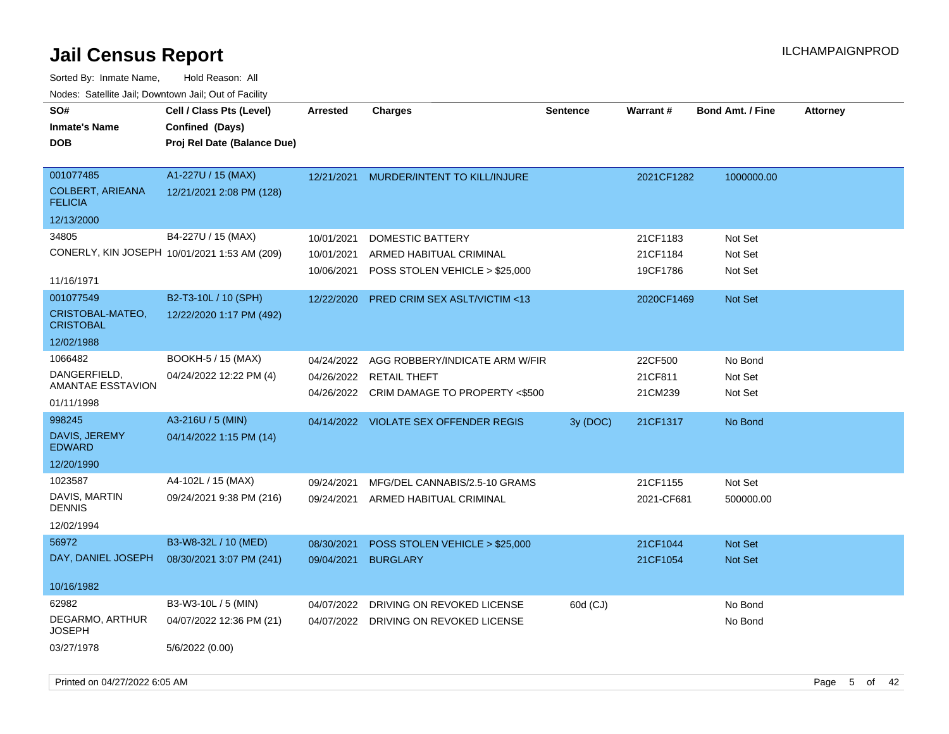| Noucs. Oatchite sail, Downtown sail, Out of Facility |                                              |                 |                                           |                 |            |                         |                 |
|------------------------------------------------------|----------------------------------------------|-----------------|-------------------------------------------|-----------------|------------|-------------------------|-----------------|
| SO#                                                  | Cell / Class Pts (Level)                     | <b>Arrested</b> | <b>Charges</b>                            | <b>Sentence</b> | Warrant#   | <b>Bond Amt. / Fine</b> | <b>Attorney</b> |
| <b>Inmate's Name</b>                                 | Confined (Days)                              |                 |                                           |                 |            |                         |                 |
| <b>DOB</b>                                           | Proj Rel Date (Balance Due)                  |                 |                                           |                 |            |                         |                 |
|                                                      |                                              |                 |                                           |                 |            |                         |                 |
| 001077485                                            | A1-227U / 15 (MAX)                           |                 | 12/21/2021 MURDER/INTENT TO KILL/INJURE   |                 | 2021CF1282 | 1000000.00              |                 |
| <b>COLBERT, ARIEANA</b><br><b>FELICIA</b>            | 12/21/2021 2:08 PM (128)                     |                 |                                           |                 |            |                         |                 |
| 12/13/2000                                           |                                              |                 |                                           |                 |            |                         |                 |
| 34805                                                | B4-227U / 15 (MAX)                           | 10/01/2021      | <b>DOMESTIC BATTERY</b>                   |                 | 21CF1183   | Not Set                 |                 |
|                                                      | CONERLY, KIN JOSEPH 10/01/2021 1:53 AM (209) | 10/01/2021      | ARMED HABITUAL CRIMINAL                   |                 | 21CF1184   | Not Set                 |                 |
|                                                      |                                              | 10/06/2021      | POSS STOLEN VEHICLE > \$25,000            |                 | 19CF1786   | Not Set                 |                 |
| 11/16/1971                                           |                                              |                 |                                           |                 |            |                         |                 |
| 001077549                                            | B2-T3-10L / 10 (SPH)                         | 12/22/2020      | <b>PRED CRIM SEX ASLT/VICTIM &lt;13</b>   |                 | 2020CF1469 | <b>Not Set</b>          |                 |
| CRISTOBAL-MATEO,<br><b>CRISTOBAL</b>                 | 12/22/2020 1:17 PM (492)                     |                 |                                           |                 |            |                         |                 |
| 12/02/1988                                           |                                              |                 |                                           |                 |            |                         |                 |
| 1066482                                              | BOOKH-5 / 15 (MAX)                           | 04/24/2022      | AGG ROBBERY/INDICATE ARM W/FIR            |                 | 22CF500    | No Bond                 |                 |
| DANGERFIELD.                                         | 04/24/2022 12:22 PM (4)                      |                 | 04/26/2022 RETAIL THEFT                   |                 | 21CF811    | Not Set                 |                 |
| AMANTAE ESSTAVION                                    |                                              |                 | 04/26/2022 CRIM DAMAGE TO PROPERTY <\$500 |                 | 21CM239    | Not Set                 |                 |
| 01/11/1998                                           |                                              |                 |                                           |                 |            |                         |                 |
| 998245                                               | A3-216U / 5 (MIN)                            |                 | 04/14/2022 VIOLATE SEX OFFENDER REGIS     | 3y (DOC)        | 21CF1317   | No Bond                 |                 |
| DAVIS, JEREMY<br><b>EDWARD</b>                       | 04/14/2022 1:15 PM (14)                      |                 |                                           |                 |            |                         |                 |
| 12/20/1990                                           |                                              |                 |                                           |                 |            |                         |                 |
| 1023587                                              | A4-102L / 15 (MAX)                           | 09/24/2021      | MFG/DEL CANNABIS/2.5-10 GRAMS             |                 | 21CF1155   | Not Set                 |                 |
| DAVIS, MARTIN<br><b>DENNIS</b>                       | 09/24/2021 9:38 PM (216)                     | 09/24/2021      | ARMED HABITUAL CRIMINAL                   |                 | 2021-CF681 | 500000.00               |                 |
| 12/02/1994                                           |                                              |                 |                                           |                 |            |                         |                 |
| 56972                                                | B3-W8-32L / 10 (MED)                         | 08/30/2021      | POSS STOLEN VEHICLE > \$25,000            |                 | 21CF1044   | <b>Not Set</b>          |                 |
| DAY, DANIEL JOSEPH                                   | 08/30/2021 3:07 PM (241)                     | 09/04/2021      | <b>BURGLARY</b>                           |                 | 21CF1054   | Not Set                 |                 |
|                                                      |                                              |                 |                                           |                 |            |                         |                 |
| 10/16/1982                                           |                                              |                 |                                           |                 |            |                         |                 |
| 62982                                                | B3-W3-10L / 5 (MIN)                          | 04/07/2022      | DRIVING ON REVOKED LICENSE                | 60d (CJ)        |            | No Bond                 |                 |
| DEGARMO, ARTHUR<br><b>JOSEPH</b>                     | 04/07/2022 12:36 PM (21)                     |                 | 04/07/2022 DRIVING ON REVOKED LICENSE     |                 |            | No Bond                 |                 |
| 03/27/1978                                           | 5/6/2022 (0.00)                              |                 |                                           |                 |            |                         |                 |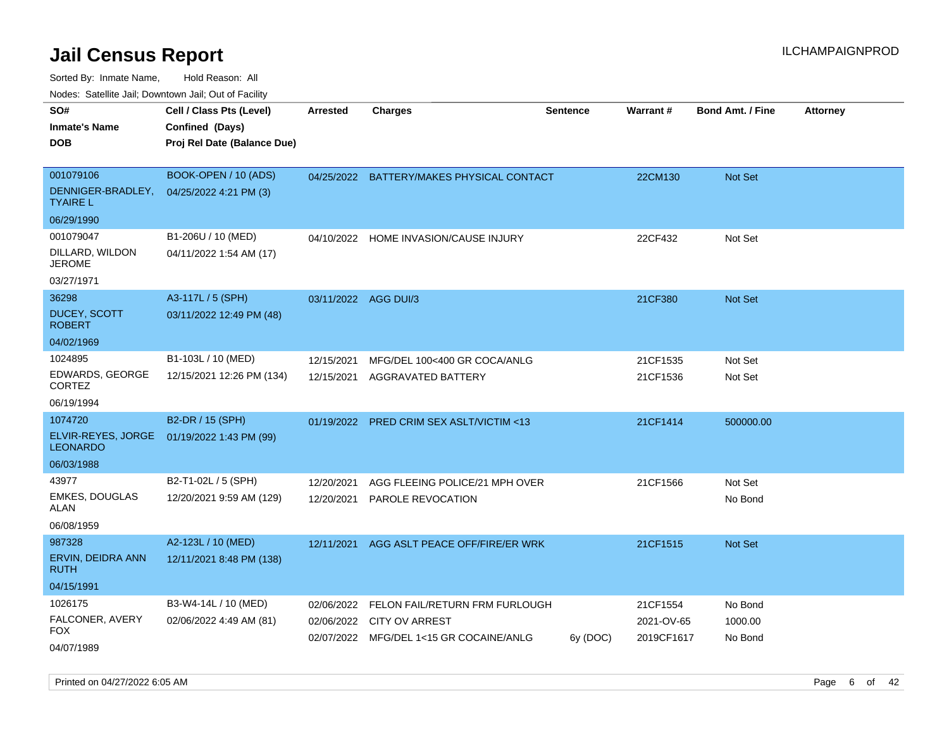| wacs. Calcinic Jan, Downtown Jan, Out of Facility                         |                                                                            |                          |                                                                                                    |                 |                                      |                               |                 |
|---------------------------------------------------------------------------|----------------------------------------------------------------------------|--------------------------|----------------------------------------------------------------------------------------------------|-----------------|--------------------------------------|-------------------------------|-----------------|
| SO#<br>Inmate's Name<br>DOB                                               | Cell / Class Pts (Level)<br>Confined (Days)<br>Proj Rel Date (Balance Due) | <b>Arrested</b>          | <b>Charges</b>                                                                                     | <b>Sentence</b> | Warrant#                             | <b>Bond Amt. / Fine</b>       | <b>Attorney</b> |
| 001079106<br>DENNIGER-BRADLEY,<br><b>TYAIRE L</b>                         | BOOK-OPEN / 10 (ADS)<br>04/25/2022 4:21 PM (3)                             |                          | 04/25/2022 BATTERY/MAKES PHYSICAL CONTACT                                                          |                 | 22CM130                              | Not Set                       |                 |
| 06/29/1990<br>001079047<br>DILLARD, WILDON<br><b>JEROME</b><br>03/27/1971 | B1-206U / 10 (MED)<br>04/11/2022 1:54 AM (17)                              | 04/10/2022               | HOME INVASION/CAUSE INJURY                                                                         |                 | 22CF432                              | Not Set                       |                 |
| 36298<br>DUCEY, SCOTT<br><b>ROBERT</b>                                    | A3-117L / 5 (SPH)<br>03/11/2022 12:49 PM (48)                              | 03/11/2022 AGG DUI/3     |                                                                                                    |                 | 21CF380                              | Not Set                       |                 |
| 04/02/1969<br>1024895<br>EDWARDS, GEORGE<br><b>CORTEZ</b><br>06/19/1994   | B1-103L / 10 (MED)<br>12/15/2021 12:26 PM (134)                            | 12/15/2021<br>12/15/2021 | MFG/DEL 100<400 GR COCA/ANLG<br>AGGRAVATED BATTERY                                                 |                 | 21CF1535<br>21CF1536                 | Not Set<br>Not Set            |                 |
| 1074720<br>ELVIR-REYES, JORGE<br><b>LEONARDO</b><br>06/03/1988            | B2-DR / 15 (SPH)<br>01/19/2022 1:43 PM (99)                                |                          | 01/19/2022 PRED CRIM SEX ASLT/VICTIM <13                                                           |                 | 21CF1414                             | 500000.00                     |                 |
| 43977<br><b>EMKES, DOUGLAS</b><br>ALAN<br>06/08/1959                      | B2-T1-02L / 5 (SPH)<br>12/20/2021 9:59 AM (129)                            | 12/20/2021<br>12/20/2021 | AGG FLEEING POLICE/21 MPH OVER<br>PAROLE REVOCATION                                                |                 | 21CF1566                             | Not Set<br>No Bond            |                 |
| 987328<br>ERVIN, DEIDRA ANN<br><b>RUTH</b><br>04/15/1991                  | A2-123L / 10 (MED)<br>12/11/2021 8:48 PM (138)                             | 12/11/2021               | AGG ASLT PEACE OFF/FIRE/ER WRK                                                                     |                 | 21CF1515                             | <b>Not Set</b>                |                 |
| 1026175<br>FALCONER, AVERY<br>FOX<br>04/07/1989                           | B3-W4-14L / 10 (MED)<br>02/06/2022 4:49 AM (81)                            | 02/06/2022<br>02/06/2022 | FELON FAIL/RETURN FRM FURLOUGH<br><b>CITY OV ARREST</b><br>02/07/2022 MFG/DEL 1<15 GR COCAINE/ANLG | 6y (DOC)        | 21CF1554<br>2021-OV-65<br>2019CF1617 | No Bond<br>1000.00<br>No Bond |                 |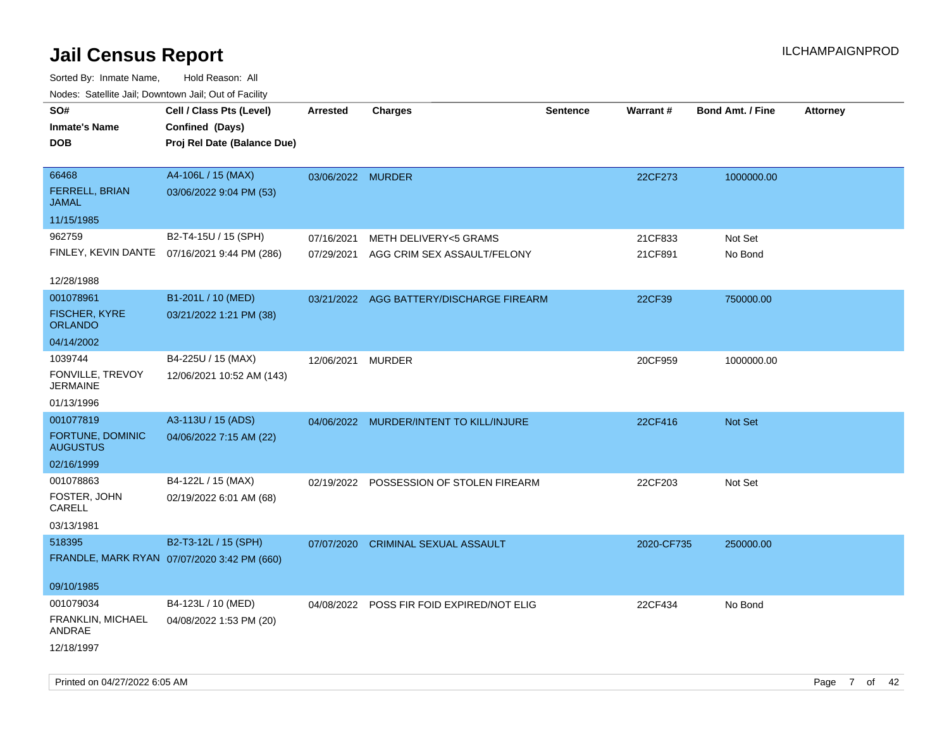| Nodes. Satellite Jali, Downtown Jali, Out of Facility |                                              |                   |                                           |                 |            |                         |                 |
|-------------------------------------------------------|----------------------------------------------|-------------------|-------------------------------------------|-----------------|------------|-------------------------|-----------------|
| SO#                                                   | Cell / Class Pts (Level)                     | <b>Arrested</b>   | <b>Charges</b>                            | <b>Sentence</b> | Warrant#   | <b>Bond Amt. / Fine</b> | <b>Attorney</b> |
| <b>Inmate's Name</b>                                  | Confined (Days)                              |                   |                                           |                 |            |                         |                 |
| <b>DOB</b>                                            | Proj Rel Date (Balance Due)                  |                   |                                           |                 |            |                         |                 |
|                                                       |                                              |                   |                                           |                 |            |                         |                 |
| 66468                                                 | A4-106L / 15 (MAX)                           | 03/06/2022 MURDER |                                           |                 | 22CF273    | 1000000.00              |                 |
| <b>FERRELL, BRIAN</b><br><b>JAMAL</b>                 | 03/06/2022 9:04 PM (53)                      |                   |                                           |                 |            |                         |                 |
| 11/15/1985                                            |                                              |                   |                                           |                 |            |                         |                 |
| 962759                                                | B2-T4-15U / 15 (SPH)                         | 07/16/2021        | <b>METH DELIVERY&lt;5 GRAMS</b>           |                 | 21CF833    | Not Set                 |                 |
|                                                       | FINLEY, KEVIN DANTE 07/16/2021 9:44 PM (286) | 07/29/2021        | AGG CRIM SEX ASSAULT/FELONY               |                 | 21CF891    | No Bond                 |                 |
|                                                       |                                              |                   |                                           |                 |            |                         |                 |
| 12/28/1988                                            |                                              |                   |                                           |                 |            |                         |                 |
| 001078961                                             | B1-201L / 10 (MED)                           |                   | 03/21/2022 AGG BATTERY/DISCHARGE FIREARM  |                 | 22CF39     | 750000.00               |                 |
| <b>FISCHER, KYRE</b><br><b>ORLANDO</b>                | 03/21/2022 1:21 PM (38)                      |                   |                                           |                 |            |                         |                 |
| 04/14/2002                                            |                                              |                   |                                           |                 |            |                         |                 |
| 1039744                                               | B4-225U / 15 (MAX)                           | 12/06/2021        | <b>MURDER</b>                             |                 | 20CF959    | 1000000.00              |                 |
| FONVILLE, TREVOY<br><b>JERMAINE</b>                   | 12/06/2021 10:52 AM (143)                    |                   |                                           |                 |            |                         |                 |
| 01/13/1996                                            |                                              |                   |                                           |                 |            |                         |                 |
| 001077819                                             | A3-113U / 15 (ADS)                           |                   | 04/06/2022 MURDER/INTENT TO KILL/INJURE   |                 | 22CF416    | Not Set                 |                 |
| <b>FORTUNE, DOMINIC</b><br><b>AUGUSTUS</b>            | 04/06/2022 7:15 AM (22)                      |                   |                                           |                 |            |                         |                 |
| 02/16/1999                                            |                                              |                   |                                           |                 |            |                         |                 |
| 001078863                                             | B4-122L / 15 (MAX)                           | 02/19/2022        | POSSESSION OF STOLEN FIREARM              |                 | 22CF203    | Not Set                 |                 |
| FOSTER, JOHN<br>CARELL                                | 02/19/2022 6:01 AM (68)                      |                   |                                           |                 |            |                         |                 |
| 03/13/1981                                            |                                              |                   |                                           |                 |            |                         |                 |
| 518395                                                | B2-T3-12L / 15 (SPH)                         | 07/07/2020        | <b>CRIMINAL SEXUAL ASSAULT</b>            |                 | 2020-CF735 | 250000.00               |                 |
|                                                       | FRANDLE, MARK RYAN 07/07/2020 3:42 PM (660)  |                   |                                           |                 |            |                         |                 |
|                                                       |                                              |                   |                                           |                 |            |                         |                 |
| 09/10/1985                                            |                                              |                   |                                           |                 |            |                         |                 |
| 001079034                                             | B4-123L / 10 (MED)                           |                   | 04/08/2022 POSS FIR FOID EXPIRED/NOT ELIG |                 | 22CF434    | No Bond                 |                 |
| FRANKLIN, MICHAEL<br>ANDRAE                           | 04/08/2022 1:53 PM (20)                      |                   |                                           |                 |            |                         |                 |
| 12/18/1997                                            |                                              |                   |                                           |                 |            |                         |                 |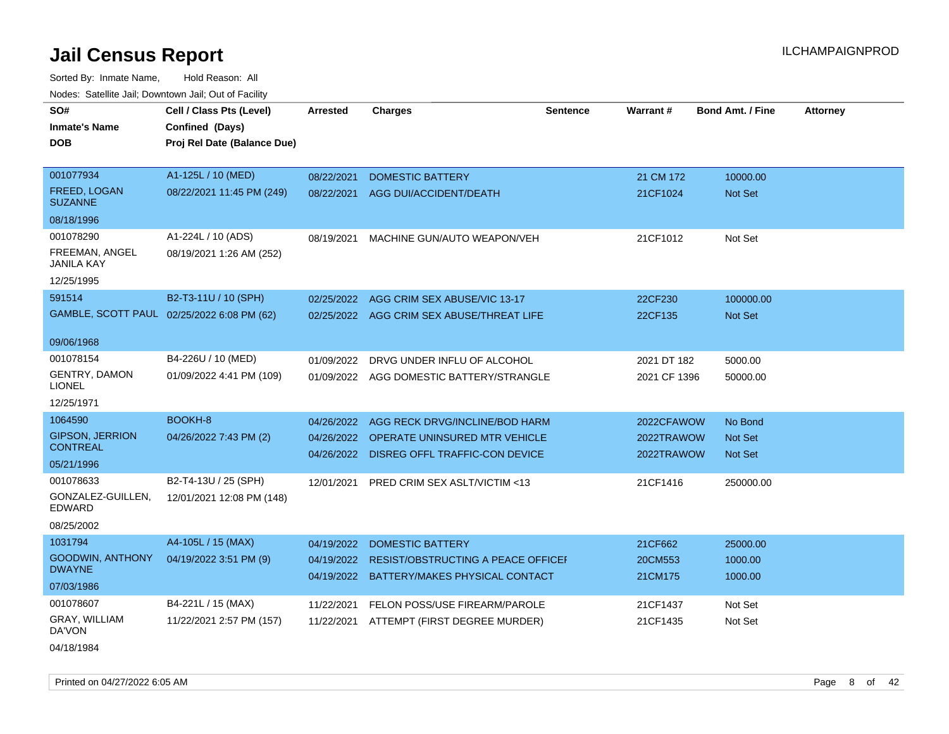| SO#<br><b>Inmate's Name</b><br><b>DOB</b> | Cell / Class Pts (Level)<br>Confined (Days)<br>Proj Rel Date (Balance Due) | <b>Arrested</b>          | <b>Charges</b>                                                                         | <b>Sentence</b> | Warrant#                 | <b>Bond Amt. / Fine</b>          | <b>Attorney</b> |
|-------------------------------------------|----------------------------------------------------------------------------|--------------------------|----------------------------------------------------------------------------------------|-----------------|--------------------------|----------------------------------|-----------------|
| 001077934<br><b>FREED, LOGAN</b>          | A1-125L / 10 (MED)<br>08/22/2021 11:45 PM (249)                            | 08/22/2021<br>08/22/2021 | <b>DOMESTIC BATTERY</b><br>AGG DUI/ACCIDENT/DEATH                                      |                 | 21 CM 172<br>21CF1024    | 10000.00<br><b>Not Set</b>       |                 |
| <b>SUZANNE</b>                            |                                                                            |                          |                                                                                        |                 |                          |                                  |                 |
| 08/18/1996                                |                                                                            |                          |                                                                                        |                 |                          |                                  |                 |
| 001078290                                 | A1-224L / 10 (ADS)                                                         | 08/19/2021               | MACHINE GUN/AUTO WEAPON/VEH                                                            |                 | 21CF1012                 | Not Set                          |                 |
| FREEMAN, ANGEL<br>JANILA KAY              | 08/19/2021 1:26 AM (252)                                                   |                          |                                                                                        |                 |                          |                                  |                 |
| 12/25/1995                                |                                                                            |                          |                                                                                        |                 |                          |                                  |                 |
| 591514                                    | B2-T3-11U / 10 (SPH)                                                       |                          | 02/25/2022 AGG CRIM SEX ABUSE/VIC 13-17                                                |                 | 22CF230                  | 100000.00                        |                 |
|                                           | GAMBLE, SCOTT PAUL 02/25/2022 6:08 PM (62)                                 |                          | 02/25/2022 AGG CRIM SEX ABUSE/THREAT LIFE                                              |                 | 22CF135                  | Not Set                          |                 |
| 09/06/1968                                |                                                                            |                          |                                                                                        |                 |                          |                                  |                 |
| 001078154                                 | B4-226U / 10 (MED)                                                         | 01/09/2022               | DRVG UNDER INFLU OF ALCOHOL                                                            |                 | 2021 DT 182              | 5000.00                          |                 |
| <b>GENTRY, DAMON</b><br>LIONEL            | 01/09/2022 4:41 PM (109)                                                   |                          | 01/09/2022 AGG DOMESTIC BATTERY/STRANGLE                                               |                 | 2021 CF 1396             | 50000.00                         |                 |
| 12/25/1971                                |                                                                            |                          |                                                                                        |                 |                          |                                  |                 |
| 1064590                                   | BOOKH-8                                                                    | 04/26/2022               | AGG RECK DRVG/INCLINE/BOD HARM                                                         |                 | 2022CFAWOW               | No Bond                          |                 |
| <b>GIPSON, JERRION</b><br><b>CONTREAL</b> | 04/26/2022 7:43 PM (2)                                                     |                          | 04/26/2022 OPERATE UNINSURED MTR VEHICLE<br>04/26/2022 DISREG OFFL TRAFFIC-CON DEVICE  |                 | 2022TRAWOW<br>2022TRAWOW | <b>Not Set</b><br><b>Not Set</b> |                 |
| 05/21/1996                                |                                                                            |                          |                                                                                        |                 |                          |                                  |                 |
| 001078633                                 | B2-T4-13U / 25 (SPH)                                                       | 12/01/2021               | PRED CRIM SEX ASLT/VICTIM <13                                                          |                 | 21CF1416                 | 250000.00                        |                 |
| GONZALEZ-GUILLEN,<br>EDWARD               | 12/01/2021 12:08 PM (148)                                                  |                          |                                                                                        |                 |                          |                                  |                 |
| 08/25/2002                                |                                                                            |                          |                                                                                        |                 |                          |                                  |                 |
| 1031794                                   | A4-105L / 15 (MAX)                                                         | 04/19/2022               | <b>DOMESTIC BATTERY</b>                                                                |                 | 21CF662                  | 25000.00                         |                 |
| <b>GOODWIN, ANTHONY</b><br><b>DWAYNE</b>  | 04/19/2022 3:51 PM (9)                                                     | 04/19/2022               | <b>RESIST/OBSTRUCTING A PEACE OFFICEL</b><br>04/19/2022 BATTERY/MAKES PHYSICAL CONTACT |                 | 20CM553<br>21CM175       | 1000.00<br>1000.00               |                 |
| 07/03/1986                                |                                                                            |                          |                                                                                        |                 |                          |                                  |                 |
| 001078607                                 | B4-221L / 15 (MAX)                                                         | 11/22/2021               | FELON POSS/USE FIREARM/PAROLE                                                          |                 | 21CF1437                 | Not Set                          |                 |
| GRAY, WILLIAM<br>DA'VON                   | 11/22/2021 2:57 PM (157)                                                   |                          | 11/22/2021 ATTEMPT (FIRST DEGREE MURDER)                                               |                 | 21CF1435                 | Not Set                          |                 |
| 04/18/1984                                |                                                                            |                          |                                                                                        |                 |                          |                                  |                 |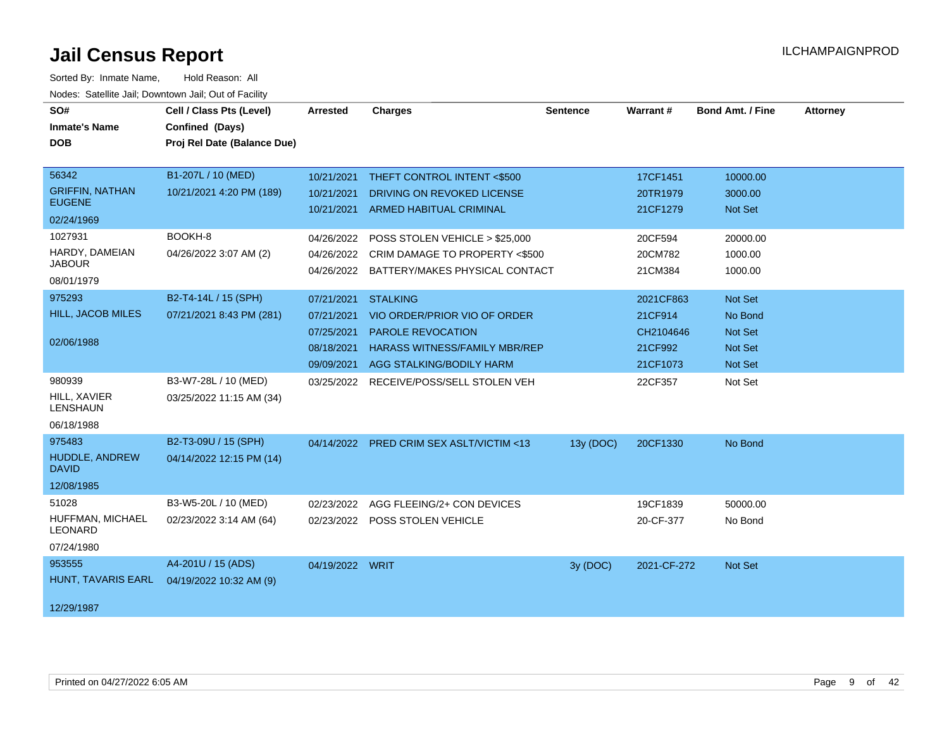| SO#<br><b>Inmate's Name</b><br><b>DOB</b>                      | Cell / Class Pts (Level)<br>Confined (Days)<br>Proj Rel Date (Balance Due) | Arrested                                                           | <b>Charges</b>                                                                                                                                  | <b>Sentence</b> | <b>Warrant#</b>                                          | <b>Bond Amt. / Fine</b>                                                  | <b>Attorney</b> |
|----------------------------------------------------------------|----------------------------------------------------------------------------|--------------------------------------------------------------------|-------------------------------------------------------------------------------------------------------------------------------------------------|-----------------|----------------------------------------------------------|--------------------------------------------------------------------------|-----------------|
| 56342<br><b>GRIFFIN, NATHAN</b><br><b>EUGENE</b><br>02/24/1969 | B1-207L / 10 (MED)<br>10/21/2021 4:20 PM (189)                             | 10/21/2021<br>10/21/2021<br>10/21/2021                             | THEFT CONTROL INTENT <\$500<br>DRIVING ON REVOKED LICENSE<br><b>ARMED HABITUAL CRIMINAL</b>                                                     |                 | 17CF1451<br>20TR1979<br>21CF1279                         | 10000.00<br>3000.00<br>Not Set                                           |                 |
| 1027931<br>HARDY, DAMEIAN<br><b>JABOUR</b><br>08/01/1979       | BOOKH-8<br>04/26/2022 3:07 AM (2)                                          | 04/26/2022<br>04/26/2022                                           | POSS STOLEN VEHICLE > \$25,000<br>CRIM DAMAGE TO PROPERTY <\$500<br>04/26/2022 BATTERY/MAKES PHYSICAL CONTACT                                   |                 | 20CF594<br>20CM782<br>21CM384                            | 20000.00<br>1000.00<br>1000.00                                           |                 |
| 975293<br><b>HILL, JACOB MILES</b><br>02/06/1988               | B2-T4-14L / 15 (SPH)<br>07/21/2021 8:43 PM (281)                           | 07/21/2021<br>07/21/2021<br>07/25/2021<br>08/18/2021<br>09/09/2021 | <b>STALKING</b><br>VIO ORDER/PRIOR VIO OF ORDER<br><b>PAROLE REVOCATION</b><br><b>HARASS WITNESS/FAMILY MBR/REP</b><br>AGG STALKING/BODILY HARM |                 | 2021CF863<br>21CF914<br>CH2104646<br>21CF992<br>21CF1073 | <b>Not Set</b><br>No Bond<br><b>Not Set</b><br><b>Not Set</b><br>Not Set |                 |
| 980939<br>HILL, XAVIER<br><b>LENSHAUN</b><br>06/18/1988        | B3-W7-28L / 10 (MED)<br>03/25/2022 11:15 AM (34)                           |                                                                    | 03/25/2022 RECEIVE/POSS/SELL STOLEN VEH                                                                                                         |                 | 22CF357                                                  | Not Set                                                                  |                 |
| 975483<br>HUDDLE, ANDREW<br><b>DAVID</b><br>12/08/1985         | B2-T3-09U / 15 (SPH)<br>04/14/2022 12:15 PM (14)                           |                                                                    | 04/14/2022 PRED CRIM SEX ASLT/VICTIM <13                                                                                                        | 13y (DOC)       | 20CF1330                                                 | No Bond                                                                  |                 |
| 51028<br>HUFFMAN, MICHAEL<br><b>LEONARD</b><br>07/24/1980      | B3-W5-20L / 10 (MED)<br>02/23/2022 3:14 AM (64)                            | 02/23/2022                                                         | AGG FLEEING/2+ CON DEVICES<br>02/23/2022 POSS STOLEN VEHICLE                                                                                    |                 | 19CF1839<br>20-CF-377                                    | 50000.00<br>No Bond                                                      |                 |
| 953555<br>HUNT, TAVARIS EARL<br>12/29/1987                     | A4-201U / 15 (ADS)<br>04/19/2022 10:32 AM (9)                              | 04/19/2022 WRIT                                                    |                                                                                                                                                 | 3y (DOC)        | 2021-CF-272                                              | Not Set                                                                  |                 |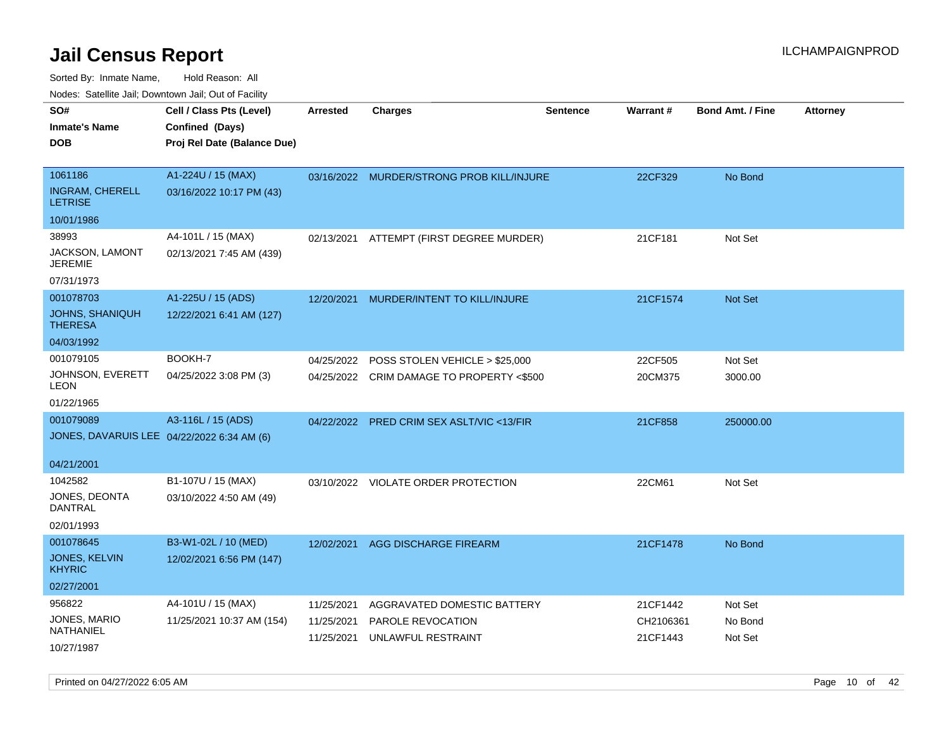Sorted By: Inmate Name, Hold Reason: All Nodes: Satellite Jail; Downtown Jail; Out of Facility

| roaco. Calcinio dan, Domnomi dan, Cal or Fability |                             |                 |                                           |                 |           |                         |                 |
|---------------------------------------------------|-----------------------------|-----------------|-------------------------------------------|-----------------|-----------|-------------------------|-----------------|
| SO#                                               | Cell / Class Pts (Level)    | <b>Arrested</b> | <b>Charges</b>                            | <b>Sentence</b> | Warrant#  | <b>Bond Amt. / Fine</b> | <b>Attorney</b> |
| Inmate's Name                                     | Confined (Days)             |                 |                                           |                 |           |                         |                 |
| DOB                                               | Proj Rel Date (Balance Due) |                 |                                           |                 |           |                         |                 |
|                                                   |                             |                 |                                           |                 |           |                         |                 |
| 1061186                                           | A1-224U / 15 (MAX)          |                 | 03/16/2022 MURDER/STRONG PROB KILL/INJURE |                 | 22CF329   | No Bond                 |                 |
| <b>INGRAM, CHERELL</b><br><b>LETRISE</b>          | 03/16/2022 10:17 PM (43)    |                 |                                           |                 |           |                         |                 |
| 10/01/1986                                        |                             |                 |                                           |                 |           |                         |                 |
| 38993                                             | A4-101L / 15 (MAX)          | 02/13/2021      | ATTEMPT (FIRST DEGREE MURDER)             |                 | 21CF181   | Not Set                 |                 |
| <b>JACKSON, LAMONT</b><br>JEREMIE                 | 02/13/2021 7:45 AM (439)    |                 |                                           |                 |           |                         |                 |
| 07/31/1973                                        |                             |                 |                                           |                 |           |                         |                 |
| 001078703                                         | A1-225U / 15 (ADS)          |                 | 12/20/2021 MURDER/INTENT TO KILL/INJURE   |                 | 21CF1574  | <b>Not Set</b>          |                 |
| JOHNS, SHANIQUH<br>THERESA                        | 12/22/2021 6:41 AM (127)    |                 |                                           |                 |           |                         |                 |
| 04/03/1992                                        |                             |                 |                                           |                 |           |                         |                 |
| 001079105                                         | BOOKH-7                     | 04/25/2022      | POSS STOLEN VEHICLE > \$25,000            |                 | 22CF505   | Not Set                 |                 |
| JOHNSON, EVERETT<br>LEON                          | 04/25/2022 3:08 PM (3)      |                 | 04/25/2022 CRIM DAMAGE TO PROPERTY <\$500 |                 | 20CM375   | 3000.00                 |                 |
| 01/22/1965                                        |                             |                 |                                           |                 |           |                         |                 |
| 001079089                                         | A3-116L / 15 (ADS)          |                 | 04/22/2022 PRED CRIM SEX ASLT/VIC <13/FIR |                 | 21CF858   | 250000.00               |                 |
| JONES, DAVARUIS LEE 04/22/2022 6:34 AM (6)        |                             |                 |                                           |                 |           |                         |                 |
| 04/21/2001                                        |                             |                 |                                           |                 |           |                         |                 |
| 1042582                                           | B1-107U / 15 (MAX)          |                 | 03/10/2022 VIOLATE ORDER PROTECTION       |                 | 22CM61    | Not Set                 |                 |
| JONES, DEONTA<br>DANTRAL                          | 03/10/2022 4:50 AM (49)     |                 |                                           |                 |           |                         |                 |
| 02/01/1993                                        |                             |                 |                                           |                 |           |                         |                 |
| 001078645                                         | B3-W1-02L / 10 (MED)        | 12/02/2021      | AGG DISCHARGE FIREARM                     |                 | 21CF1478  | No Bond                 |                 |
| JONES, KELVIN<br>KHYRIC.                          | 12/02/2021 6:56 PM (147)    |                 |                                           |                 |           |                         |                 |
| 02/27/2001                                        |                             |                 |                                           |                 |           |                         |                 |
| 956822                                            | A4-101U / 15 (MAX)          | 11/25/2021      | AGGRAVATED DOMESTIC BATTERY               |                 | 21CF1442  | Not Set                 |                 |
| JONES, MARIO                                      | 11/25/2021 10:37 AM (154)   | 11/25/2021      | <b>PAROLE REVOCATION</b>                  |                 | CH2106361 | No Bond                 |                 |
| NATHANIEL                                         |                             | 11/25/2021      | UNLAWFUL RESTRAINT                        |                 | 21CF1443  | Not Set                 |                 |
| 10/27/1987                                        |                             |                 |                                           |                 |           |                         |                 |

Printed on 04/27/2022 6:05 AM **Page 10** of 42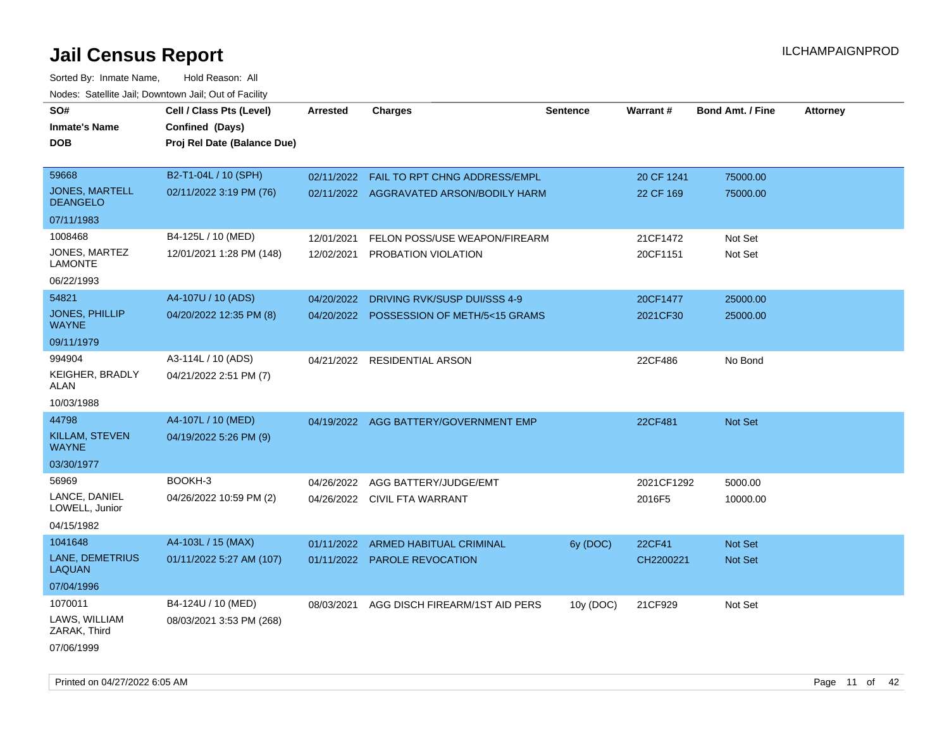| SO#                                      | Cell / Class Pts (Level)    | <b>Arrested</b> | <b>Charges</b>                            | <b>Sentence</b> | Warrant#   | <b>Bond Amt. / Fine</b> | <b>Attorney</b> |
|------------------------------------------|-----------------------------|-----------------|-------------------------------------------|-----------------|------------|-------------------------|-----------------|
| <b>Inmate's Name</b>                     | Confined (Days)             |                 |                                           |                 |            |                         |                 |
| <b>DOB</b>                               | Proj Rel Date (Balance Due) |                 |                                           |                 |            |                         |                 |
|                                          |                             |                 |                                           |                 |            |                         |                 |
| 59668                                    | B2-T1-04L / 10 (SPH)        |                 | 02/11/2022  FAIL TO RPT CHNG ADDRESS/EMPL |                 | 20 CF 1241 | 75000.00                |                 |
| <b>JONES, MARTELL</b><br><b>DEANGELO</b> | 02/11/2022 3:19 PM (76)     |                 | 02/11/2022 AGGRAVATED ARSON/BODILY HARM   |                 | 22 CF 169  | 75000.00                |                 |
| 07/11/1983                               |                             |                 |                                           |                 |            |                         |                 |
| 1008468                                  | B4-125L / 10 (MED)          | 12/01/2021      | FELON POSS/USE WEAPON/FIREARM             |                 | 21CF1472   | Not Set                 |                 |
| JONES, MARTEZ<br><b>LAMONTE</b>          | 12/01/2021 1:28 PM (148)    | 12/02/2021      | PROBATION VIOLATION                       |                 | 20CF1151   | Not Set                 |                 |
| 06/22/1993                               |                             |                 |                                           |                 |            |                         |                 |
| 54821                                    | A4-107U / 10 (ADS)          | 04/20/2022      | DRIVING RVK/SUSP DUI/SSS 4-9              |                 | 20CF1477   | 25000.00                |                 |
| JONES, PHILLIP<br><b>WAYNE</b>           | 04/20/2022 12:35 PM (8)     |                 | 04/20/2022 POSSESSION OF METH/5<15 GRAMS  |                 | 2021CF30   | 25000.00                |                 |
| 09/11/1979                               |                             |                 |                                           |                 |            |                         |                 |
| 994904                                   | A3-114L / 10 (ADS)          |                 | 04/21/2022 RESIDENTIAL ARSON              |                 | 22CF486    | No Bond                 |                 |
| <b>KEIGHER, BRADLY</b><br>ALAN           | 04/21/2022 2:51 PM (7)      |                 |                                           |                 |            |                         |                 |
| 10/03/1988                               |                             |                 |                                           |                 |            |                         |                 |
| 44798                                    | A4-107L / 10 (MED)          |                 | 04/19/2022 AGG BATTERY/GOVERNMENT EMP     |                 | 22CF481    | <b>Not Set</b>          |                 |
| KILLAM, STEVEN<br><b>WAYNE</b>           | 04/19/2022 5:26 PM (9)      |                 |                                           |                 |            |                         |                 |
| 03/30/1977                               |                             |                 |                                           |                 |            |                         |                 |
| 56969                                    | BOOKH-3                     | 04/26/2022      | AGG BATTERY/JUDGE/EMT                     |                 | 2021CF1292 | 5000.00                 |                 |
| LANCE, DANIEL<br>LOWELL, Junior          | 04/26/2022 10:59 PM (2)     |                 | 04/26/2022 CIVIL FTA WARRANT              |                 | 2016F5     | 10000.00                |                 |
| 04/15/1982                               |                             |                 |                                           |                 |            |                         |                 |
| 1041648                                  | A4-103L / 15 (MAX)          | 01/11/2022      | <b>ARMED HABITUAL CRIMINAL</b>            | 6y (DOC)        | 22CF41     | <b>Not Set</b>          |                 |
| LANE, DEMETRIUS<br><b>LAQUAN</b>         | 01/11/2022 5:27 AM (107)    |                 | 01/11/2022 PAROLE REVOCATION              |                 | CH2200221  | <b>Not Set</b>          |                 |
| 07/04/1996                               |                             |                 |                                           |                 |            |                         |                 |
| 1070011                                  | B4-124U / 10 (MED)          | 08/03/2021      | AGG DISCH FIREARM/1ST AID PERS            | 10y (DOC)       | 21CF929    | Not Set                 |                 |
| LAWS, WILLIAM<br>ZARAK, Third            | 08/03/2021 3:53 PM (268)    |                 |                                           |                 |            |                         |                 |
| 07/06/1999                               |                             |                 |                                           |                 |            |                         |                 |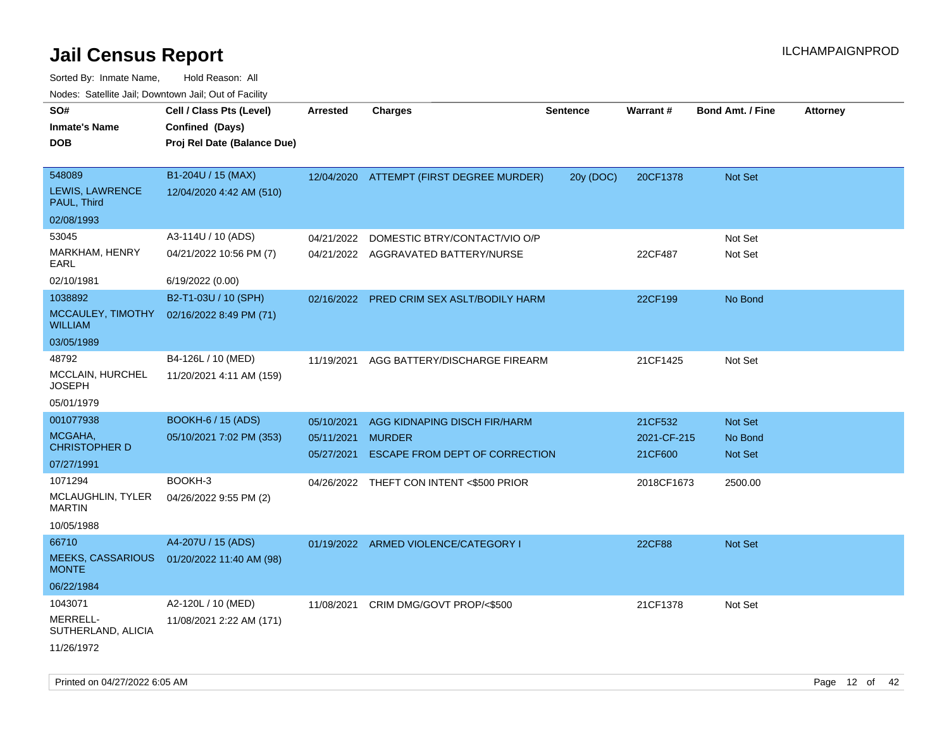| roaco. Calcinio dan, Downtown dan, Cal or Fability                                                   |                                                                                     |                                        |                                                                                                                             |                 |                                                 |                                                        |                 |
|------------------------------------------------------------------------------------------------------|-------------------------------------------------------------------------------------|----------------------------------------|-----------------------------------------------------------------------------------------------------------------------------|-----------------|-------------------------------------------------|--------------------------------------------------------|-----------------|
| SO#<br>Inmate's Name<br>DOB                                                                          | Cell / Class Pts (Level)<br>Confined (Days)<br>Proj Rel Date (Balance Due)          | Arrested                               | <b>Charges</b>                                                                                                              | <b>Sentence</b> | <b>Warrant#</b>                                 | <b>Bond Amt. / Fine</b>                                | <b>Attorney</b> |
| 548089<br><b>LEWIS, LAWRENCE</b><br>PAUL, Third<br>02/08/1993                                        | B1-204U / 15 (MAX)<br>12/04/2020 4:42 AM (510)                                      |                                        | 12/04/2020 ATTEMPT (FIRST DEGREE MURDER)                                                                                    | 20y (DOC)       | 20CF1378                                        | <b>Not Set</b>                                         |                 |
| 53045<br>MARKHAM, HENRY<br>EARL<br>02/10/1981                                                        | A3-114U / 10 (ADS)<br>04/21/2022 10:56 PM (7)<br>6/19/2022 (0.00)                   | 04/21/2022                             | DOMESTIC BTRY/CONTACT/VIO O/P<br>04/21/2022 AGGRAVATED BATTERY/NURSE                                                        |                 | 22CF487                                         | Not Set<br>Not Set                                     |                 |
| 1038892<br>WILLIAM<br>03/05/1989                                                                     | B2-T1-03U / 10 (SPH)<br>MCCAULEY, TIMOTHY 02/16/2022 8:49 PM (71)                   | 02/16/2022                             | PRED CRIM SEX ASLT/BODILY HARM                                                                                              |                 | 22CF199                                         | No Bond                                                |                 |
| 48792<br>MCCLAIN, HURCHEL<br>JOSEPH<br>05/01/1979                                                    | B4-126L / 10 (MED)<br>11/20/2021 4:11 AM (159)                                      | 11/19/2021                             | AGG BATTERY/DISCHARGE FIREARM                                                                                               |                 | 21CF1425                                        | Not Set                                                |                 |
| 001077938<br>MCGAHA,<br><b>CHRISTOPHER D</b><br>07/27/1991<br>1071294<br>MCLAUGHLIN, TYLER<br>MARTIN | BOOKH-6 / 15 (ADS)<br>05/10/2021 7:02 PM (353)<br>BOOKH-3<br>04/26/2022 9:55 PM (2) | 05/10/2021<br>05/11/2021<br>05/27/2021 | AGG KIDNAPING DISCH FIR/HARM<br><b>MURDER</b><br>ESCAPE FROM DEPT OF CORRECTION<br>04/26/2022 THEFT CON INTENT <\$500 PRIOR |                 | 21CF532<br>2021-CF-215<br>21CF600<br>2018CF1673 | <b>Not Set</b><br>No Bond<br><b>Not Set</b><br>2500.00 |                 |
| 10/05/1988<br>66710<br><b>MEEKS, CASSARIOUS</b><br><b>MONTE</b><br>06/22/1984                        | A4-207U / 15 (ADS)<br>01/20/2022 11:40 AM (98)                                      |                                        | 01/19/2022 ARMED VIOLENCE/CATEGORY I                                                                                        |                 | <b>22CF88</b>                                   | Not Set                                                |                 |
| 1043071<br>MERRELL-<br>SUTHERLAND, ALICIA<br>11/26/1972                                              | A2-120L / 10 (MED)<br>11/08/2021 2:22 AM (171)                                      | 11/08/2021                             | CRIM DMG/GOVT PROP/<\$500                                                                                                   |                 | 21CF1378                                        | Not Set                                                |                 |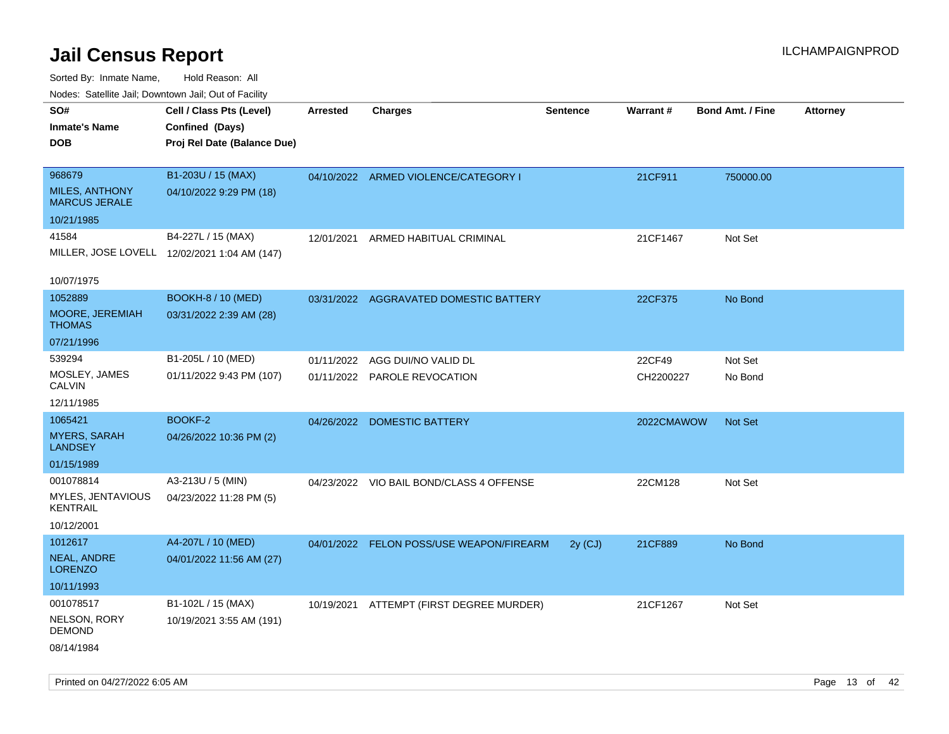| rouco. Calcinic Jan, Downtown Jan, Out of Facility |                                              |                 |                                          |                 |            |                         |                 |
|----------------------------------------------------|----------------------------------------------|-----------------|------------------------------------------|-----------------|------------|-------------------------|-----------------|
| SO#                                                | Cell / Class Pts (Level)                     | <b>Arrested</b> | <b>Charges</b>                           | <b>Sentence</b> | Warrant#   | <b>Bond Amt. / Fine</b> | <b>Attorney</b> |
| <b>Inmate's Name</b>                               | Confined (Days)                              |                 |                                          |                 |            |                         |                 |
| DOB                                                | Proj Rel Date (Balance Due)                  |                 |                                          |                 |            |                         |                 |
|                                                    |                                              |                 |                                          |                 |            |                         |                 |
| 968679                                             | B1-203U / 15 (MAX)                           |                 | 04/10/2022 ARMED VIOLENCE/CATEGORY I     |                 | 21CF911    | 750000.00               |                 |
| <b>MILES, ANTHONY</b><br><b>MARCUS JERALE</b>      | 04/10/2022 9:29 PM (18)                      |                 |                                          |                 |            |                         |                 |
| 10/21/1985                                         |                                              |                 |                                          |                 |            |                         |                 |
| 41584                                              | B4-227L / 15 (MAX)                           | 12/01/2021      | ARMED HABITUAL CRIMINAL                  |                 | 21CF1467   | Not Set                 |                 |
|                                                    | MILLER, JOSE LOVELL 12/02/2021 1:04 AM (147) |                 |                                          |                 |            |                         |                 |
|                                                    |                                              |                 |                                          |                 |            |                         |                 |
| 10/07/1975                                         |                                              |                 |                                          |                 |            |                         |                 |
| 1052889                                            | <b>BOOKH-8 / 10 (MED)</b>                    |                 | 03/31/2022 AGGRAVATED DOMESTIC BATTERY   |                 | 22CF375    | No Bond                 |                 |
| <b>MOORE, JEREMIAH</b><br>THOMAS                   | 03/31/2022 2:39 AM (28)                      |                 |                                          |                 |            |                         |                 |
| 07/21/1996                                         |                                              |                 |                                          |                 |            |                         |                 |
| 539294                                             | B1-205L / 10 (MED)                           | 01/11/2022      | AGG DUI/NO VALID DL                      |                 | 22CF49     | Not Set                 |                 |
| MOSLEY, JAMES<br>CALVIN                            | 01/11/2022 9:43 PM (107)                     |                 | 01/11/2022 PAROLE REVOCATION             |                 | CH2200227  | No Bond                 |                 |
| 12/11/1985                                         |                                              |                 |                                          |                 |            |                         |                 |
| 1065421                                            | BOOKF-2                                      |                 | 04/26/2022 DOMESTIC BATTERY              |                 | 2022CMAWOW | Not Set                 |                 |
| <b>MYERS, SARAH</b><br>LANDSEY                     | 04/26/2022 10:36 PM (2)                      |                 |                                          |                 |            |                         |                 |
| 01/15/1989                                         |                                              |                 |                                          |                 |            |                         |                 |
| 001078814                                          | A3-213U / 5 (MIN)                            |                 | 04/23/2022 VIO BAIL BOND/CLASS 4 OFFENSE |                 | 22CM128    | Not Set                 |                 |
| MYLES, JENTAVIOUS<br>KENTRAIL                      | 04/23/2022 11:28 PM (5)                      |                 |                                          |                 |            |                         |                 |
| 10/12/2001                                         |                                              |                 |                                          |                 |            |                         |                 |
| 1012617                                            | A4-207L / 10 (MED)                           |                 | 04/01/2022 FELON POSS/USE WEAPON/FIREARM | $2y$ (CJ)       | 21CF889    | No Bond                 |                 |
| <b>NEAL, ANDRE</b><br>LORENZO                      | 04/01/2022 11:56 AM (27)                     |                 |                                          |                 |            |                         |                 |
| 10/11/1993                                         |                                              |                 |                                          |                 |            |                         |                 |
| 001078517                                          | B1-102L / 15 (MAX)                           |                 | 10/19/2021 ATTEMPT (FIRST DEGREE MURDER) |                 | 21CF1267   | Not Set                 |                 |
| NELSON, RORY<br>DEMOND                             | 10/19/2021 3:55 AM (191)                     |                 |                                          |                 |            |                         |                 |
| 08/14/1984                                         |                                              |                 |                                          |                 |            |                         |                 |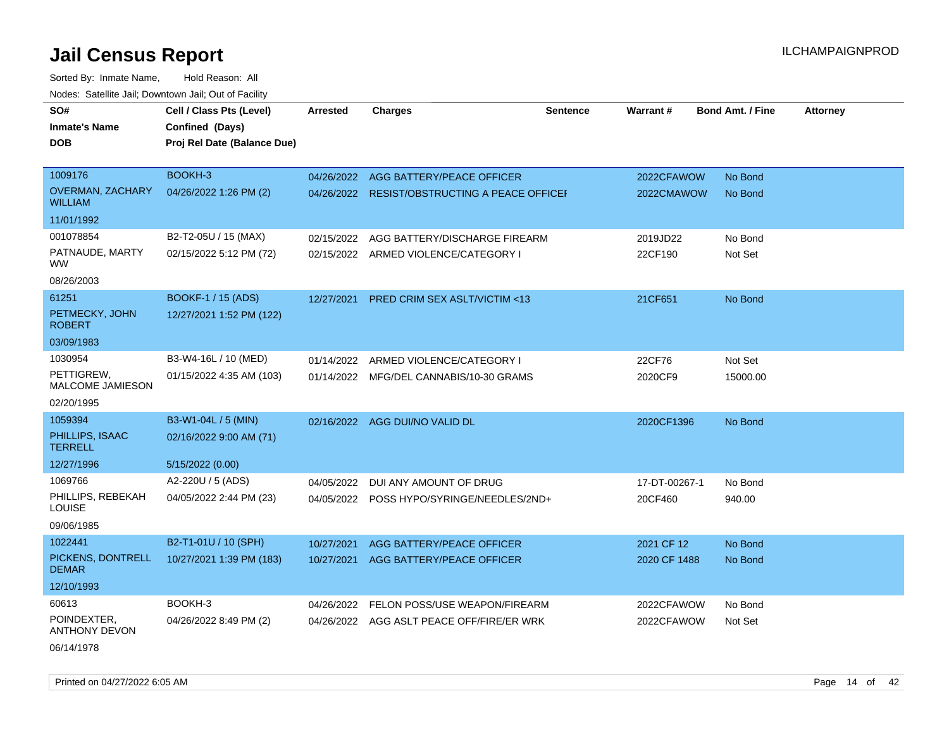Sorted By: Inmate Name, Hold Reason: All Nodes: Satellite Jail; Downtown Jail; Out of Facility

| SO#                                       | Cell / Class Pts (Level)    | <b>Arrested</b> | <b>Charges</b>                               | <b>Sentence</b> | Warrant#      | <b>Bond Amt. / Fine</b> | <b>Attorney</b> |
|-------------------------------------------|-----------------------------|-----------------|----------------------------------------------|-----------------|---------------|-------------------------|-----------------|
| <b>Inmate's Name</b>                      | Confined (Days)             |                 |                                              |                 |               |                         |                 |
| DOB                                       | Proj Rel Date (Balance Due) |                 |                                              |                 |               |                         |                 |
|                                           |                             |                 |                                              |                 |               |                         |                 |
| 1009176                                   | BOOKH-3                     | 04/26/2022      | AGG BATTERY/PEACE OFFICER                    |                 | 2022CFAWOW    | No Bond                 |                 |
| <b>OVERMAN, ZACHARY</b><br><b>WILLIAM</b> | 04/26/2022 1:26 PM (2)      |                 | 04/26/2022 RESIST/OBSTRUCTING A PEACE OFFICE |                 | 2022CMAWOW    | No Bond                 |                 |
| 11/01/1992                                |                             |                 |                                              |                 |               |                         |                 |
| 001078854                                 | B2-T2-05U / 15 (MAX)        | 02/15/2022      | AGG BATTERY/DISCHARGE FIREARM                |                 | 2019JD22      | No Bond                 |                 |
| PATNAUDE, MARTY<br><b>WW</b>              | 02/15/2022 5:12 PM (72)     | 02/15/2022      | ARMED VIOLENCE/CATEGORY I                    |                 | 22CF190       | Not Set                 |                 |
| 08/26/2003                                |                             |                 |                                              |                 |               |                         |                 |
| 61251                                     | <b>BOOKF-1 / 15 (ADS)</b>   | 12/27/2021      | <b>PRED CRIM SEX ASLT/VICTIM &lt;13</b>      |                 | 21CF651       | No Bond                 |                 |
| PETMECKY, JOHN<br><b>ROBERT</b>           | 12/27/2021 1:52 PM (122)    |                 |                                              |                 |               |                         |                 |
| 03/09/1983                                |                             |                 |                                              |                 |               |                         |                 |
| 1030954                                   | B3-W4-16L / 10 (MED)        | 01/14/2022      | ARMED VIOLENCE/CATEGORY I                    |                 | 22CF76        | Not Set                 |                 |
| PETTIGREW,<br><b>MALCOME JAMIESON</b>     | 01/15/2022 4:35 AM (103)    |                 | 01/14/2022 MFG/DEL CANNABIS/10-30 GRAMS      |                 | 2020CF9       | 15000.00                |                 |
| 02/20/1995                                |                             |                 |                                              |                 |               |                         |                 |
| 1059394                                   | B3-W1-04L / 5 (MIN)         | 02/16/2022      | AGG DUI/NO VALID DL                          |                 | 2020CF1396    | No Bond                 |                 |
| PHILLIPS, ISAAC<br><b>TERRELL</b>         | 02/16/2022 9:00 AM (71)     |                 |                                              |                 |               |                         |                 |
| 12/27/1996                                | 5/15/2022 (0.00)            |                 |                                              |                 |               |                         |                 |
| 1069766                                   | A2-220U / 5 (ADS)           | 04/05/2022      | DUI ANY AMOUNT OF DRUG                       |                 | 17-DT-00267-1 | No Bond                 |                 |
| PHILLIPS, REBEKAH<br>LOUISE               | 04/05/2022 2:44 PM (23)     |                 | 04/05/2022 POSS HYPO/SYRINGE/NEEDLES/2ND+    |                 | 20CF460       | 940.00                  |                 |
| 09/06/1985                                |                             |                 |                                              |                 |               |                         |                 |
| 1022441                                   | B2-T1-01U / 10 (SPH)        | 10/27/2021      | AGG BATTERY/PEACE OFFICER                    |                 | 2021 CF 12    | No Bond                 |                 |
| PICKENS, DONTRELL<br><b>DEMAR</b>         | 10/27/2021 1:39 PM (183)    | 10/27/2021      | AGG BATTERY/PEACE OFFICER                    |                 | 2020 CF 1488  | No Bond                 |                 |
| 12/10/1993                                |                             |                 |                                              |                 |               |                         |                 |
| 60613                                     | BOOKH-3                     | 04/26/2022      | FELON POSS/USE WEAPON/FIREARM                |                 | 2022CFAWOW    | No Bond                 |                 |
| POINDEXTER,<br>ANTHONY DEVON              | 04/26/2022 8:49 PM (2)      |                 | 04/26/2022 AGG ASLT PEACE OFF/FIRE/ER WRK    |                 | 2022CFAWOW    | Not Set                 |                 |

06/14/1978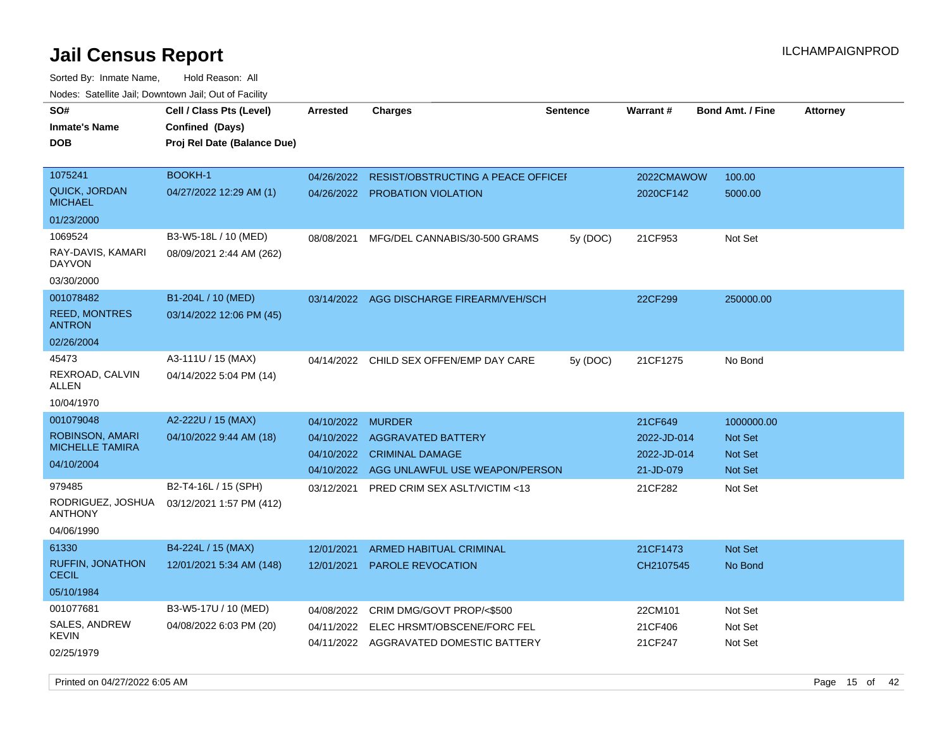Sorted By: Inmate Name, Hold Reason: All

| Nodes: Satellite Jail; Downtown Jail; Out of Facility |                             |                 |                                               |                 |                 |                         |                 |
|-------------------------------------------------------|-----------------------------|-----------------|-----------------------------------------------|-----------------|-----------------|-------------------------|-----------------|
| SO#                                                   | Cell / Class Pts (Level)    | <b>Arrested</b> | <b>Charges</b>                                | <b>Sentence</b> | <b>Warrant#</b> | <b>Bond Amt. / Fine</b> | <b>Attorney</b> |
| <b>Inmate's Name</b>                                  | Confined (Days)             |                 |                                               |                 |                 |                         |                 |
| <b>DOB</b>                                            | Proj Rel Date (Balance Due) |                 |                                               |                 |                 |                         |                 |
|                                                       |                             |                 |                                               |                 |                 |                         |                 |
| 1075241                                               | BOOKH-1                     |                 | 04/26/2022 RESIST/OBSTRUCTING A PEACE OFFICEH |                 | 2022CMAWOW      | 100.00                  |                 |
| <b>QUICK, JORDAN</b><br><b>MICHAEL</b>                | 04/27/2022 12:29 AM (1)     |                 | 04/26/2022 PROBATION VIOLATION                |                 | 2020CF142       | 5000.00                 |                 |
| 01/23/2000                                            |                             |                 |                                               |                 |                 |                         |                 |
| 1069524                                               | B3-W5-18L / 10 (MED)        | 08/08/2021      | MFG/DEL CANNABIS/30-500 GRAMS                 | 5y (DOC)        | 21CF953         | Not Set                 |                 |
| RAY-DAVIS, KAMARI<br><b>DAYVON</b>                    | 08/09/2021 2:44 AM (262)    |                 |                                               |                 |                 |                         |                 |
| 03/30/2000                                            |                             |                 |                                               |                 |                 |                         |                 |
| 001078482                                             | B1-204L / 10 (MED)          |                 | 03/14/2022 AGG DISCHARGE FIREARM/VEH/SCH      |                 | 22CF299         | 250000.00               |                 |
| <b>REED, MONTRES</b><br><b>ANTRON</b>                 | 03/14/2022 12:06 PM (45)    |                 |                                               |                 |                 |                         |                 |
| 02/26/2004                                            |                             |                 |                                               |                 |                 |                         |                 |
| 45473                                                 | A3-111U / 15 (MAX)          | 04/14/2022      | CHILD SEX OFFEN/EMP DAY CARE                  | 5y (DOC)        | 21CF1275        | No Bond                 |                 |
| REXROAD, CALVIN<br>ALLEN                              | 04/14/2022 5:04 PM (14)     |                 |                                               |                 |                 |                         |                 |
| 10/04/1970                                            |                             |                 |                                               |                 |                 |                         |                 |
| 001079048                                             | A2-222U / 15 (MAX)          | 04/10/2022      | <b>MURDER</b>                                 |                 | 21CF649         | 1000000.00              |                 |
| ROBINSON, AMARI                                       | 04/10/2022 9:44 AM (18)     |                 | 04/10/2022 AGGRAVATED BATTERY                 |                 | 2022-JD-014     | <b>Not Set</b>          |                 |
| <b>MICHELLE TAMIRA</b>                                |                             |                 | 04/10/2022 CRIMINAL DAMAGE                    |                 | 2022-JD-014     | <b>Not Set</b>          |                 |
| 04/10/2004                                            |                             |                 | 04/10/2022 AGG UNLAWFUL USE WEAPON/PERSON     |                 | 21-JD-079       | Not Set                 |                 |
| 979485                                                | B2-T4-16L / 15 (SPH)        | 03/12/2021      | PRED CRIM SEX ASLT/VICTIM <13                 |                 | 21CF282         | Not Set                 |                 |
| RODRIGUEZ, JOSHUA<br><b>ANTHONY</b>                   | 03/12/2021 1:57 PM (412)    |                 |                                               |                 |                 |                         |                 |
| 04/06/1990                                            |                             |                 |                                               |                 |                 |                         |                 |
| 61330                                                 | B4-224L / 15 (MAX)          | 12/01/2021      | ARMED HABITUAL CRIMINAL                       |                 | 21CF1473        | Not Set                 |                 |
| RUFFIN, JONATHON<br><b>CECIL</b>                      | 12/01/2021 5:34 AM (148)    | 12/01/2021      | <b>PAROLE REVOCATION</b>                      |                 | CH2107545       | No Bond                 |                 |
| 05/10/1984                                            |                             |                 |                                               |                 |                 |                         |                 |
| 001077681                                             | B3-W5-17U / 10 (MED)        | 04/08/2022      | CRIM DMG/GOVT PROP/<\$500                     |                 | 22CM101         | Not Set                 |                 |
| SALES, ANDREW                                         | 04/08/2022 6:03 PM (20)     | 04/11/2022      | ELEC HRSMT/OBSCENE/FORC FEL                   |                 | 21CF406         | Not Set                 |                 |
| <b>KEVIN</b>                                          |                             |                 | 04/11/2022 AGGRAVATED DOMESTIC BATTERY        |                 | 21CF247         | Not Set                 |                 |
| 02/25/1979                                            |                             |                 |                                               |                 |                 |                         |                 |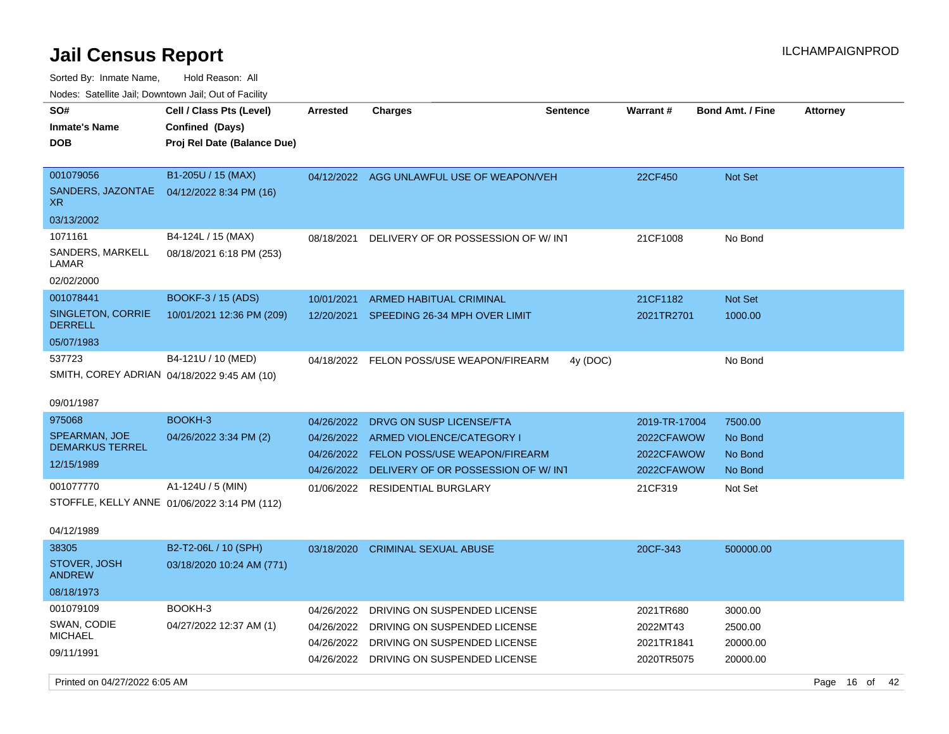Sorted By: Inmate Name, Hold Reason: All Nodes: Satellite Jail; Downtown Jail; Out of Facility

| <u>Houce.</u> Catellite ball, Downtown ball, Out of Fabilit |                                                   |                          |                                                                                    |                 |                          |                         |                 |
|-------------------------------------------------------------|---------------------------------------------------|--------------------------|------------------------------------------------------------------------------------|-----------------|--------------------------|-------------------------|-----------------|
| SO#<br><b>Inmate's Name</b>                                 | Cell / Class Pts (Level)<br>Confined (Days)       | <b>Arrested</b>          | <b>Charges</b>                                                                     | <b>Sentence</b> | Warrant#                 | <b>Bond Amt. / Fine</b> | <b>Attorney</b> |
| DOB                                                         | Proj Rel Date (Balance Due)                       |                          |                                                                                    |                 |                          |                         |                 |
| 001079056<br>SANDERS, JAZONTAE<br>XR.                       | B1-205U / 15 (MAX)<br>04/12/2022 8:34 PM (16)     |                          | 04/12/2022 AGG UNLAWFUL USE OF WEAPON/VEH                                          |                 | 22CF450                  | <b>Not Set</b>          |                 |
| 03/13/2002                                                  |                                                   |                          |                                                                                    |                 |                          |                         |                 |
| 1071161<br>SANDERS, MARKELL                                 | B4-124L / 15 (MAX)<br>08/18/2021 6:18 PM (253)    | 08/18/2021               | DELIVERY OF OR POSSESSION OF W/INT                                                 |                 | 21CF1008                 | No Bond                 |                 |
| LAMAR<br>02/02/2000                                         |                                                   |                          |                                                                                    |                 |                          |                         |                 |
| 001078441                                                   | BOOKF-3 / 15 (ADS)                                | 10/01/2021               | <b>ARMED HABITUAL CRIMINAL</b>                                                     |                 | 21CF1182                 | Not Set                 |                 |
| <b>SINGLETON, CORRIE</b><br><b>DERRELL</b>                  | 10/01/2021 12:36 PM (209)                         |                          | 12/20/2021 SPEEDING 26-34 MPH OVER LIMIT                                           |                 | 2021TR2701               | 1000.00                 |                 |
| 05/07/1983                                                  |                                                   |                          |                                                                                    |                 |                          |                         |                 |
| 537723<br>SMITH, COREY ADRIAN 04/18/2022 9:45 AM (10)       | B4-121U / 10 (MED)                                |                          | 04/18/2022 FELON POSS/USE WEAPON/FIREARM                                           | 4y (DOC)        |                          | No Bond                 |                 |
| 09/01/1987                                                  |                                                   |                          |                                                                                    |                 |                          |                         |                 |
| 975068                                                      | BOOKH-3                                           | 04/26/2022               | DRVG ON SUSP LICENSE/FTA                                                           |                 | 2019-TR-17004            | 7500.00                 |                 |
| <b>SPEARMAN, JOE</b><br><b>DEMARKUS TERREL</b>              | 04/26/2022 3:34 PM (2)                            | 04/26/2022               | ARMED VIOLENCE/CATEGORY I                                                          |                 | 2022CFAWOW               | No Bond                 |                 |
| 12/15/1989                                                  |                                                   | 04/26/2022<br>04/26/2022 | <b>FELON POSS/USE WEAPON/FIREARM</b><br>DELIVERY OF OR POSSESSION OF W/INT         |                 | 2022CFAWOW<br>2022CFAWOW | No Bond<br>No Bond      |                 |
| 001077770                                                   | $A1-124U / 5$ (MIN)                               |                          | 01/06/2022 RESIDENTIAL BURGLARY                                                    |                 | 21CF319                  | Not Set                 |                 |
|                                                             | STOFFLE, KELLY ANNE 01/06/2022 3:14 PM (112)      |                          |                                                                                    |                 |                          |                         |                 |
| 04/12/1989                                                  |                                                   |                          |                                                                                    |                 |                          |                         |                 |
| 38305<br>STOVER, JOSH<br><b>ANDREW</b>                      | B2-T2-06L / 10 (SPH)<br>03/18/2020 10:24 AM (771) | 03/18/2020               | <b>CRIMINAL SEXUAL ABUSE</b>                                                       |                 | 20CF-343                 | 500000.00               |                 |
| 08/18/1973                                                  |                                                   |                          |                                                                                    |                 |                          |                         |                 |
| 001079109                                                   | BOOKH-3                                           | 04/26/2022               | DRIVING ON SUSPENDED LICENSE                                                       |                 | 2021TR680                | 3000.00                 |                 |
| SWAN, CODIE<br><b>MICHAEL</b>                               | 04/27/2022 12:37 AM (1)                           |                          | 04/26/2022 DRIVING ON SUSPENDED LICENSE                                            |                 | 2022MT43                 | 2500.00                 |                 |
| 09/11/1991                                                  |                                                   |                          | 04/26/2022 DRIVING ON SUSPENDED LICENSE<br>04/26/2022 DRIVING ON SUSPENDED LICENSE |                 | 2021TR1841<br>2020TR5075 | 20000.00<br>20000.00    |                 |

Printed on 04/27/2022 6:05 AM Page 16 of 42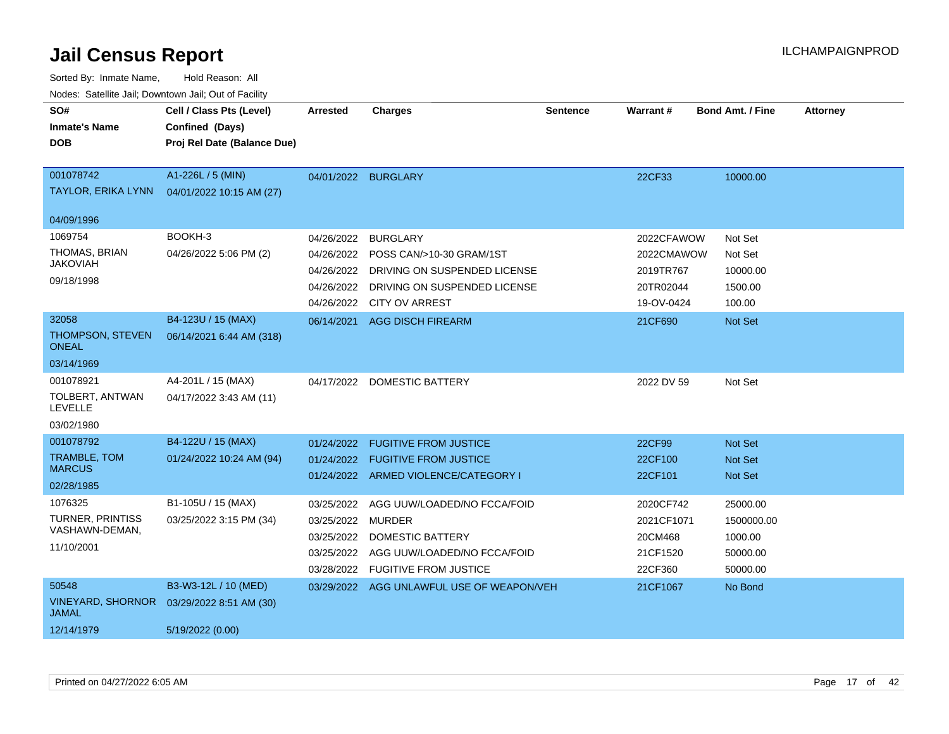| SO#<br><b>Inmate's Name</b><br><b>DOB</b>                          | Cell / Class Pts (Level)<br>Confined (Days)<br>Proj Rel Date (Balance Due) | <b>Arrested</b>                                                           | <b>Charges</b>                                                                                                         | <b>Sentence</b> | Warrant#                                                  | <b>Bond Amt. / Fine</b>                                   | <b>Attorney</b> |
|--------------------------------------------------------------------|----------------------------------------------------------------------------|---------------------------------------------------------------------------|------------------------------------------------------------------------------------------------------------------------|-----------------|-----------------------------------------------------------|-----------------------------------------------------------|-----------------|
| 001078742<br><b>TAYLOR, ERIKA LYNN</b>                             | A1-226L / 5 (MIN)<br>04/01/2022 10:15 AM (27)                              |                                                                           | 04/01/2022 BURGLARY                                                                                                    |                 | 22CF33                                                    | 10000.00                                                  |                 |
| 04/09/1996                                                         |                                                                            |                                                                           |                                                                                                                        |                 |                                                           |                                                           |                 |
| 1069754<br>THOMAS, BRIAN<br><b>JAKOVIAH</b><br>09/18/1998          | BOOKH-3<br>04/26/2022 5:06 PM (2)                                          | 04/26/2022<br>04/26/2022<br>04/26/2022                                    | <b>BURGLARY</b><br>POSS CAN/>10-30 GRAM/1ST<br>DRIVING ON SUSPENDED LICENSE<br>04/26/2022 DRIVING ON SUSPENDED LICENSE |                 | 2022CFAWOW<br>2022CMAWOW<br>2019TR767<br>20TR02044        | Not Set<br>Not Set<br>10000.00<br>1500.00                 |                 |
| 32058                                                              |                                                                            |                                                                           | 04/26/2022 CITY OV ARREST                                                                                              |                 | 19-OV-0424                                                | 100.00                                                    |                 |
| THOMPSON, STEVEN<br><b>ONEAL</b>                                   | B4-123U / 15 (MAX)<br>06/14/2021 6:44 AM (318)                             | 06/14/2021                                                                | AGG DISCH FIREARM                                                                                                      |                 | 21CF690                                                   | Not Set                                                   |                 |
| 03/14/1969                                                         |                                                                            |                                                                           |                                                                                                                        |                 |                                                           |                                                           |                 |
| 001078921<br>TOLBERT, ANTWAN<br>LEVELLE<br>03/02/1980              | A4-201L / 15 (MAX)<br>04/17/2022 3:43 AM (11)                              |                                                                           | 04/17/2022 DOMESTIC BATTERY                                                                                            |                 | 2022 DV 59                                                | Not Set                                                   |                 |
| 001078792<br><b>TRAMBLE, TOM</b><br><b>MARCUS</b><br>02/28/1985    | B4-122U / 15 (MAX)<br>01/24/2022 10:24 AM (94)                             | 01/24/2022<br>01/24/2022                                                  | <b>FUGITIVE FROM JUSTICE</b><br><b>FUGITIVE FROM JUSTICE</b><br>01/24/2022 ARMED VIOLENCE/CATEGORY I                   |                 | 22CF99<br>22CF100<br>22CF101                              | Not Set<br>Not Set<br>Not Set                             |                 |
| 1076325<br><b>TURNER, PRINTISS</b><br>VASHAWN-DEMAN,<br>11/10/2001 | B1-105U / 15 (MAX)<br>03/25/2022 3:15 PM (34)                              | 03/25/2022<br>03/25/2022 MURDER<br>03/25/2022<br>03/25/2022<br>03/28/2022 | AGG UUW/LOADED/NO FCCA/FOID<br><b>DOMESTIC BATTERY</b><br>AGG UUW/LOADED/NO FCCA/FOID<br><b>FUGITIVE FROM JUSTICE</b>  |                 | 2020CF742<br>2021CF1071<br>20CM468<br>21CF1520<br>22CF360 | 25000.00<br>1500000.00<br>1000.00<br>50000.00<br>50000.00 |                 |
| 50548<br><b>VINEYARD, SHORNOR</b><br><b>JAMAL</b><br>12/14/1979    | B3-W3-12L / 10 (MED)<br>03/29/2022 8:51 AM (30)<br>5/19/2022 (0.00)        |                                                                           | 03/29/2022 AGG UNLAWFUL USE OF WEAPON/VEH                                                                              |                 | 21CF1067                                                  | No Bond                                                   |                 |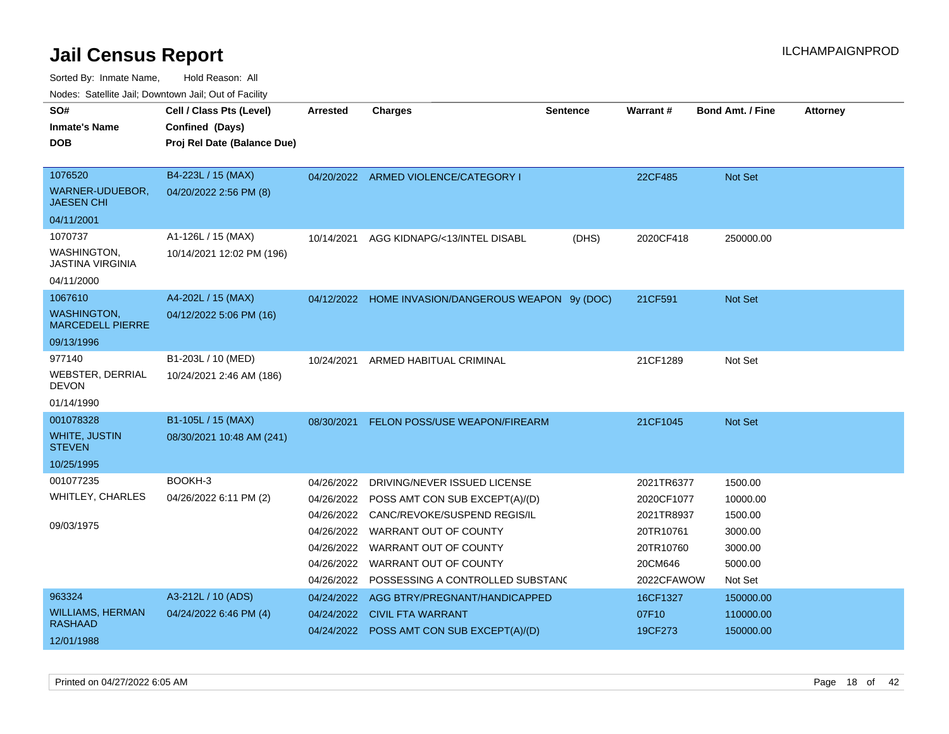Sorted By: Inmate Name, Hold Reason: All

Nodes: Satellite Jail; Downtown Jail; Out of Facility

| SO#                                           | Cell / Class Pts (Level)    | Arrested   | <b>Charges</b>                                     | <b>Sentence</b> | Warrant#   | <b>Bond Amt. / Fine</b> | <b>Attorney</b> |
|-----------------------------------------------|-----------------------------|------------|----------------------------------------------------|-----------------|------------|-------------------------|-----------------|
| <b>Inmate's Name</b>                          | Confined (Days)             |            |                                                    |                 |            |                         |                 |
| <b>DOB</b>                                    | Proj Rel Date (Balance Due) |            |                                                    |                 |            |                         |                 |
|                                               |                             |            |                                                    |                 |            |                         |                 |
| 1076520                                       | B4-223L / 15 (MAX)          |            | 04/20/2022 ARMED VIOLENCE/CATEGORY I               |                 | 22CF485    | Not Set                 |                 |
| WARNER-UDUEBOR,<br><b>JAESEN CHI</b>          | 04/20/2022 2:56 PM (8)      |            |                                                    |                 |            |                         |                 |
| 04/11/2001                                    |                             |            |                                                    |                 |            |                         |                 |
| 1070737                                       | A1-126L / 15 (MAX)          | 10/14/2021 | AGG KIDNAPG/<13/INTEL DISABL                       | (DHS)           | 2020CF418  | 250000.00               |                 |
| WASHINGTON,<br><b>JASTINA VIRGINIA</b>        | 10/14/2021 12:02 PM (196)   |            |                                                    |                 |            |                         |                 |
| 04/11/2000                                    |                             |            |                                                    |                 |            |                         |                 |
| 1067610                                       | A4-202L / 15 (MAX)          |            | 04/12/2022 HOME INVASION/DANGEROUS WEAPON 9y (DOC) |                 | 21CF591    | Not Set                 |                 |
| <b>WASHINGTON,</b><br><b>MARCEDELL PIERRE</b> | 04/12/2022 5:06 PM (16)     |            |                                                    |                 |            |                         |                 |
| 09/13/1996                                    |                             |            |                                                    |                 |            |                         |                 |
| 977140                                        | B1-203L / 10 (MED)          | 10/24/2021 | ARMED HABITUAL CRIMINAL                            |                 | 21CF1289   | Not Set                 |                 |
| <b>WEBSTER, DERRIAL</b><br><b>DEVON</b>       | 10/24/2021 2:46 AM (186)    |            |                                                    |                 |            |                         |                 |
| 01/14/1990                                    |                             |            |                                                    |                 |            |                         |                 |
| 001078328                                     | B1-105L / 15 (MAX)          | 08/30/2021 | FELON POSS/USE WEAPON/FIREARM                      |                 | 21CF1045   | Not Set                 |                 |
| <b>WHITE, JUSTIN</b><br><b>STEVEN</b>         | 08/30/2021 10:48 AM (241)   |            |                                                    |                 |            |                         |                 |
| 10/25/1995                                    |                             |            |                                                    |                 |            |                         |                 |
| 001077235                                     | BOOKH-3                     | 04/26/2022 | DRIVING/NEVER ISSUED LICENSE                       |                 | 2021TR6377 | 1500.00                 |                 |
| WHITLEY, CHARLES                              | 04/26/2022 6:11 PM (2)      | 04/26/2022 | POSS AMT CON SUB EXCEPT(A)/(D)                     |                 | 2020CF1077 | 10000.00                |                 |
|                                               |                             | 04/26/2022 | CANC/REVOKE/SUSPEND REGIS/IL                       |                 | 2021TR8937 | 1500.00                 |                 |
| 09/03/1975                                    |                             | 04/26/2022 | WARRANT OUT OF COUNTY                              |                 | 20TR10761  | 3000.00                 |                 |
|                                               |                             | 04/26/2022 | WARRANT OUT OF COUNTY                              |                 | 20TR10760  | 3000.00                 |                 |
|                                               |                             | 04/26/2022 | WARRANT OUT OF COUNTY                              |                 | 20CM646    | 5000.00                 |                 |
|                                               |                             |            | 04/26/2022 POSSESSING A CONTROLLED SUBSTANO        |                 | 2022CFAWOW | Not Set                 |                 |
| 963324                                        | A3-212L / 10 (ADS)          | 04/24/2022 | AGG BTRY/PREGNANT/HANDICAPPED                      |                 | 16CF1327   | 150000.00               |                 |
| <b>WILLIAMS, HERMAN</b>                       | 04/24/2022 6:46 PM (4)      | 04/24/2022 | <b>CIVIL FTA WARRANT</b>                           |                 | 07F10      | 110000.00               |                 |
| <b>RASHAAD</b>                                |                             |            | 04/24/2022 POSS AMT CON SUB EXCEPT(A)/(D)          |                 | 19CF273    | 150000.00               |                 |
| 12/01/1988                                    |                             |            |                                                    |                 |            |                         |                 |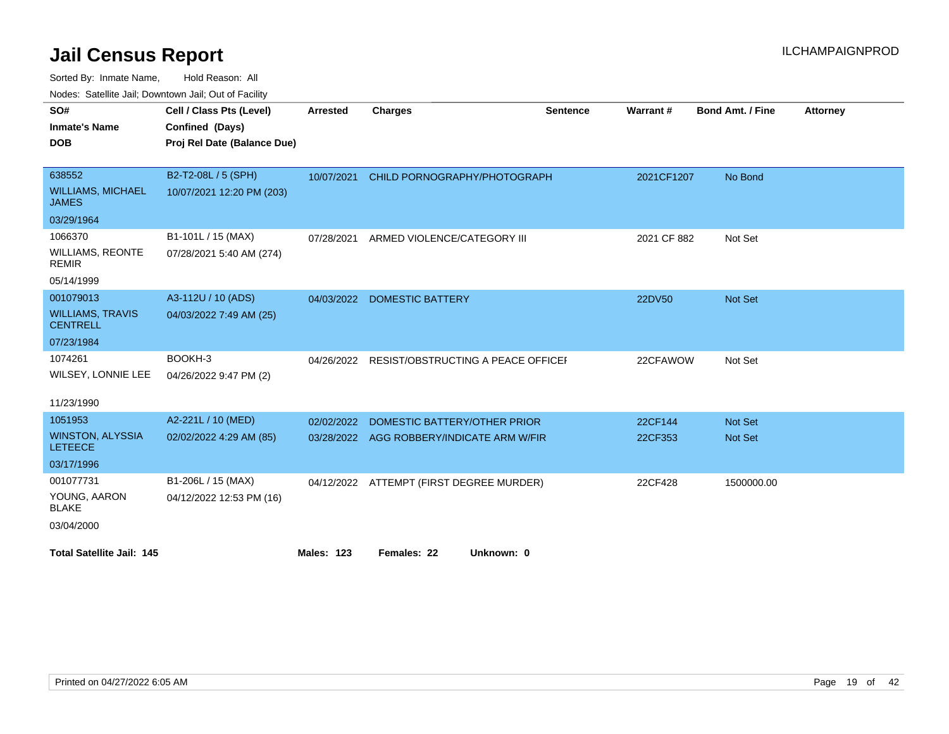Sorted By: Inmate Name, Hold Reason: All

| Nodes: Satellite Jail; Downtown Jail; Out of Facility |
|-------------------------------------------------------|
|-------------------------------------------------------|

| SO#                                        | Cell / Class Pts (Level)    | <b>Arrested</b>   | <b>Charges</b>                            | <b>Sentence</b> | Warrant#    | <b>Bond Amt. / Fine</b> | <b>Attorney</b> |
|--------------------------------------------|-----------------------------|-------------------|-------------------------------------------|-----------------|-------------|-------------------------|-----------------|
| <b>Inmate's Name</b>                       | Confined (Days)             |                   |                                           |                 |             |                         |                 |
| <b>DOB</b>                                 | Proj Rel Date (Balance Due) |                   |                                           |                 |             |                         |                 |
|                                            |                             |                   |                                           |                 |             |                         |                 |
| 638552                                     | B2-T2-08L / 5 (SPH)         | 10/07/2021        | CHILD PORNOGRAPHY/PHOTOGRAPH              |                 | 2021CF1207  | No Bond                 |                 |
| <b>WILLIAMS, MICHAEL</b><br><b>JAMES</b>   | 10/07/2021 12:20 PM (203)   |                   |                                           |                 |             |                         |                 |
| 03/29/1964                                 |                             |                   |                                           |                 |             |                         |                 |
| 1066370                                    | B1-101L / 15 (MAX)          | 07/28/2021        | ARMED VIOLENCE/CATEGORY III               |                 | 2021 CF 882 | Not Set                 |                 |
| <b>WILLIAMS, REONTE</b><br><b>REMIR</b>    | 07/28/2021 5:40 AM (274)    |                   |                                           |                 |             |                         |                 |
| 05/14/1999                                 |                             |                   |                                           |                 |             |                         |                 |
| 001079013                                  | A3-112U / 10 (ADS)          | 04/03/2022        | <b>DOMESTIC BATTERY</b>                   |                 | 22DV50      | <b>Not Set</b>          |                 |
| <b>WILLIAMS, TRAVIS</b><br><b>CENTRELL</b> | 04/03/2022 7:49 AM (25)     |                   |                                           |                 |             |                         |                 |
| 07/23/1984                                 |                             |                   |                                           |                 |             |                         |                 |
| 1074261                                    | BOOKH-3                     | 04/26/2022        | RESIST/OBSTRUCTING A PEACE OFFICEL        |                 | 22CFAWOW    | Not Set                 |                 |
| WILSEY, LONNIE LEE                         | 04/26/2022 9:47 PM (2)      |                   |                                           |                 |             |                         |                 |
|                                            |                             |                   |                                           |                 |             |                         |                 |
| 11/23/1990                                 |                             |                   |                                           |                 |             |                         |                 |
| 1051953                                    | A2-221L / 10 (MED)          | 02/02/2022        | DOMESTIC BATTERY/OTHER PRIOR              |                 | 22CF144     | <b>Not Set</b>          |                 |
| <b>WINSTON, ALYSSIA</b><br><b>LETEECE</b>  | 02/02/2022 4:29 AM (85)     |                   | 03/28/2022 AGG ROBBERY/INDICATE ARM W/FIR |                 | 22CF353     | <b>Not Set</b>          |                 |
| 03/17/1996                                 |                             |                   |                                           |                 |             |                         |                 |
| 001077731                                  | B1-206L / 15 (MAX)          | 04/12/2022        | ATTEMPT (FIRST DEGREE MURDER)             |                 | 22CF428     | 1500000.00              |                 |
| YOUNG, AARON<br><b>BLAKE</b>               | 04/12/2022 12:53 PM (16)    |                   |                                           |                 |             |                         |                 |
| 03/04/2000                                 |                             |                   |                                           |                 |             |                         |                 |
|                                            |                             |                   |                                           |                 |             |                         |                 |
| <b>Total Satellite Jail: 145</b>           |                             | <b>Males: 123</b> | Females: 22<br>Unknown: 0                 |                 |             |                         |                 |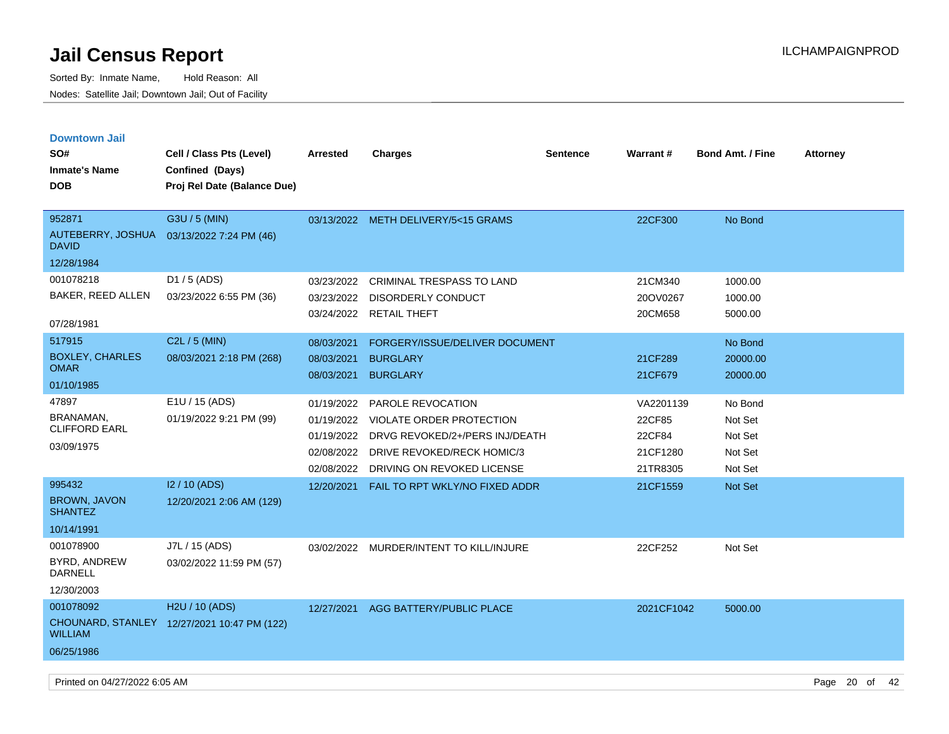| <b>Downtown Jail</b><br>SO#<br><b>Inmate's Name</b><br><b>DOB</b> | Cell / Class Pts (Level)<br>Confined (Days)<br>Proj Rel Date (Balance Due) | <b>Arrested</b>                                                    | <b>Charges</b>                                                                                                                                     | <b>Sentence</b> | <b>Warrant#</b>                                       | <b>Bond Amt. / Fine</b>                             | <b>Attorney</b> |
|-------------------------------------------------------------------|----------------------------------------------------------------------------|--------------------------------------------------------------------|----------------------------------------------------------------------------------------------------------------------------------------------------|-----------------|-------------------------------------------------------|-----------------------------------------------------|-----------------|
|                                                                   |                                                                            |                                                                    |                                                                                                                                                    |                 |                                                       |                                                     |                 |
| 952871<br>AUTEBERRY, JOSHUA<br><b>DAVID</b>                       | G3U / 5 (MIN)<br>03/13/2022 7:24 PM (46)                                   |                                                                    | 03/13/2022 METH DELIVERY/5<15 GRAMS                                                                                                                |                 | 22CF300                                               | No Bond                                             |                 |
| 12/28/1984                                                        |                                                                            |                                                                    |                                                                                                                                                    |                 |                                                       |                                                     |                 |
| 001078218<br>BAKER, REED ALLEN<br>07/28/1981                      | D1 / 5 (ADS)<br>03/23/2022 6:55 PM (36)                                    | 03/23/2022<br>03/23/2022<br>03/24/2022                             | <b>CRIMINAL TRESPASS TO LAND</b><br><b>DISORDERLY CONDUCT</b><br><b>RETAIL THEFT</b>                                                               |                 | 21CM340<br>20OV0267<br>20CM658                        | 1000.00<br>1000.00<br>5000.00                       |                 |
| 517915<br><b>BOXLEY, CHARLES</b><br><b>OMAR</b><br>01/10/1985     | C2L / 5 (MIN)<br>08/03/2021 2:18 PM (268)                                  | 08/03/2021<br>08/03/2021<br>08/03/2021                             | FORGERY/ISSUE/DELIVER DOCUMENT<br><b>BURGLARY</b><br><b>BURGLARY</b>                                                                               |                 | 21CF289<br>21CF679                                    | No Bond<br>20000.00<br>20000.00                     |                 |
| 47897<br>BRANAMAN,<br><b>CLIFFORD EARL</b><br>03/09/1975          | E1U / 15 (ADS)<br>01/19/2022 9:21 PM (99)                                  | 01/19/2022<br>01/19/2022<br>01/19/2022<br>02/08/2022<br>02/08/2022 | <b>PAROLE REVOCATION</b><br>VIOLATE ORDER PROTECTION<br>DRVG REVOKED/2+/PERS INJ/DEATH<br>DRIVE REVOKED/RECK HOMIC/3<br>DRIVING ON REVOKED LICENSE |                 | VA2201139<br>22CF85<br>22CF84<br>21CF1280<br>21TR8305 | No Bond<br>Not Set<br>Not Set<br>Not Set<br>Not Set |                 |
| 995432<br><b>BROWN, JAVON</b><br><b>SHANTEZ</b><br>10/14/1991     | I2 / 10 (ADS)<br>12/20/2021 2:06 AM (129)                                  | 12/20/2021                                                         | FAIL TO RPT WKLY/NO FIXED ADDR                                                                                                                     |                 | 21CF1559                                              | <b>Not Set</b>                                      |                 |
| 001078900<br>BYRD, ANDREW<br>DARNELL<br>12/30/2003                | J7L / 15 (ADS)<br>03/02/2022 11:59 PM (57)                                 |                                                                    | 03/02/2022 MURDER/INTENT TO KILL/INJURE                                                                                                            |                 | 22CF252                                               | Not Set                                             |                 |
| 001078092<br><b>WILLIAM</b><br>06/25/1986                         | H <sub>2</sub> U / 10 (ADS)<br>CHOUNARD, STANLEY 12/27/2021 10:47 PM (122) | 12/27/2021                                                         | AGG BATTERY/PUBLIC PLACE                                                                                                                           |                 | 2021CF1042                                            | 5000.00                                             |                 |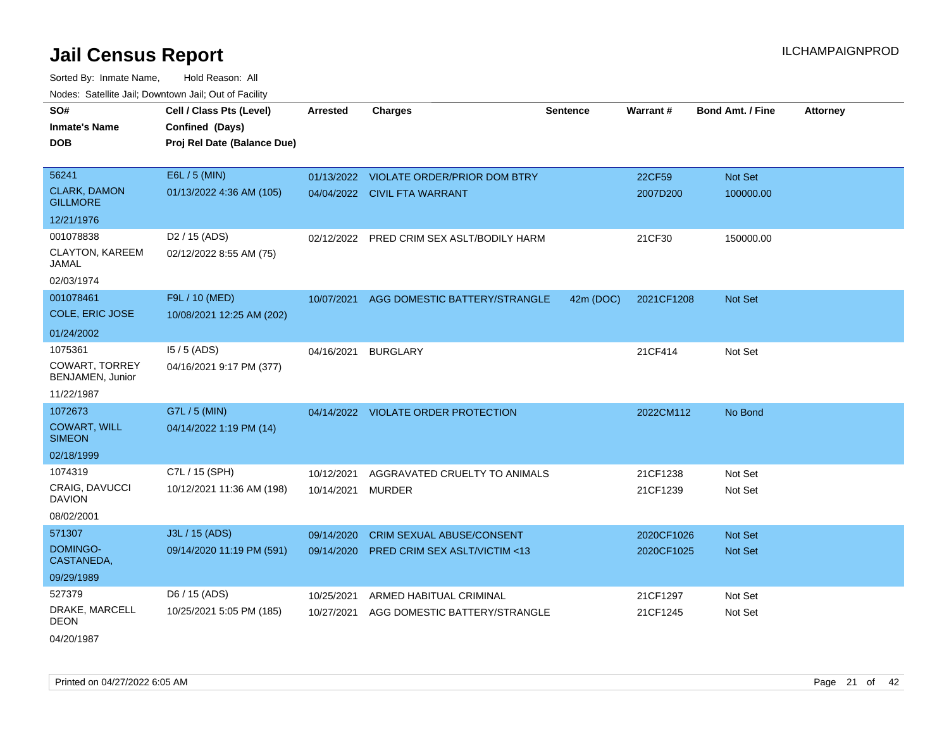Sorted By: Inmate Name, Hold Reason: All Nodes: Satellite Jail; Downtown Jail; Out of Facility

| SO#                                       | Cell / Class Pts (Level)    | <b>Arrested</b> | <b>Charges</b>                          | <b>Sentence</b> | Warrant#   | Bond Amt. / Fine | <b>Attorney</b> |
|-------------------------------------------|-----------------------------|-----------------|-----------------------------------------|-----------------|------------|------------------|-----------------|
| <b>Inmate's Name</b>                      | Confined (Days)             |                 |                                         |                 |            |                  |                 |
| <b>DOB</b>                                | Proj Rel Date (Balance Due) |                 |                                         |                 |            |                  |                 |
|                                           |                             |                 |                                         |                 |            |                  |                 |
| 56241                                     | E6L / 5 (MIN)               | 01/13/2022      | <b>VIOLATE ORDER/PRIOR DOM BTRY</b>     |                 | 22CF59     | Not Set          |                 |
| <b>CLARK, DAMON</b><br><b>GILLMORE</b>    | 01/13/2022 4:36 AM (105)    |                 | 04/04/2022 CIVIL FTA WARRANT            |                 | 2007D200   | 100000.00        |                 |
| 12/21/1976                                |                             |                 |                                         |                 |            |                  |                 |
| 001078838                                 | D <sub>2</sub> / 15 (ADS)   | 02/12/2022      | PRED CRIM SEX ASLT/BODILY HARM          |                 | 21CF30     | 150000.00        |                 |
| CLAYTON, KAREEM<br>JAMAL                  | 02/12/2022 8:55 AM (75)     |                 |                                         |                 |            |                  |                 |
| 02/03/1974                                |                             |                 |                                         |                 |            |                  |                 |
| 001078461                                 | F9L / 10 (MED)              | 10/07/2021      | AGG DOMESTIC BATTERY/STRANGLE           | 42m (DOC)       | 2021CF1208 | <b>Not Set</b>   |                 |
| COLE, ERIC JOSE                           | 10/08/2021 12:25 AM (202)   |                 |                                         |                 |            |                  |                 |
| 01/24/2002                                |                             |                 |                                         |                 |            |                  |                 |
| 1075361                                   | $15/5$ (ADS)                | 04/16/2021      | <b>BURGLARY</b>                         |                 | 21CF414    | Not Set          |                 |
| <b>COWART, TORREY</b><br>BENJAMEN, Junior | 04/16/2021 9:17 PM (377)    |                 |                                         |                 |            |                  |                 |
| 11/22/1987                                |                             |                 |                                         |                 |            |                  |                 |
| 1072673                                   | G7L / 5 (MIN)               |                 | 04/14/2022 VIOLATE ORDER PROTECTION     |                 | 2022CM112  | No Bond          |                 |
| <b>COWART, WILL</b><br><b>SIMEON</b>      | 04/14/2022 1:19 PM (14)     |                 |                                         |                 |            |                  |                 |
| 02/18/1999                                |                             |                 |                                         |                 |            |                  |                 |
| 1074319                                   | C7L / 15 (SPH)              | 10/12/2021      | AGGRAVATED CRUELTY TO ANIMALS           |                 | 21CF1238   | Not Set          |                 |
| <b>CRAIG, DAVUCCI</b><br><b>DAVION</b>    | 10/12/2021 11:36 AM (198)   | 10/14/2021      | <b>MURDER</b>                           |                 | 21CF1239   | Not Set          |                 |
| 08/02/2001                                |                             |                 |                                         |                 |            |                  |                 |
| 571307                                    | J3L / 15 (ADS)              | 09/14/2020      | <b>CRIM SEXUAL ABUSE/CONSENT</b>        |                 | 2020CF1026 | <b>Not Set</b>   |                 |
| DOMINGO-<br>CASTANEDA,                    | 09/14/2020 11:19 PM (591)   | 09/14/2020      | <b>PRED CRIM SEX ASLT/VICTIM &lt;13</b> |                 | 2020CF1025 | Not Set          |                 |
| 09/29/1989                                |                             |                 |                                         |                 |            |                  |                 |
| 527379                                    | D6 / 15 (ADS)               | 10/25/2021      | ARMED HABITUAL CRIMINAL                 |                 | 21CF1297   | Not Set          |                 |
| DRAKE, MARCELL<br>DEON                    | 10/25/2021 5:05 PM (185)    | 10/27/2021      | AGG DOMESTIC BATTERY/STRANGLE           |                 | 21CF1245   | Not Set          |                 |
|                                           |                             |                 |                                         |                 |            |                  |                 |

04/20/1987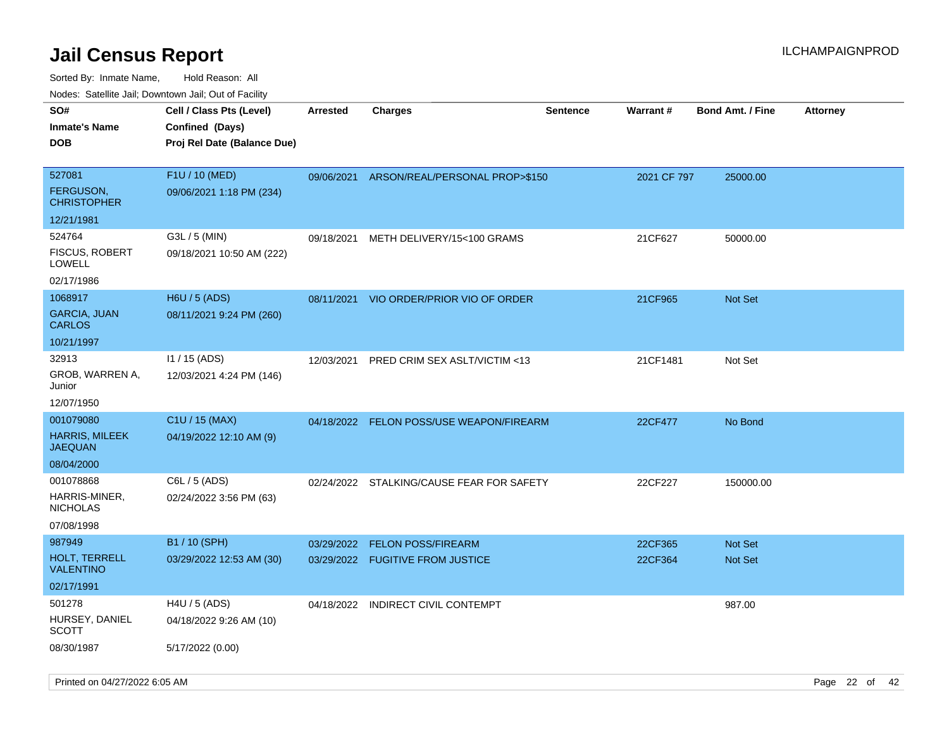| ivouss. Saleline Jali, Downtown Jali, Out of Facility<br>SO# | Cell / Class Pts (Level)                    | <b>Arrested</b> | <b>Charges</b>                            | <b>Sentence</b> | <b>Warrant#</b> | <b>Bond Amt. / Fine</b> | <b>Attorney</b> |
|--------------------------------------------------------------|---------------------------------------------|-----------------|-------------------------------------------|-----------------|-----------------|-------------------------|-----------------|
| Inmate's Name                                                | Confined (Days)                             |                 |                                           |                 |                 |                         |                 |
| DOB                                                          | Proj Rel Date (Balance Due)                 |                 |                                           |                 |                 |                         |                 |
|                                                              |                                             |                 |                                           |                 |                 |                         |                 |
| 527081                                                       | F1U / 10 (MED)                              | 09/06/2021      | ARSON/REAL/PERSONAL PROP>\$150            |                 | 2021 CF 797     | 25000.00                |                 |
| FERGUSON,<br>CHRISTOPHER                                     | 09/06/2021 1:18 PM (234)                    |                 |                                           |                 |                 |                         |                 |
| 12/21/1981                                                   |                                             |                 |                                           |                 |                 |                         |                 |
| 524764                                                       | $G3L / 5$ (MIN)                             | 09/18/2021      | METH DELIVERY/15<100 GRAMS                |                 | 21CF627         | 50000.00                |                 |
| <b>FISCUS, ROBERT</b><br>LOWELL                              | 09/18/2021 10:50 AM (222)                   |                 |                                           |                 |                 |                         |                 |
| 02/17/1986                                                   |                                             |                 |                                           |                 |                 |                         |                 |
| 1068917                                                      | H6U / 5 (ADS)                               | 08/11/2021      | VIO ORDER/PRIOR VIO OF ORDER              |                 | 21CF965         | <b>Not Set</b>          |                 |
| GARCIA, JUAN<br>CARLOS                                       | 08/11/2021 9:24 PM (260)                    |                 |                                           |                 |                 |                         |                 |
| 10/21/1997                                                   |                                             |                 |                                           |                 |                 |                         |                 |
| 32913<br>GROB, WARREN A,<br>Junior                           | $11 / 15$ (ADS)<br>12/03/2021 4:24 PM (146) | 12/03/2021      | PRED CRIM SEX ASLT/VICTIM <13             |                 | 21CF1481        | Not Set                 |                 |
| 12/07/1950                                                   |                                             |                 |                                           |                 |                 |                         |                 |
| 001079080                                                    | C1U / 15 (MAX)                              |                 | 04/18/2022 FELON POSS/USE WEAPON/FIREARM  |                 | 22CF477         | No Bond                 |                 |
| <b>HARRIS, MILEEK</b><br>JAEQUAN                             | 04/19/2022 12:10 AM (9)                     |                 |                                           |                 |                 |                         |                 |
| 08/04/2000                                                   |                                             |                 |                                           |                 |                 |                         |                 |
| 001078868                                                    | C6L / 5 (ADS)                               |                 | 02/24/2022 STALKING/CAUSE FEAR FOR SAFETY |                 | 22CF227         | 150000.00               |                 |
| HARRIS-MINER,<br>NICHOLAS                                    | 02/24/2022 3:56 PM (63)                     |                 |                                           |                 |                 |                         |                 |
| 07/08/1998                                                   |                                             |                 |                                           |                 |                 |                         |                 |
| 987949                                                       | B1 / 10 (SPH)                               | 03/29/2022      | <b>FELON POSS/FIREARM</b>                 |                 | 22CF365         | <b>Not Set</b>          |                 |
| <b>HOLT, TERRELL</b><br><b>VALENTINO</b>                     | 03/29/2022 12:53 AM (30)                    |                 | 03/29/2022 FUGITIVE FROM JUSTICE          |                 | 22CF364         | <b>Not Set</b>          |                 |
| 02/17/1991                                                   |                                             |                 |                                           |                 |                 |                         |                 |
| 501278                                                       | $H4U / 5$ (ADS)                             | 04/18/2022      | <b>INDIRECT CIVIL CONTEMPT</b>            |                 |                 | 987.00                  |                 |
| HURSEY, DANIEL<br>SCOTT                                      | 04/18/2022 9:26 AM (10)                     |                 |                                           |                 |                 |                         |                 |
| 08/30/1987                                                   | 5/17/2022 (0.00)                            |                 |                                           |                 |                 |                         |                 |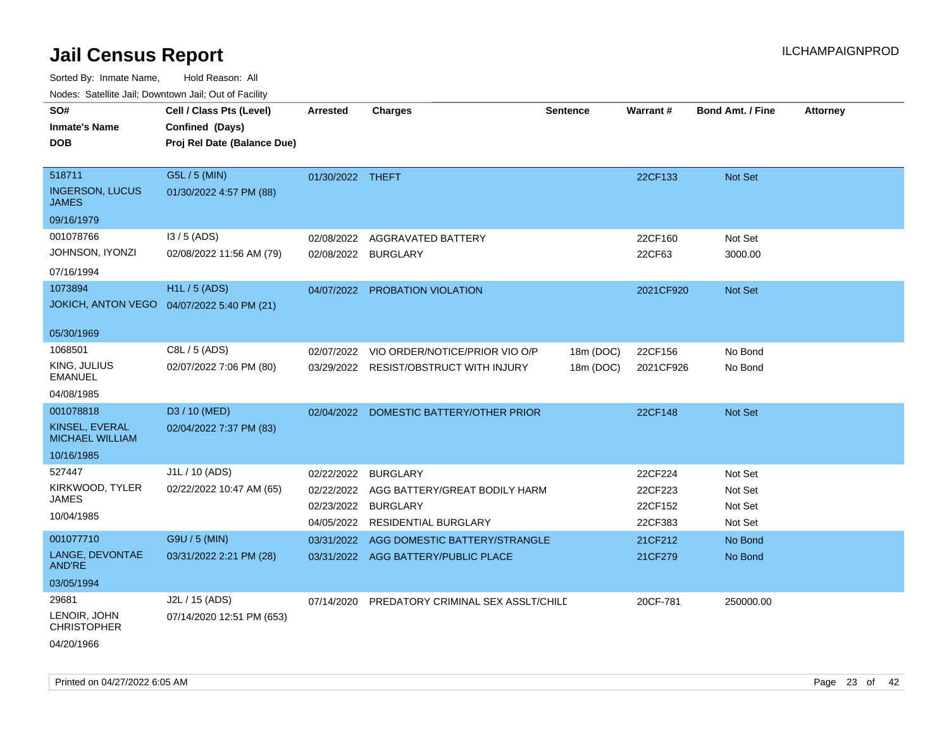Sorted By: Inmate Name, Hold Reason: All

| Nodes: Satellite Jail; Downtown Jail; Out of Facility |  |
|-------------------------------------------------------|--|
|-------------------------------------------------------|--|

| SO#<br><b>Inmate's Name</b><br><b>DOB</b>                           | Cell / Class Pts (Level)<br>Confined (Days)<br>Proj Rel Date (Balance Due) | <b>Arrested</b>                                      | <b>Charges</b>                                                                                     | <b>Sentence</b>        | <b>Warrant#</b>                          | <b>Bond Amt. / Fine</b>                  | <b>Attorney</b> |
|---------------------------------------------------------------------|----------------------------------------------------------------------------|------------------------------------------------------|----------------------------------------------------------------------------------------------------|------------------------|------------------------------------------|------------------------------------------|-----------------|
| 518711<br><b>INGERSON, LUCUS</b><br><b>JAMES</b><br>09/16/1979      | G5L / 5 (MIN)<br>01/30/2022 4:57 PM (88)                                   | 01/30/2022 THEFT                                     |                                                                                                    |                        | 22CF133                                  | Not Set                                  |                 |
| 001078766<br>JOHNSON, IYONZI<br>07/16/1994                          | $13/5$ (ADS)<br>02/08/2022 11:56 AM (79)                                   | 02/08/2022                                           | AGGRAVATED BATTERY<br>02/08/2022 BURGLARY                                                          |                        | 22CF160<br>22CF63                        | Not Set<br>3000.00                       |                 |
| 1073894<br><b>JOKICH, ANTON VEGO</b><br>05/30/1969                  | <b>H1L/5 (ADS)</b><br>04/07/2022 5:40 PM (21)                              |                                                      | 04/07/2022 PROBATION VIOLATION                                                                     |                        | 2021CF920                                | Not Set                                  |                 |
| 1068501<br>KING, JULIUS<br><b>EMANUEL</b><br>04/08/1985             | C8L / 5 (ADS)<br>02/07/2022 7:06 PM (80)                                   | 02/07/2022                                           | VIO ORDER/NOTICE/PRIOR VIO O/P<br>03/29/2022 RESIST/OBSTRUCT WITH INJURY                           | 18m (DOC)<br>18m (DOC) | 22CF156<br>2021CF926                     | No Bond<br>No Bond                       |                 |
| 001078818<br>KINSEL, EVERAL<br><b>MICHAEL WILLIAM</b><br>10/16/1985 | D3 / 10 (MED)<br>02/04/2022 7:37 PM (83)                                   | 02/04/2022                                           | DOMESTIC BATTERY/OTHER PRIOR                                                                       |                        | 22CF148                                  | Not Set                                  |                 |
| 527447<br>KIRKWOOD, TYLER<br><b>JAMES</b><br>10/04/1985             | J1L / 10 (ADS)<br>02/22/2022 10:47 AM (65)                                 | 02/22/2022<br>02/22/2022<br>02/23/2022<br>04/05/2022 | <b>BURGLARY</b><br>AGG BATTERY/GREAT BODILY HARM<br><b>BURGLARY</b><br><b>RESIDENTIAL BURGLARY</b> |                        | 22CF224<br>22CF223<br>22CF152<br>22CF383 | Not Set<br>Not Set<br>Not Set<br>Not Set |                 |
| 001077710<br>LANGE, DEVONTAE<br><b>AND'RE</b><br>03/05/1994         | G9U / 5 (MIN)<br>03/31/2022 2:21 PM (28)                                   | 03/31/2022                                           | AGG DOMESTIC BATTERY/STRANGLE<br>03/31/2022 AGG BATTERY/PUBLIC PLACE                               |                        | 21CF212<br>21CF279                       | No Bond<br>No Bond                       |                 |
| 29681<br>LENOIR, JOHN<br><b>CHRISTOPHER</b><br>04/20/1966           | J2L / 15 (ADS)<br>07/14/2020 12:51 PM (653)                                | 07/14/2020                                           | PREDATORY CRIMINAL SEX ASSLT/CHILD                                                                 |                        | 20CF-781                                 | 250000.00                                |                 |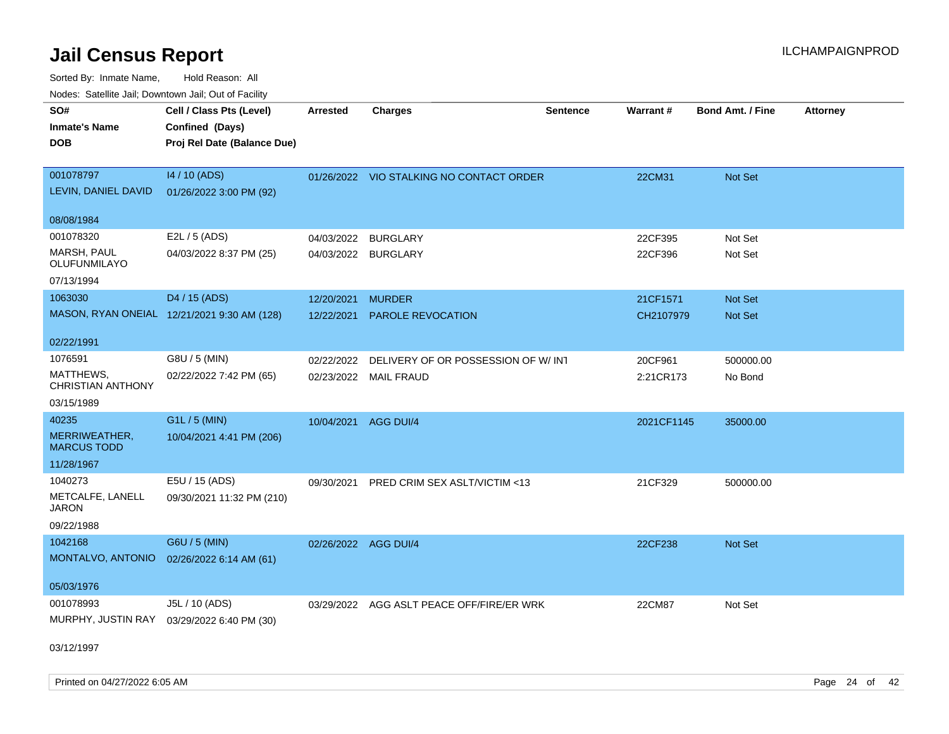Sorted By: Inmate Name, Hold Reason: All Nodes: Satellite Jail; Downtown Jail; Out of Facility

| roacs. Catellite Jall, Downtown Jall, Out of Facility |                                             |                      |                                           |                 |            |                  |                 |
|-------------------------------------------------------|---------------------------------------------|----------------------|-------------------------------------------|-----------------|------------|------------------|-----------------|
| SO#                                                   | Cell / Class Pts (Level)                    | <b>Arrested</b>      | <b>Charges</b>                            | <b>Sentence</b> | Warrant#   | Bond Amt. / Fine | <b>Attorney</b> |
| <b>Inmate's Name</b>                                  | Confined (Days)                             |                      |                                           |                 |            |                  |                 |
| <b>DOB</b>                                            | Proj Rel Date (Balance Due)                 |                      |                                           |                 |            |                  |                 |
|                                                       |                                             |                      |                                           |                 |            |                  |                 |
| 001078797                                             | 14 / 10 (ADS)                               |                      | 01/26/2022 VIO STALKING NO CONTACT ORDER  |                 | 22CM31     | <b>Not Set</b>   |                 |
| LEVIN, DANIEL DAVID                                   | 01/26/2022 3:00 PM (92)                     |                      |                                           |                 |            |                  |                 |
|                                                       |                                             |                      |                                           |                 |            |                  |                 |
| 08/08/1984                                            |                                             |                      |                                           |                 |            |                  |                 |
| 001078320                                             | E2L / 5 (ADS)                               | 04/03/2022           | BURGLARY                                  |                 | 22CF395    | Not Set          |                 |
| MARSH, PAUL<br>OLUFUNMILAYO                           | 04/03/2022 8:37 PM (25)                     |                      | 04/03/2022 BURGLARY                       |                 | 22CF396    | Not Set          |                 |
| 07/13/1994                                            |                                             |                      |                                           |                 |            |                  |                 |
| 1063030                                               | D4 / 15 (ADS)                               | 12/20/2021           | <b>MURDER</b>                             |                 | 21CF1571   | Not Set          |                 |
|                                                       | MASON, RYAN ONEIAL 12/21/2021 9:30 AM (128) | 12/22/2021           | <b>PAROLE REVOCATION</b>                  |                 | CH2107979  | <b>Not Set</b>   |                 |
|                                                       |                                             |                      |                                           |                 |            |                  |                 |
| 02/22/1991                                            |                                             |                      |                                           |                 |            |                  |                 |
| 1076591                                               | G8U / 5 (MIN)                               | 02/22/2022           | DELIVERY OF OR POSSESSION OF W/ INT       |                 | 20CF961    | 500000.00        |                 |
| MATTHEWS,<br><b>CHRISTIAN ANTHONY</b>                 | 02/22/2022 7:42 PM (65)                     |                      | 02/23/2022 MAIL FRAUD                     |                 | 2:21CR173  | No Bond          |                 |
| 03/15/1989                                            |                                             |                      |                                           |                 |            |                  |                 |
| 40235                                                 | G1L / 5 (MIN)                               | 10/04/2021           | AGG DUI/4                                 |                 | 2021CF1145 | 35000.00         |                 |
| MERRIWEATHER,<br><b>MARCUS TODD</b>                   | 10/04/2021 4:41 PM (206)                    |                      |                                           |                 |            |                  |                 |
| 11/28/1967                                            |                                             |                      |                                           |                 |            |                  |                 |
| 1040273                                               | E5U / 15 (ADS)                              | 09/30/2021           | <b>PRED CRIM SEX ASLT/VICTIM &lt;13</b>   |                 | 21CF329    | 500000.00        |                 |
| METCALFE, LANELL<br><b>JARON</b>                      | 09/30/2021 11:32 PM (210)                   |                      |                                           |                 |            |                  |                 |
| 09/22/1988                                            |                                             |                      |                                           |                 |            |                  |                 |
| 1042168                                               | G6U / 5 (MIN)                               | 02/26/2022 AGG DUI/4 |                                           |                 | 22CF238    | Not Set          |                 |
| MONTALVO, ANTONIO                                     | 02/26/2022 6:14 AM (61)                     |                      |                                           |                 |            |                  |                 |
|                                                       |                                             |                      |                                           |                 |            |                  |                 |
| 05/03/1976                                            |                                             |                      |                                           |                 |            |                  |                 |
| 001078993                                             | J5L / 10 (ADS)                              |                      | 03/29/2022 AGG ASLT PEACE OFF/FIRE/ER WRK |                 | 22CM87     | Not Set          |                 |
|                                                       | MURPHY, JUSTIN RAY 03/29/2022 6:40 PM (30)  |                      |                                           |                 |            |                  |                 |
| 02/12/1007                                            |                                             |                      |                                           |                 |            |                  |                 |
|                                                       |                                             |                      |                                           |                 |            |                  |                 |

03/12/1997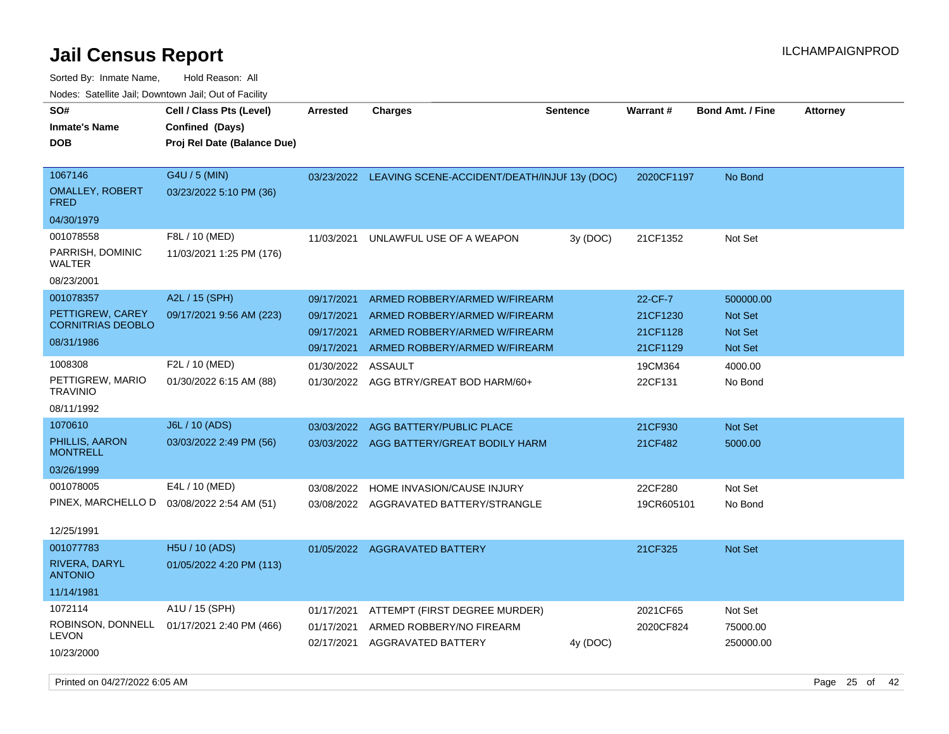| roaco. Calcinio dan, Downtown dan, Oal or Fability                      |                                                                            |                                                      |                                                                                                                                  |                 |                                             |                                                          |                 |
|-------------------------------------------------------------------------|----------------------------------------------------------------------------|------------------------------------------------------|----------------------------------------------------------------------------------------------------------------------------------|-----------------|---------------------------------------------|----------------------------------------------------------|-----------------|
| SO#<br><b>Inmate's Name</b><br><b>DOB</b>                               | Cell / Class Pts (Level)<br>Confined (Days)<br>Proj Rel Date (Balance Due) | <b>Arrested</b>                                      | Charges                                                                                                                          | <b>Sentence</b> | Warrant#                                    | <b>Bond Amt. / Fine</b>                                  | <b>Attorney</b> |
| 1067146<br><b>OMALLEY, ROBERT</b><br><b>FRED</b><br>04/30/1979          | G4U / 5 (MIN)<br>03/23/2022 5:10 PM (36)                                   |                                                      | 03/23/2022 LEAVING SCENE-ACCIDENT/DEATH/INJUF 13y (DOC)                                                                          |                 | 2020CF1197                                  | No Bond                                                  |                 |
| 001078558<br>PARRISH, DOMINIC<br>WALTER<br>08/23/2001                   | F8L / 10 (MED)<br>11/03/2021 1:25 PM (176)                                 | 11/03/2021                                           | UNLAWFUL USE OF A WEAPON                                                                                                         | 3y (DOC)        | 21CF1352                                    | Not Set                                                  |                 |
| 001078357<br>PETTIGREW, CAREY<br><b>CORNITRIAS DEOBLO</b><br>08/31/1986 | A2L / 15 (SPH)<br>09/17/2021 9:56 AM (223)                                 | 09/17/2021<br>09/17/2021<br>09/17/2021<br>09/17/2021 | ARMED ROBBERY/ARMED W/FIREARM<br>ARMED ROBBERY/ARMED W/FIREARM<br>ARMED ROBBERY/ARMED W/FIREARM<br>ARMED ROBBERY/ARMED W/FIREARM |                 | 22-CF-7<br>21CF1230<br>21CF1128<br>21CF1129 | 500000.00<br><b>Not Set</b><br><b>Not Set</b><br>Not Set |                 |
| 1008308<br>PETTIGREW, MARIO<br><b>TRAVINIO</b><br>08/11/1992            | F2L / 10 (MED)<br>01/30/2022 6:15 AM (88)                                  | 01/30/2022<br>01/30/2022                             | ASSAULT<br>AGG BTRY/GREAT BOD HARM/60+                                                                                           |                 | 19CM364<br>22CF131                          | 4000.00<br>No Bond                                       |                 |
| 1070610<br>PHILLIS, AARON<br><b>MONTRELL</b><br>03/26/1999              | J6L / 10 (ADS)<br>03/03/2022 2:49 PM (56)                                  | 03/03/2022<br>03/03/2022                             | AGG BATTERY/PUBLIC PLACE<br>AGG BATTERY/GREAT BODILY HARM                                                                        |                 | 21CF930<br>21CF482                          | <b>Not Set</b><br>5000.00                                |                 |
| 001078005<br>PINEX, MARCHELLO D<br>12/25/1991                           | E4L / 10 (MED)<br>03/08/2022 2:54 AM (51)                                  | 03/08/2022<br>03/08/2022                             | HOME INVASION/CAUSE INJURY<br>AGGRAVATED BATTERY/STRANGLE                                                                        |                 | 22CF280<br>19CR605101                       | Not Set<br>No Bond                                       |                 |
| 001077783<br>RIVERA, DARYL<br><b>ANTONIO</b><br>11/14/1981              | H5U / 10 (ADS)<br>01/05/2022 4:20 PM (113)                                 |                                                      | 01/05/2022 AGGRAVATED BATTERY                                                                                                    |                 | 21CF325                                     | <b>Not Set</b>                                           |                 |
| 1072114<br><b>LEVON</b><br>10/23/2000                                   | A1U / 15 (SPH)<br>ROBINSON, DONNELL 01/17/2021 2:40 PM (466)               | 01/17/2021<br>01/17/2021<br>02/17/2021               | ATTEMPT (FIRST DEGREE MURDER)<br>ARMED ROBBERY/NO FIREARM<br>AGGRAVATED BATTERY                                                  | 4y (DOC)        | 2021CF65<br>2020CF824                       | Not Set<br>75000.00<br>250000.00                         |                 |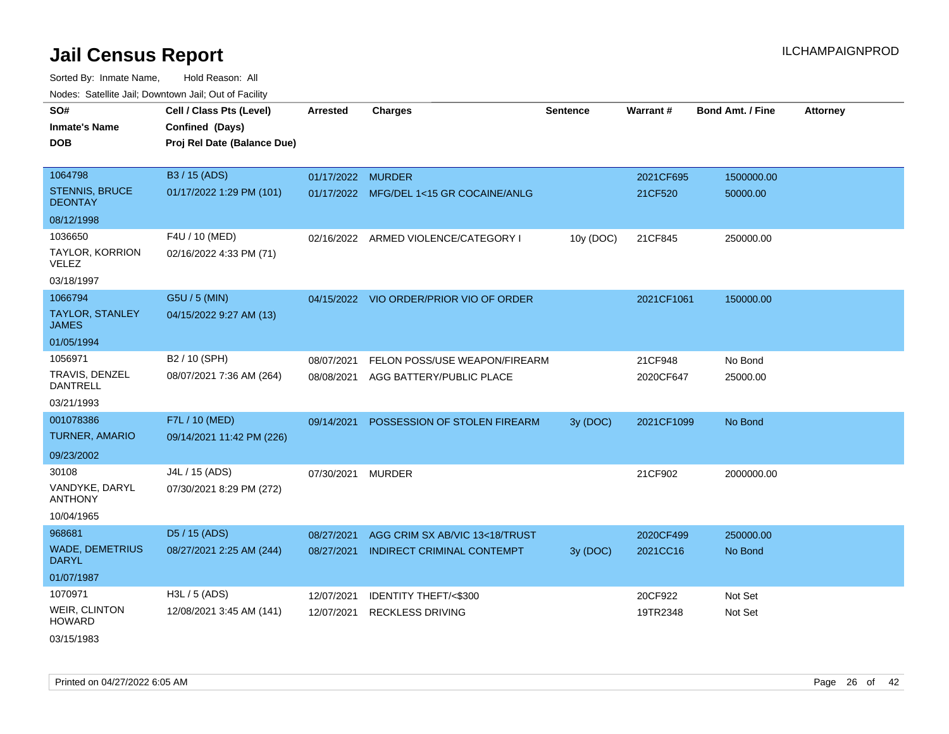| roaco. Calcillo dall, Downtown dall, Cal of Fability |                             |                   |                                         |                 |            |                         |                 |
|------------------------------------------------------|-----------------------------|-------------------|-----------------------------------------|-----------------|------------|-------------------------|-----------------|
| SO#                                                  | Cell / Class Pts (Level)    | Arrested          | <b>Charges</b>                          | <b>Sentence</b> | Warrant#   | <b>Bond Amt. / Fine</b> | <b>Attorney</b> |
| <b>Inmate's Name</b>                                 | Confined (Days)             |                   |                                         |                 |            |                         |                 |
| <b>DOB</b>                                           | Proj Rel Date (Balance Due) |                   |                                         |                 |            |                         |                 |
|                                                      |                             |                   |                                         |                 |            |                         |                 |
| 1064798                                              | B3 / 15 (ADS)               | 01/17/2022 MURDER |                                         |                 | 2021CF695  | 1500000.00              |                 |
| <b>STENNIS, BRUCE</b><br><b>DEONTAY</b>              | 01/17/2022 1:29 PM (101)    |                   | 01/17/2022 MFG/DEL 1<15 GR COCAINE/ANLG |                 | 21CF520    | 50000.00                |                 |
| 08/12/1998                                           |                             |                   |                                         |                 |            |                         |                 |
| 1036650                                              | F4U / 10 (MED)              |                   | 02/16/2022 ARMED VIOLENCE/CATEGORY I    | 10y (DOC)       | 21CF845    | 250000.00               |                 |
| <b>TAYLOR, KORRION</b><br><b>VELEZ</b>               | 02/16/2022 4:33 PM (71)     |                   |                                         |                 |            |                         |                 |
| 03/18/1997                                           |                             |                   |                                         |                 |            |                         |                 |
| 1066794                                              | G5U / 5 (MIN)               |                   | 04/15/2022 VIO ORDER/PRIOR VIO OF ORDER |                 | 2021CF1061 | 150000.00               |                 |
| <b>TAYLOR, STANLEY</b><br><b>JAMES</b>               | 04/15/2022 9:27 AM (13)     |                   |                                         |                 |            |                         |                 |
| 01/05/1994                                           |                             |                   |                                         |                 |            |                         |                 |
| 1056971                                              | B2 / 10 (SPH)               | 08/07/2021        | FELON POSS/USE WEAPON/FIREARM           |                 | 21CF948    | No Bond                 |                 |
| TRAVIS, DENZEL<br><b>DANTRELL</b>                    | 08/07/2021 7:36 AM (264)    | 08/08/2021        | AGG BATTERY/PUBLIC PLACE                |                 | 2020CF647  | 25000.00                |                 |
| 03/21/1993                                           |                             |                   |                                         |                 |            |                         |                 |
| 001078386                                            | F7L / 10 (MED)              | 09/14/2021        | POSSESSION OF STOLEN FIREARM            | 3y (DOC)        | 2021CF1099 | No Bond                 |                 |
| <b>TURNER, AMARIO</b>                                | 09/14/2021 11:42 PM (226)   |                   |                                         |                 |            |                         |                 |
| 09/23/2002                                           |                             |                   |                                         |                 |            |                         |                 |
| 30108                                                | J4L / 15 (ADS)              | 07/30/2021        | <b>MURDER</b>                           |                 | 21CF902    | 2000000.00              |                 |
| VANDYKE, DARYL<br><b>ANTHONY</b>                     | 07/30/2021 8:29 PM (272)    |                   |                                         |                 |            |                         |                 |
| 10/04/1965                                           |                             |                   |                                         |                 |            |                         |                 |
| 968681                                               | D5 / 15 (ADS)               | 08/27/2021        | AGG CRIM SX AB/VIC 13<18/TRUST          |                 | 2020CF499  | 250000.00               |                 |
| <b>WADE, DEMETRIUS</b><br><b>DARYL</b>               | 08/27/2021 2:25 AM (244)    | 08/27/2021        | INDIRECT CRIMINAL CONTEMPT              | 3y(DOC)         | 2021CC16   | No Bond                 |                 |
| 01/07/1987                                           |                             |                   |                                         |                 |            |                         |                 |
| 1070971                                              | H3L / 5 (ADS)               | 12/07/2021        | IDENTITY THEFT/<\$300                   |                 | 20CF922    | Not Set                 |                 |
| <b>WEIR, CLINTON</b><br><b>HOWARD</b>                | 12/08/2021 3:45 AM (141)    | 12/07/2021        | <b>RECKLESS DRIVING</b>                 |                 | 19TR2348   | Not Set                 |                 |
| 03/15/1983                                           |                             |                   |                                         |                 |            |                         |                 |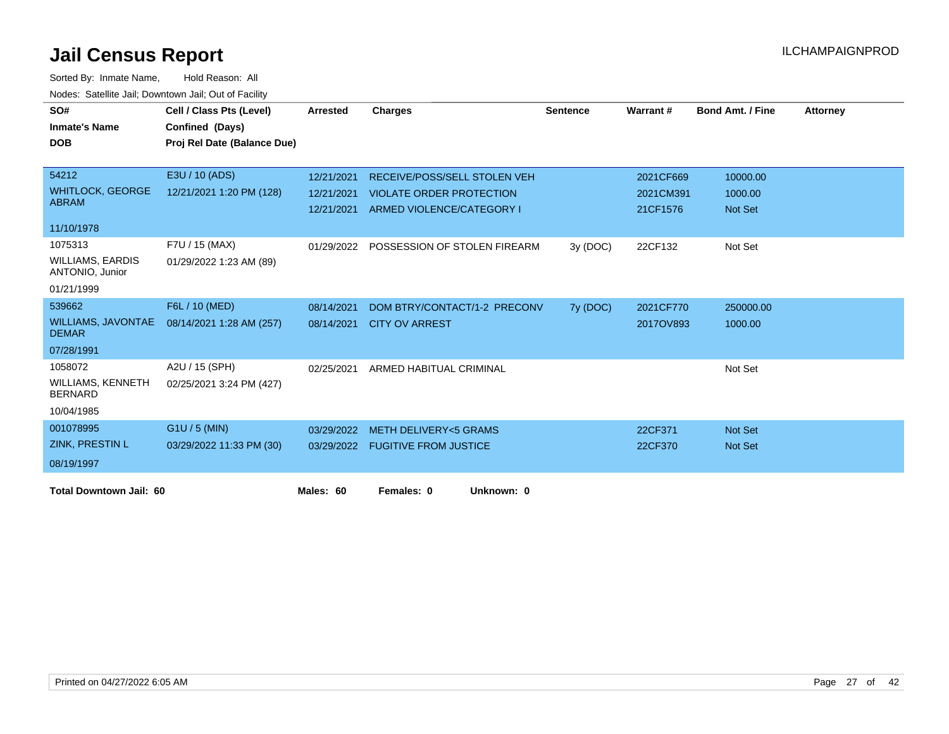| SO#                                        | Cell / Class Pts (Level)    | <b>Arrested</b> | <b>Charges</b>                   | <b>Sentence</b> | Warrant#  | <b>Bond Amt. / Fine</b> | <b>Attorney</b> |
|--------------------------------------------|-----------------------------|-----------------|----------------------------------|-----------------|-----------|-------------------------|-----------------|
| <b>Inmate's Name</b>                       | Confined (Days)             |                 |                                  |                 |           |                         |                 |
| <b>DOB</b>                                 | Proj Rel Date (Balance Due) |                 |                                  |                 |           |                         |                 |
|                                            |                             |                 |                                  |                 |           |                         |                 |
| 54212                                      | E3U / 10 (ADS)              | 12/21/2021      | RECEIVE/POSS/SELL STOLEN VEH     |                 | 2021CF669 | 10000.00                |                 |
| <b>WHITLOCK, GEORGE</b>                    | 12/21/2021 1:20 PM (128)    | 12/21/2021      | <b>VIOLATE ORDER PROTECTION</b>  |                 | 2021CM391 | 1000.00                 |                 |
| <b>ABRAM</b>                               |                             | 12/21/2021      | ARMED VIOLENCE/CATEGORY I        |                 | 21CF1576  | <b>Not Set</b>          |                 |
| 11/10/1978                                 |                             |                 |                                  |                 |           |                         |                 |
| 1075313                                    | F7U / 15 (MAX)              | 01/29/2022      | POSSESSION OF STOLEN FIREARM     | 3y (DOC)        | 22CF132   | Not Set                 |                 |
| <b>WILLIAMS, EARDIS</b><br>ANTONIO, Junior | 01/29/2022 1:23 AM (89)     |                 |                                  |                 |           |                         |                 |
| 01/21/1999                                 |                             |                 |                                  |                 |           |                         |                 |
| 539662                                     | F6L / 10 (MED)              | 08/14/2021      | DOM BTRY/CONTACT/1-2 PRECONV     | 7y (DOC)        | 2021CF770 | 250000.00               |                 |
| <b>WILLIAMS, JAVONTAE</b><br><b>DEMAR</b>  | 08/14/2021 1:28 AM (257)    | 08/14/2021      | <b>CITY OV ARREST</b>            |                 | 2017OV893 | 1000.00                 |                 |
| 07/28/1991                                 |                             |                 |                                  |                 |           |                         |                 |
| 1058072                                    | A2U / 15 (SPH)              | 02/25/2021      | ARMED HABITUAL CRIMINAL          |                 |           | Not Set                 |                 |
| <b>WILLIAMS, KENNETH</b><br><b>BERNARD</b> | 02/25/2021 3:24 PM (427)    |                 |                                  |                 |           |                         |                 |
| 10/04/1985                                 |                             |                 |                                  |                 |           |                         |                 |
| 001078995                                  | $G1U / 5$ (MIN)             | 03/29/2022      | <b>METH DELIVERY&lt;5 GRAMS</b>  |                 | 22CF371   | Not Set                 |                 |
| <b>ZINK, PRESTIN L</b>                     | 03/29/2022 11:33 PM (30)    |                 | 03/29/2022 FUGITIVE FROM JUSTICE |                 | 22CF370   | <b>Not Set</b>          |                 |
| 08/19/1997                                 |                             |                 |                                  |                 |           |                         |                 |
| <b>Total Downtown Jail: 60</b>             |                             | Males: 60       | Females: 0<br>Unknown: 0         |                 |           |                         |                 |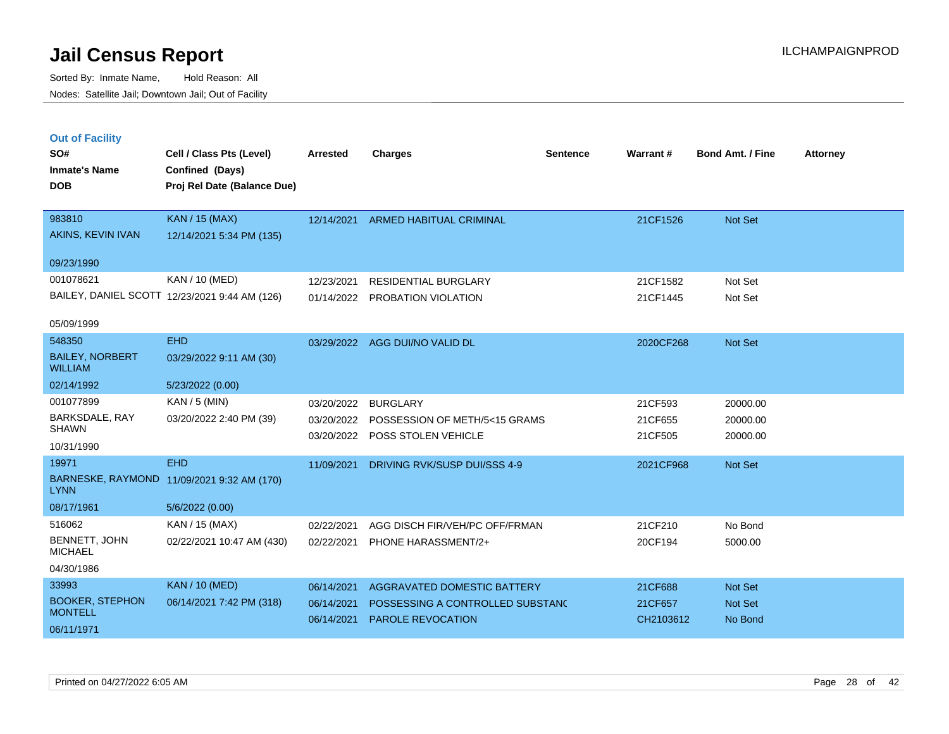| <b>Out of Facility</b><br>SO#<br><b>Inmate's Name</b><br><b>DOB</b> | Cell / Class Pts (Level)<br>Confined (Days)<br>Proj Rel Date (Balance Due) | <b>Arrested</b> | <b>Charges</b>                   | <b>Sentence</b> | Warrant # | <b>Bond Amt. / Fine</b> | <b>Attorney</b> |
|---------------------------------------------------------------------|----------------------------------------------------------------------------|-----------------|----------------------------------|-----------------|-----------|-------------------------|-----------------|
| 983810                                                              | <b>KAN</b> / 15 (MAX)                                                      | 12/14/2021      | <b>ARMED HABITUAL CRIMINAL</b>   |                 | 21CF1526  | Not Set                 |                 |
| AKINS, KEVIN IVAN                                                   | 12/14/2021 5:34 PM (135)                                                   |                 |                                  |                 |           |                         |                 |
| 09/23/1990                                                          |                                                                            |                 |                                  |                 |           |                         |                 |
| 001078621                                                           | KAN / 10 (MED)                                                             | 12/23/2021      | <b>RESIDENTIAL BURGLARY</b>      |                 | 21CF1582  | Not Set                 |                 |
|                                                                     | BAILEY, DANIEL SCOTT 12/23/2021 9:44 AM (126)                              |                 | 01/14/2022 PROBATION VIOLATION   |                 | 21CF1445  | Not Set                 |                 |
| 05/09/1999                                                          |                                                                            |                 |                                  |                 |           |                         |                 |
| 548350                                                              | <b>EHD</b>                                                                 | 03/29/2022      | AGG DUI/NO VALID DL              |                 | 2020CF268 | Not Set                 |                 |
| <b>BAILEY, NORBERT</b><br><b>WILLIAM</b>                            | 03/29/2022 9:11 AM (30)                                                    |                 |                                  |                 |           |                         |                 |
| 02/14/1992                                                          | 5/23/2022 (0.00)                                                           |                 |                                  |                 |           |                         |                 |
| 001077899                                                           | $KAN / 5$ (MIN)                                                            | 03/20/2022      | <b>BURGLARY</b>                  |                 | 21CF593   | 20000.00                |                 |
| BARKSDALE, RAY<br><b>SHAWN</b>                                      | 03/20/2022 2:40 PM (39)                                                    | 03/20/2022      | POSSESSION OF METH/5<15 GRAMS    |                 | 21CF655   | 20000.00                |                 |
| 10/31/1990                                                          |                                                                            |                 | 03/20/2022 POSS STOLEN VEHICLE   |                 | 21CF505   | 20000.00                |                 |
| 19971                                                               | <b>EHD</b>                                                                 | 11/09/2021      | DRIVING RVK/SUSP DUI/SSS 4-9     |                 | 2021CF968 | <b>Not Set</b>          |                 |
| <b>LYNN</b>                                                         | BARNESKE, RAYMOND 11/09/2021 9:32 AM (170)                                 |                 |                                  |                 |           |                         |                 |
| 08/17/1961                                                          | 5/6/2022 (0.00)                                                            |                 |                                  |                 |           |                         |                 |
| 516062                                                              | KAN / 15 (MAX)                                                             | 02/22/2021      | AGG DISCH FIR/VEH/PC OFF/FRMAN   |                 | 21CF210   | No Bond                 |                 |
| BENNETT, JOHN<br><b>MICHAEL</b>                                     | 02/22/2021 10:47 AM (430)                                                  | 02/22/2021      | PHONE HARASSMENT/2+              |                 | 20CF194   | 5000.00                 |                 |
| 04/30/1986                                                          |                                                                            |                 |                                  |                 |           |                         |                 |
| 33993                                                               | <b>KAN / 10 (MED)</b>                                                      | 06/14/2021      | AGGRAVATED DOMESTIC BATTERY      |                 | 21CF688   | <b>Not Set</b>          |                 |
| <b>BOOKER, STEPHON</b><br><b>MONTELL</b>                            | 06/14/2021 7:42 PM (318)                                                   | 06/14/2021      | POSSESSING A CONTROLLED SUBSTAND |                 | 21CF657   | <b>Not Set</b>          |                 |
| 06/11/1971                                                          |                                                                            | 06/14/2021      | <b>PAROLE REVOCATION</b>         |                 | CH2103612 | No Bond                 |                 |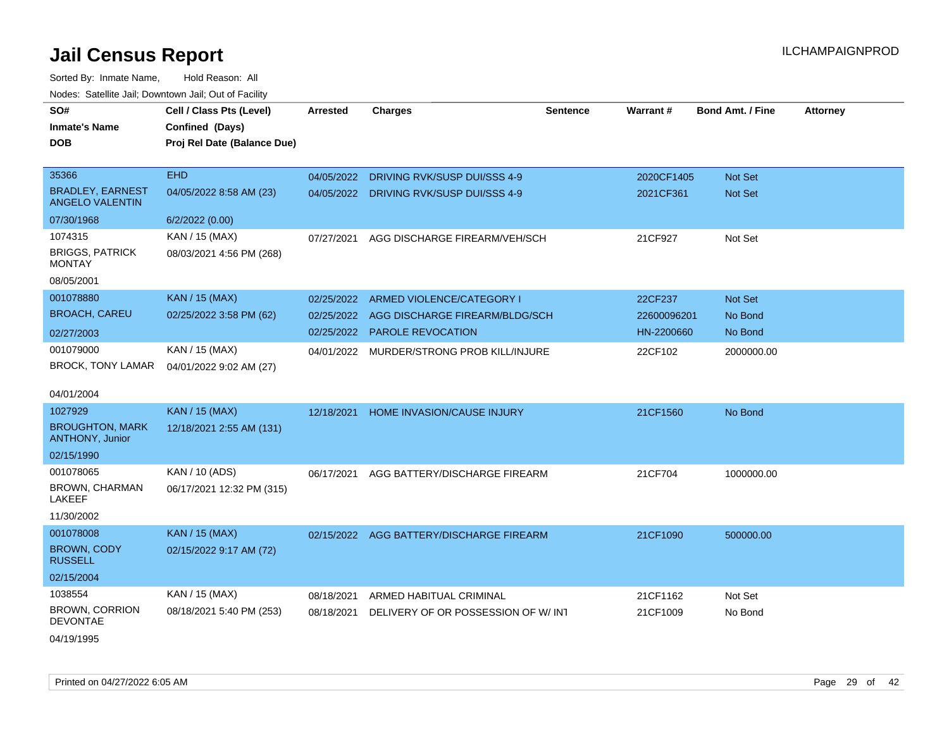| rouco. Calcinic Jan, Downtown Jan, Out of Facility |                                             |            |                                          |                 |             |                         |                 |
|----------------------------------------------------|---------------------------------------------|------------|------------------------------------------|-----------------|-------------|-------------------------|-----------------|
| SO#<br>Inmate's Name                               | Cell / Class Pts (Level)<br>Confined (Days) | Arrested   | <b>Charges</b>                           | <b>Sentence</b> | Warrant#    | <b>Bond Amt. / Fine</b> | <b>Attorney</b> |
| <b>DOB</b>                                         | Proj Rel Date (Balance Due)                 |            |                                          |                 |             |                         |                 |
| 35366                                              | <b>EHD</b>                                  | 04/05/2022 | DRIVING RVK/SUSP DUI/SSS 4-9             |                 | 2020CF1405  | <b>Not Set</b>          |                 |
| <b>BRADLEY, EARNEST</b><br><b>ANGELO VALENTIN</b>  | 04/05/2022 8:58 AM (23)                     | 04/05/2022 | DRIVING RVK/SUSP DUI/SSS 4-9             |                 | 2021CF361   | <b>Not Set</b>          |                 |
| 07/30/1968                                         | 6/2/2022 (0.00)                             |            |                                          |                 |             |                         |                 |
| 1074315                                            | KAN / 15 (MAX)                              | 07/27/2021 | AGG DISCHARGE FIREARM/VEH/SCH            |                 | 21CF927     | Not Set                 |                 |
| <b>BRIGGS, PATRICK</b><br>MONTAY                   | 08/03/2021 4:56 PM (268)                    |            |                                          |                 |             |                         |                 |
| 08/05/2001                                         |                                             |            |                                          |                 |             |                         |                 |
| 001078880                                          | <b>KAN / 15 (MAX)</b>                       | 02/25/2022 | ARMED VIOLENCE/CATEGORY I                |                 | 22CF237     | Not Set                 |                 |
| <b>BROACH, CAREU</b>                               | 02/25/2022 3:58 PM (62)                     | 02/25/2022 | AGG DISCHARGE FIREARM/BLDG/SCH           |                 | 22600096201 | No Bond                 |                 |
| 02/27/2003                                         |                                             | 02/25/2022 | <b>PAROLE REVOCATION</b>                 |                 | HN-2200660  | No Bond                 |                 |
| 001079000                                          | KAN / 15 (MAX)                              | 04/01/2022 | MURDER/STRONG PROB KILL/INJURE           |                 | 22CF102     | 2000000.00              |                 |
| BROCK, TONY LAMAR                                  | 04/01/2022 9:02 AM (27)                     |            |                                          |                 |             |                         |                 |
| 04/01/2004                                         |                                             |            |                                          |                 |             |                         |                 |
| 1027929                                            | <b>KAN / 15 (MAX)</b>                       | 12/18/2021 | HOME INVASION/CAUSE INJURY               |                 | 21CF1560    | No Bond                 |                 |
| <b>BROUGHTON, MARK</b><br><b>ANTHONY, Junior</b>   | 12/18/2021 2:55 AM (131)                    |            |                                          |                 |             |                         |                 |
| 02/15/1990                                         |                                             |            |                                          |                 |             |                         |                 |
| 001078065                                          | KAN / 10 (ADS)                              | 06/17/2021 | AGG BATTERY/DISCHARGE FIREARM            |                 | 21CF704     | 1000000.00              |                 |
| BROWN, CHARMAN<br>LAKEEF                           | 06/17/2021 12:32 PM (315)                   |            |                                          |                 |             |                         |                 |
| 11/30/2002                                         |                                             |            |                                          |                 |             |                         |                 |
| 001078008                                          | <b>KAN / 15 (MAX)</b>                       |            | 02/15/2022 AGG BATTERY/DISCHARGE FIREARM |                 | 21CF1090    | 500000.00               |                 |
| <b>BROWN, CODY</b><br><b>RUSSELL</b>               | 02/15/2022 9:17 AM (72)                     |            |                                          |                 |             |                         |                 |
| 02/15/2004                                         |                                             |            |                                          |                 |             |                         |                 |
| 1038554                                            | KAN / 15 (MAX)                              | 08/18/2021 | ARMED HABITUAL CRIMINAL                  |                 | 21CF1162    | Not Set                 |                 |
| <b>BROWN, CORRION</b><br><b>DEVONTAE</b>           | 08/18/2021 5:40 PM (253)                    | 08/18/2021 | DELIVERY OF OR POSSESSION OF W/ INT      |                 | 21CF1009    | No Bond                 |                 |
| 04/19/1995                                         |                                             |            |                                          |                 |             |                         |                 |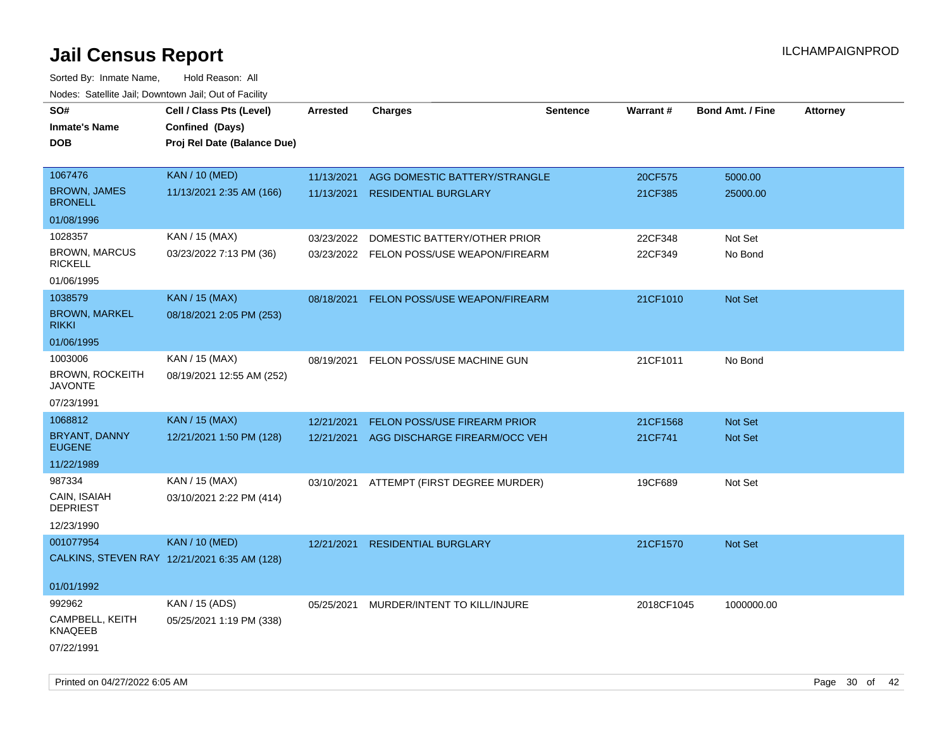| SO#<br><b>Inmate's Name</b>              | Cell / Class Pts (Level)<br>Confined (Days)  | Arrested   | <b>Charges</b>                           | <b>Sentence</b> | <b>Warrant#</b> | <b>Bond Amt. / Fine</b> | <b>Attorney</b> |
|------------------------------------------|----------------------------------------------|------------|------------------------------------------|-----------------|-----------------|-------------------------|-----------------|
| <b>DOB</b>                               | Proj Rel Date (Balance Due)                  |            |                                          |                 |                 |                         |                 |
| 1067476                                  | <b>KAN / 10 (MED)</b>                        | 11/13/2021 | AGG DOMESTIC BATTERY/STRANGLE            |                 | 20CF575         | 5000.00                 |                 |
| <b>BROWN, JAMES</b><br><b>BRONELL</b>    | 11/13/2021 2:35 AM (166)                     | 11/13/2021 | <b>RESIDENTIAL BURGLARY</b>              |                 | 21CF385         | 25000.00                |                 |
| 01/08/1996                               |                                              |            |                                          |                 |                 |                         |                 |
| 1028357                                  | KAN / 15 (MAX)                               | 03/23/2022 | DOMESTIC BATTERY/OTHER PRIOR             |                 | 22CF348         | Not Set                 |                 |
| <b>BROWN, MARCUS</b><br><b>RICKELL</b>   | 03/23/2022 7:13 PM (36)                      |            | 03/23/2022 FELON POSS/USE WEAPON/FIREARM |                 | 22CF349         | No Bond                 |                 |
| 01/06/1995                               |                                              |            |                                          |                 |                 |                         |                 |
| 1038579                                  | <b>KAN / 15 (MAX)</b>                        | 08/18/2021 | FELON POSS/USE WEAPON/FIREARM            |                 | 21CF1010        | Not Set                 |                 |
| <b>BROWN, MARKEL</b><br><b>RIKKI</b>     | 08/18/2021 2:05 PM (253)                     |            |                                          |                 |                 |                         |                 |
| 01/06/1995                               |                                              |            |                                          |                 |                 |                         |                 |
| 1003006                                  | KAN / 15 (MAX)                               | 08/19/2021 | FELON POSS/USE MACHINE GUN               |                 | 21CF1011        | No Bond                 |                 |
| <b>BROWN, ROCKEITH</b><br><b>JAVONTE</b> | 08/19/2021 12:55 AM (252)                    |            |                                          |                 |                 |                         |                 |
| 07/23/1991                               |                                              |            |                                          |                 |                 |                         |                 |
| 1068812                                  | <b>KAN / 15 (MAX)</b>                        | 12/21/2021 | <b>FELON POSS/USE FIREARM PRIOR</b>      |                 | 21CF1568        | <b>Not Set</b>          |                 |
| <b>BRYANT, DANNY</b><br><b>EUGENE</b>    | 12/21/2021 1:50 PM (128)                     | 12/21/2021 | AGG DISCHARGE FIREARM/OCC VEH            |                 | 21CF741         | Not Set                 |                 |
| 11/22/1989                               |                                              |            |                                          |                 |                 |                         |                 |
| 987334                                   | KAN / 15 (MAX)                               |            | 03/10/2021 ATTEMPT (FIRST DEGREE MURDER) |                 | 19CF689         | Not Set                 |                 |
| CAIN, ISAIAH<br><b>DEPRIEST</b>          | 03/10/2021 2:22 PM (414)                     |            |                                          |                 |                 |                         |                 |
| 12/23/1990                               |                                              |            |                                          |                 |                 |                         |                 |
| 001077954                                | <b>KAN / 10 (MED)</b>                        | 12/21/2021 | <b>RESIDENTIAL BURGLARY</b>              |                 | 21CF1570        | <b>Not Set</b>          |                 |
|                                          | CALKINS, STEVEN RAY 12/21/2021 6:35 AM (128) |            |                                          |                 |                 |                         |                 |
| 01/01/1992                               |                                              |            |                                          |                 |                 |                         |                 |
| 992962                                   | KAN / 15 (ADS)                               | 05/25/2021 | MURDER/INTENT TO KILL/INJURE             |                 | 2018CF1045      | 1000000.00              |                 |
| CAMPBELL, KEITH<br>KNAQEEB               | 05/25/2021 1:19 PM (338)                     |            |                                          |                 |                 |                         |                 |
| 07/22/1991                               |                                              |            |                                          |                 |                 |                         |                 |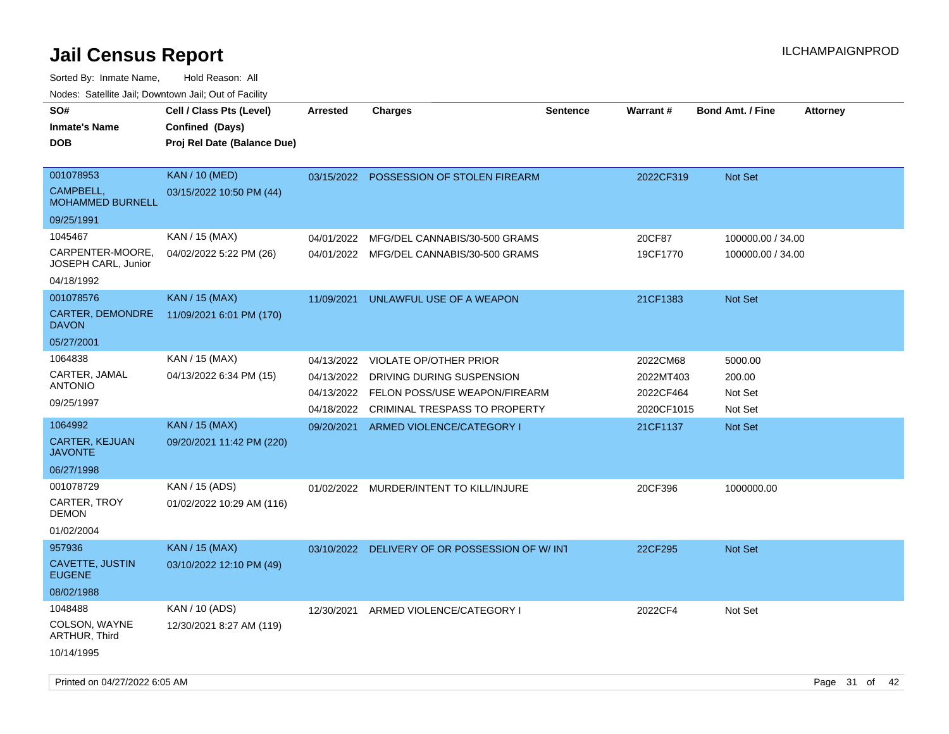| SO#                                     | Cell / Class Pts (Level)    | <b>Arrested</b> | <b>Charges</b>                           | <b>Sentence</b> | Warrant#   | <b>Bond Amt. / Fine</b><br><b>Attorney</b> |
|-----------------------------------------|-----------------------------|-----------------|------------------------------------------|-----------------|------------|--------------------------------------------|
| <b>Inmate's Name</b>                    | Confined (Days)             |                 |                                          |                 |            |                                            |
| <b>DOB</b>                              | Proj Rel Date (Balance Due) |                 |                                          |                 |            |                                            |
|                                         |                             |                 |                                          |                 |            |                                            |
| 001078953                               | <b>KAN / 10 (MED)</b>       | 03/15/2022      | POSSESSION OF STOLEN FIREARM             |                 | 2022CF319  | Not Set                                    |
| CAMPBELL,<br><b>MOHAMMED BURNELL</b>    | 03/15/2022 10:50 PM (44)    |                 |                                          |                 |            |                                            |
| 09/25/1991                              |                             |                 |                                          |                 |            |                                            |
| 1045467                                 | KAN / 15 (MAX)              | 04/01/2022      | MFG/DEL CANNABIS/30-500 GRAMS            |                 | 20CF87     | 100000.00 / 34.00                          |
| CARPENTER-MOORE,<br>JOSEPH CARL, Junior | 04/02/2022 5:22 PM (26)     |                 | 04/01/2022 MFG/DEL CANNABIS/30-500 GRAMS |                 | 19CF1770   | 100000.00 / 34.00                          |
| 04/18/1992                              |                             |                 |                                          |                 |            |                                            |
| 001078576                               | <b>KAN / 15 (MAX)</b>       | 11/09/2021      | UNLAWFUL USE OF A WEAPON                 |                 | 21CF1383   | Not Set                                    |
| CARTER, DEMONDRE<br><b>DAVON</b>        | 11/09/2021 6:01 PM (170)    |                 |                                          |                 |            |                                            |
| 05/27/2001                              |                             |                 |                                          |                 |            |                                            |
| 1064838                                 | KAN / 15 (MAX)              | 04/13/2022      | <b>VIOLATE OP/OTHER PRIOR</b>            |                 | 2022CM68   | 5000.00                                    |
| CARTER, JAMAL                           | 04/13/2022 6:34 PM (15)     | 04/13/2022      | DRIVING DURING SUSPENSION                |                 | 2022MT403  | 200.00                                     |
| <b>ANTONIO</b>                          |                             |                 | 04/13/2022 FELON POSS/USE WEAPON/FIREARM |                 | 2022CF464  | Not Set                                    |
| 09/25/1997                              |                             | 04/18/2022      | <b>CRIMINAL TRESPASS TO PROPERTY</b>     |                 | 2020CF1015 | Not Set                                    |
| 1064992                                 | <b>KAN / 15 (MAX)</b>       | 09/20/2021      | ARMED VIOLENCE/CATEGORY I                |                 | 21CF1137   | Not Set                                    |
| <b>CARTER, KEJUAN</b><br><b>JAVONTE</b> | 09/20/2021 11:42 PM (220)   |                 |                                          |                 |            |                                            |
| 06/27/1998                              |                             |                 |                                          |                 |            |                                            |
| 001078729                               | KAN / 15 (ADS)              |                 | 01/02/2022 MURDER/INTENT TO KILL/INJURE  |                 | 20CF396    | 1000000.00                                 |
| CARTER, TROY<br><b>DEMON</b>            | 01/02/2022 10:29 AM (116)   |                 |                                          |                 |            |                                            |
| 01/02/2004                              |                             |                 |                                          |                 |            |                                            |
| 957936                                  | <b>KAN / 15 (MAX)</b>       | 03/10/2022      | DELIVERY OF OR POSSESSION OF W/INT       |                 | 22CF295    | Not Set                                    |
| <b>CAVETTE, JUSTIN</b><br><b>EUGENE</b> | 03/10/2022 12:10 PM (49)    |                 |                                          |                 |            |                                            |
| 08/02/1988                              |                             |                 |                                          |                 |            |                                            |
| 1048488                                 | KAN / 10 (ADS)              | 12/30/2021      | ARMED VIOLENCE/CATEGORY I                |                 | 2022CF4    | Not Set                                    |
| COLSON, WAYNE<br>ARTHUR, Third          | 12/30/2021 8:27 AM (119)    |                 |                                          |                 |            |                                            |
| 10/14/1995                              |                             |                 |                                          |                 |            |                                            |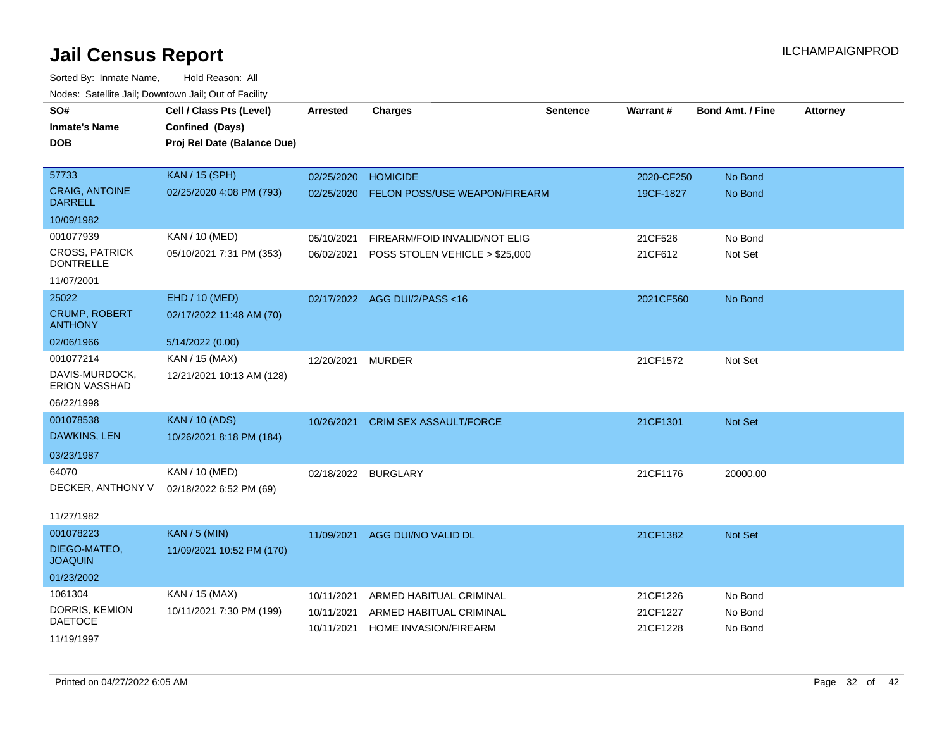| Noucs. Calcillic Jail, Downtown Jail, Out of Facility |                             |            |                                |                 |            |                         |                 |
|-------------------------------------------------------|-----------------------------|------------|--------------------------------|-----------------|------------|-------------------------|-----------------|
| SO#                                                   | Cell / Class Pts (Level)    | Arrested   | <b>Charges</b>                 | <b>Sentence</b> | Warrant#   | <b>Bond Amt. / Fine</b> | <b>Attorney</b> |
| <b>Inmate's Name</b>                                  | Confined (Days)             |            |                                |                 |            |                         |                 |
| DOB                                                   | Proj Rel Date (Balance Due) |            |                                |                 |            |                         |                 |
|                                                       |                             |            |                                |                 |            |                         |                 |
| 57733                                                 | <b>KAN / 15 (SPH)</b>       | 02/25/2020 | <b>HOMICIDE</b>                |                 | 2020-CF250 | No Bond                 |                 |
| <b>CRAIG, ANTOINE</b><br><b>DARRELL</b>               | 02/25/2020 4:08 PM (793)    | 02/25/2020 | FELON POSS/USE WEAPON/FIREARM  |                 | 19CF-1827  | No Bond                 |                 |
| 10/09/1982                                            |                             |            |                                |                 |            |                         |                 |
| 001077939                                             | KAN / 10 (MED)              | 05/10/2021 | FIREARM/FOID INVALID/NOT ELIG  |                 | 21CF526    | No Bond                 |                 |
| <b>CROSS, PATRICK</b><br><b>DONTRELLE</b>             | 05/10/2021 7:31 PM (353)    | 06/02/2021 | POSS STOLEN VEHICLE > \$25,000 |                 | 21CF612    | Not Set                 |                 |
| 11/07/2001                                            |                             |            |                                |                 |            |                         |                 |
| 25022                                                 | EHD / 10 (MED)              | 02/17/2022 | AGG DUI/2/PASS <16             |                 | 2021CF560  | No Bond                 |                 |
| <b>CRUMP, ROBERT</b><br><b>ANTHONY</b>                | 02/17/2022 11:48 AM (70)    |            |                                |                 |            |                         |                 |
| 02/06/1966                                            | 5/14/2022 (0.00)            |            |                                |                 |            |                         |                 |
| 001077214                                             | KAN / 15 (MAX)              | 12/20/2021 | <b>MURDER</b>                  |                 | 21CF1572   | Not Set                 |                 |
| DAVIS-MURDOCK,<br><b>ERION VASSHAD</b>                | 12/21/2021 10:13 AM (128)   |            |                                |                 |            |                         |                 |
| 06/22/1998                                            |                             |            |                                |                 |            |                         |                 |
| 001078538                                             | <b>KAN / 10 (ADS)</b>       | 10/26/2021 | <b>CRIM SEX ASSAULT/FORCE</b>  |                 | 21CF1301   | Not Set                 |                 |
| DAWKINS, LEN                                          | 10/26/2021 8:18 PM (184)    |            |                                |                 |            |                         |                 |
| 03/23/1987                                            |                             |            |                                |                 |            |                         |                 |
| 64070                                                 | KAN / 10 (MED)              |            | 02/18/2022 BURGLARY            |                 | 21CF1176   | 20000.00                |                 |
| DECKER, ANTHONY V                                     | 02/18/2022 6:52 PM (69)     |            |                                |                 |            |                         |                 |
|                                                       |                             |            |                                |                 |            |                         |                 |
| 11/27/1982                                            |                             |            |                                |                 |            |                         |                 |
| 001078223                                             | <b>KAN / 5 (MIN)</b>        | 11/09/2021 | AGG DUI/NO VALID DL            |                 | 21CF1382   | Not Set                 |                 |
| DIEGO-MATEO,<br><b>JOAQUIN</b>                        | 11/09/2021 10:52 PM (170)   |            |                                |                 |            |                         |                 |
| 01/23/2002                                            |                             |            |                                |                 |            |                         |                 |
| 1061304                                               | KAN / 15 (MAX)              | 10/11/2021 | ARMED HABITUAL CRIMINAL        |                 | 21CF1226   | No Bond                 |                 |
| DORRIS, KEMION<br><b>DAETOCE</b>                      | 10/11/2021 7:30 PM (199)    | 10/11/2021 | ARMED HABITUAL CRIMINAL        |                 | 21CF1227   | No Bond                 |                 |
|                                                       |                             | 10/11/2021 | HOME INVASION/FIREARM          |                 | 21CF1228   | No Bond                 |                 |
| 11/19/1997                                            |                             |            |                                |                 |            |                         |                 |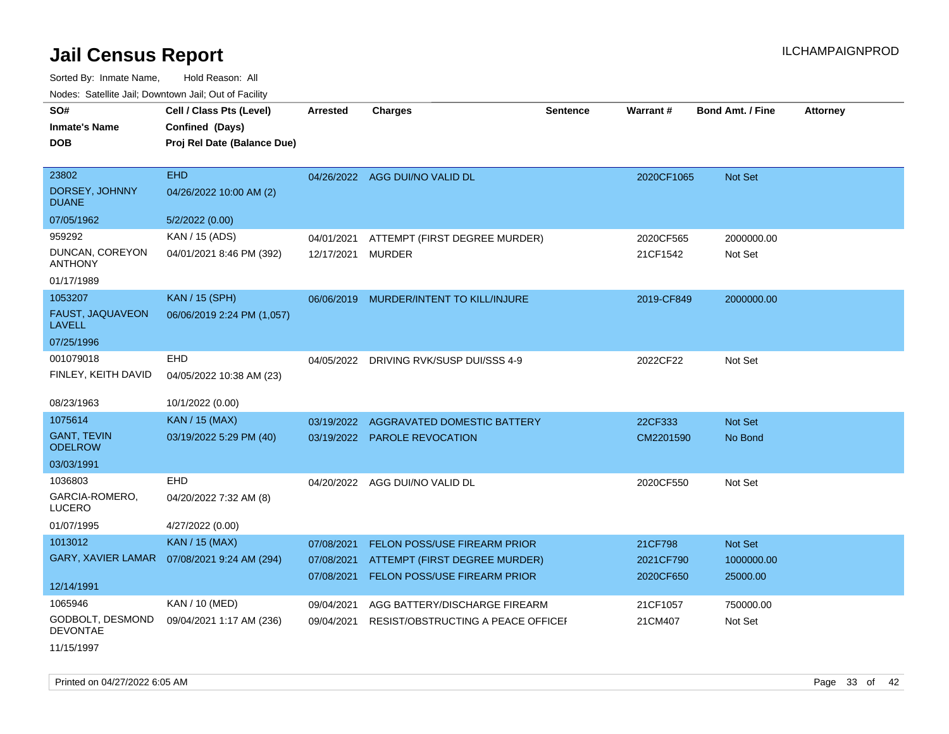| SO#<br><b>Inmate's Name</b>          | Cell / Class Pts (Level)<br>Confined (Days) | <b>Arrested</b> | <b>Charges</b>                          | <b>Sentence</b> | <b>Warrant#</b> | <b>Bond Amt. / Fine</b> | <b>Attorney</b> |
|--------------------------------------|---------------------------------------------|-----------------|-----------------------------------------|-----------------|-----------------|-------------------------|-----------------|
| <b>DOB</b>                           | Proj Rel Date (Balance Due)                 |                 |                                         |                 |                 |                         |                 |
|                                      |                                             |                 |                                         |                 |                 |                         |                 |
| 23802                                | <b>EHD</b>                                  | 04/26/2022      | AGG DUI/NO VALID DL                     |                 | 2020CF1065      | Not Set                 |                 |
| DORSEY, JOHNNY<br><b>DUANE</b>       | 04/26/2022 10:00 AM (2)                     |                 |                                         |                 |                 |                         |                 |
| 07/05/1962                           | 5/2/2022 (0.00)                             |                 |                                         |                 |                 |                         |                 |
| 959292                               | KAN / 15 (ADS)                              | 04/01/2021      | ATTEMPT (FIRST DEGREE MURDER)           |                 | 2020CF565       | 2000000.00              |                 |
| DUNCAN, COREYON<br><b>ANTHONY</b>    | 04/01/2021 8:46 PM (392)                    | 12/17/2021      | MURDER                                  |                 | 21CF1542        | Not Set                 |                 |
| 01/17/1989                           |                                             |                 |                                         |                 |                 |                         |                 |
| 1053207                              | <b>KAN / 15 (SPH)</b>                       |                 | 06/06/2019 MURDER/INTENT TO KILL/INJURE |                 | 2019-CF849      | 2000000.00              |                 |
| FAUST, JAQUAVEON<br><b>LAVELL</b>    | 06/06/2019 2:24 PM (1,057)                  |                 |                                         |                 |                 |                         |                 |
| 07/25/1996                           |                                             |                 |                                         |                 |                 |                         |                 |
| 001079018                            | EHD                                         |                 | 04/05/2022 DRIVING RVK/SUSP DUI/SSS 4-9 |                 | 2022CF22        | Not Set                 |                 |
| FINLEY, KEITH DAVID                  | 04/05/2022 10:38 AM (23)                    |                 |                                         |                 |                 |                         |                 |
| 08/23/1963                           | 10/1/2022 (0.00)                            |                 |                                         |                 |                 |                         |                 |
| 1075614                              | <b>KAN / 15 (MAX)</b>                       | 03/19/2022      | <b>AGGRAVATED DOMESTIC BATTERY</b>      |                 | 22CF333         | Not Set                 |                 |
| <b>GANT, TEVIN</b><br><b>ODELROW</b> | 03/19/2022 5:29 PM (40)                     |                 | 03/19/2022 PAROLE REVOCATION            |                 | CM2201590       | No Bond                 |                 |
| 03/03/1991                           |                                             |                 |                                         |                 |                 |                         |                 |
| 1036803                              | EHD                                         |                 | 04/20/2022 AGG DUI/NO VALID DL          |                 | 2020CF550       | Not Set                 |                 |
| GARCIA-ROMERO,<br>LUCERO             | 04/20/2022 7:32 AM (8)                      |                 |                                         |                 |                 |                         |                 |
| 01/07/1995                           | 4/27/2022 (0.00)                            |                 |                                         |                 |                 |                         |                 |
| 1013012                              | <b>KAN / 15 (MAX)</b>                       | 07/08/2021      | FELON POSS/USE FIREARM PRIOR            |                 | 21CF798         | Not Set                 |                 |
| GARY, XAVIER LAMAR                   | 07/08/2021 9:24 AM (294)                    | 07/08/2021      | ATTEMPT (FIRST DEGREE MURDER)           |                 | 2021CF790       | 1000000.00              |                 |
| 12/14/1991                           |                                             | 07/08/2021      | FELON POSS/USE FIREARM PRIOR            |                 | 2020CF650       | 25000.00                |                 |
| 1065946                              | KAN / 10 (MED)                              | 09/04/2021      | AGG BATTERY/DISCHARGE FIREARM           |                 | 21CF1057        | 750000.00               |                 |
| GODBOLT, DESMOND<br><b>DEVONTAE</b>  | 09/04/2021 1:17 AM (236)                    | 09/04/2021      | RESIST/OBSTRUCTING A PEACE OFFICEF      |                 | 21CM407         | Not Set                 |                 |
| 11/15/1997                           |                                             |                 |                                         |                 |                 |                         |                 |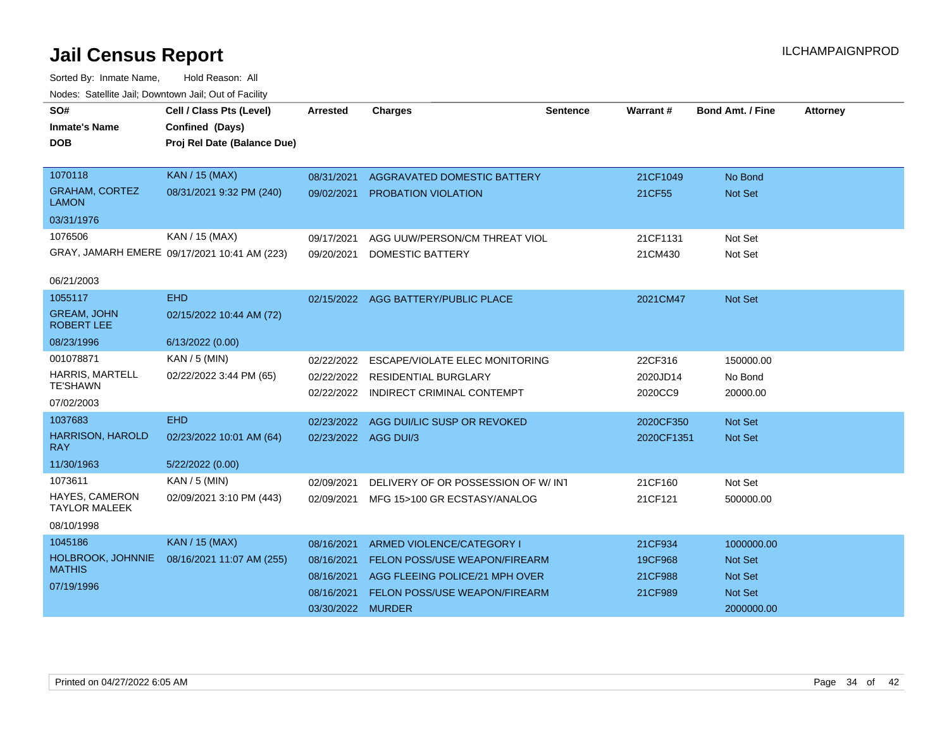| SO#<br><b>Inmate's Name</b><br><b>DOB</b>                            | Cell / Class Pts (Level)<br>Confined (Days)<br>Proj Rel Date (Balance Due) | Arrested                                                                  | <b>Charges</b>                                                                                                                              | <b>Sentence</b> | Warrant#                                 | <b>Bond Amt. / Fine</b>                                   | <b>Attorney</b> |
|----------------------------------------------------------------------|----------------------------------------------------------------------------|---------------------------------------------------------------------------|---------------------------------------------------------------------------------------------------------------------------------------------|-----------------|------------------------------------------|-----------------------------------------------------------|-----------------|
| 1070118<br><b>GRAHAM, CORTEZ</b><br><b>LAMON</b><br>03/31/1976       | <b>KAN / 15 (MAX)</b><br>08/31/2021 9:32 PM (240)                          | 08/31/2021<br>09/02/2021                                                  | AGGRAVATED DOMESTIC BATTERY<br>PROBATION VIOLATION                                                                                          |                 | 21CF1049<br>21CF55                       | No Bond<br>Not Set                                        |                 |
| 1076506<br>06/21/2003                                                | KAN / 15 (MAX)<br>GRAY, JAMARH EMERE 09/17/2021 10:41 AM (223)             | 09/17/2021<br>09/20/2021                                                  | AGG UUW/PERSON/CM THREAT VIOL<br><b>DOMESTIC BATTERY</b>                                                                                    |                 | 21CF1131<br>21CM430                      | Not Set<br>Not Set                                        |                 |
| 1055117<br><b>GREAM, JOHN</b><br><b>ROBERT LEE</b><br>08/23/1996     | <b>EHD</b><br>02/15/2022 10:44 AM (72)<br>6/13/2022 (0.00)                 |                                                                           | 02/15/2022 AGG BATTERY/PUBLIC PLACE                                                                                                         |                 | 2021CM47                                 | Not Set                                                   |                 |
| 001078871<br><b>HARRIS, MARTELL</b><br><b>TE'SHAWN</b><br>07/02/2003 | $KAN / 5$ (MIN)<br>02/22/2022 3:44 PM (65)                                 | 02/22/2022<br>02/22/2022                                                  | ESCAPE/VIOLATE ELEC MONITORING<br><b>RESIDENTIAL BURGLARY</b><br>02/22/2022 INDIRECT CRIMINAL CONTEMPT                                      |                 | 22CF316<br>2020JD14<br>2020CC9           | 150000.00<br>No Bond<br>20000.00                          |                 |
| 1037683<br><b>HARRISON, HAROLD</b><br><b>RAY</b><br>11/30/1963       | <b>EHD</b><br>02/23/2022 10:01 AM (64)<br>5/22/2022 (0.00)                 | 02/23/2022<br>02/23/2022 AGG DUI/3                                        | AGG DUI/LIC SUSP OR REVOKED                                                                                                                 |                 | 2020CF350<br>2020CF1351                  | Not Set<br>Not Set                                        |                 |
| 1073611<br>HAYES, CAMERON<br><b>TAYLOR MALEEK</b><br>08/10/1998      | $KAN / 5$ (MIN)<br>02/09/2021 3:10 PM (443)                                | 02/09/2021<br>02/09/2021                                                  | DELIVERY OF OR POSSESSION OF W/INT<br>MFG 15>100 GR ECSTASY/ANALOG                                                                          |                 | 21CF160<br>21CF121                       | Not Set<br>500000.00                                      |                 |
| 1045186<br>HOLBROOK, JOHNNIE<br><b>MATHIS</b><br>07/19/1996          | <b>KAN / 15 (MAX)</b><br>08/16/2021 11:07 AM (255)                         | 08/16/2021<br>08/16/2021<br>08/16/2021<br>08/16/2021<br>03/30/2022 MURDER | ARMED VIOLENCE/CATEGORY I<br><b>FELON POSS/USE WEAPON/FIREARM</b><br>AGG FLEEING POLICE/21 MPH OVER<br><b>FELON POSS/USE WEAPON/FIREARM</b> |                 | 21CF934<br>19CF968<br>21CF988<br>21CF989 | 1000000.00<br>Not Set<br>Not Set<br>Not Set<br>2000000.00 |                 |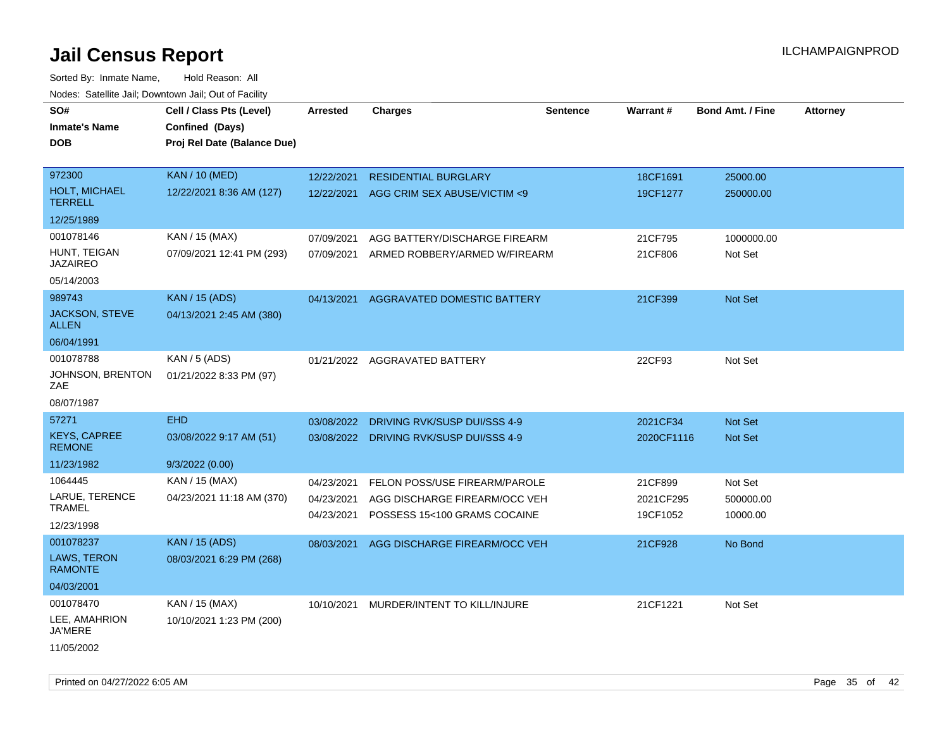| rouce. Calcinic Jan, Downtown Jan, Out or Facility |                             |                 |                                         |                 |            |                         |                 |
|----------------------------------------------------|-----------------------------|-----------------|-----------------------------------------|-----------------|------------|-------------------------|-----------------|
| SO#                                                | Cell / Class Pts (Level)    | <b>Arrested</b> | <b>Charges</b>                          | <b>Sentence</b> | Warrant#   | <b>Bond Amt. / Fine</b> | <b>Attorney</b> |
| Inmate's Name                                      | Confined (Days)             |                 |                                         |                 |            |                         |                 |
| DOB                                                | Proj Rel Date (Balance Due) |                 |                                         |                 |            |                         |                 |
|                                                    |                             |                 |                                         |                 |            |                         |                 |
| 972300                                             | <b>KAN / 10 (MED)</b>       | 12/22/2021      | <b>RESIDENTIAL BURGLARY</b>             |                 | 18CF1691   | 25000.00                |                 |
| <b>HOLT, MICHAEL</b><br><b>TERRELL</b>             | 12/22/2021 8:36 AM (127)    | 12/22/2021      | AGG CRIM SEX ABUSE/VICTIM <9            |                 | 19CF1277   | 250000.00               |                 |
| 12/25/1989                                         |                             |                 |                                         |                 |            |                         |                 |
| 001078146                                          | KAN / 15 (MAX)              | 07/09/2021      | AGG BATTERY/DISCHARGE FIREARM           |                 | 21CF795    | 1000000.00              |                 |
| HUNT, TEIGAN<br><b>JAZAIREO</b>                    | 07/09/2021 12:41 PM (293)   | 07/09/2021      | ARMED ROBBERY/ARMED W/FIREARM           |                 | 21CF806    | Not Set                 |                 |
| 05/14/2003                                         |                             |                 |                                         |                 |            |                         |                 |
| 989743                                             | <b>KAN / 15 (ADS)</b>       | 04/13/2021      | AGGRAVATED DOMESTIC BATTERY             |                 | 21CF399    | Not Set                 |                 |
| <b>JACKSON, STEVE</b><br><b>ALLEN</b>              | 04/13/2021 2:45 AM (380)    |                 |                                         |                 |            |                         |                 |
| 06/04/1991                                         |                             |                 |                                         |                 |            |                         |                 |
| 001078788                                          | KAN / 5 (ADS)               |                 | 01/21/2022 AGGRAVATED BATTERY           |                 | 22CF93     | Not Set                 |                 |
| JOHNSON, BRENTON<br>ZAE                            | 01/21/2022 8:33 PM (97)     |                 |                                         |                 |            |                         |                 |
| 08/07/1987                                         |                             |                 |                                         |                 |            |                         |                 |
| 57271                                              | <b>EHD</b>                  | 03/08/2022      | DRIVING RVK/SUSP DUI/SSS 4-9            |                 | 2021CF34   | Not Set                 |                 |
| <b>KEYS, CAPREE</b><br><b>REMONE</b>               | 03/08/2022 9:17 AM (51)     |                 | 03/08/2022 DRIVING RVK/SUSP DUI/SSS 4-9 |                 | 2020CF1116 | <b>Not Set</b>          |                 |
| 11/23/1982                                         | 9/3/2022(0.00)              |                 |                                         |                 |            |                         |                 |
| 1064445                                            | KAN / 15 (MAX)              | 04/23/2021      | FELON POSS/USE FIREARM/PAROLE           |                 | 21CF899    | Not Set                 |                 |
| LARUE, TERENCE                                     | 04/23/2021 11:18 AM (370)   | 04/23/2021      | AGG DISCHARGE FIREARM/OCC VEH           |                 | 2021CF295  | 500000.00               |                 |
| <b>TRAMEL</b>                                      |                             | 04/23/2021      | POSSESS 15<100 GRAMS COCAINE            |                 | 19CF1052   | 10000.00                |                 |
| 12/23/1998                                         |                             |                 |                                         |                 |            |                         |                 |
| 001078237                                          | <b>KAN / 15 (ADS)</b>       | 08/03/2021      | AGG DISCHARGE FIREARM/OCC VEH           |                 | 21CF928    | No Bond                 |                 |
| <b>LAWS, TERON</b><br><b>RAMONTE</b>               | 08/03/2021 6:29 PM (268)    |                 |                                         |                 |            |                         |                 |
| 04/03/2001                                         |                             |                 |                                         |                 |            |                         |                 |
| 001078470                                          | KAN / 15 (MAX)              |                 | 10/10/2021 MURDER/INTENT TO KILL/INJURE |                 | 21CF1221   | Not Set                 |                 |
| LEE, AMAHRION<br>JA'MERE                           | 10/10/2021 1:23 PM (200)    |                 |                                         |                 |            |                         |                 |
| 11/05/2002                                         |                             |                 |                                         |                 |            |                         |                 |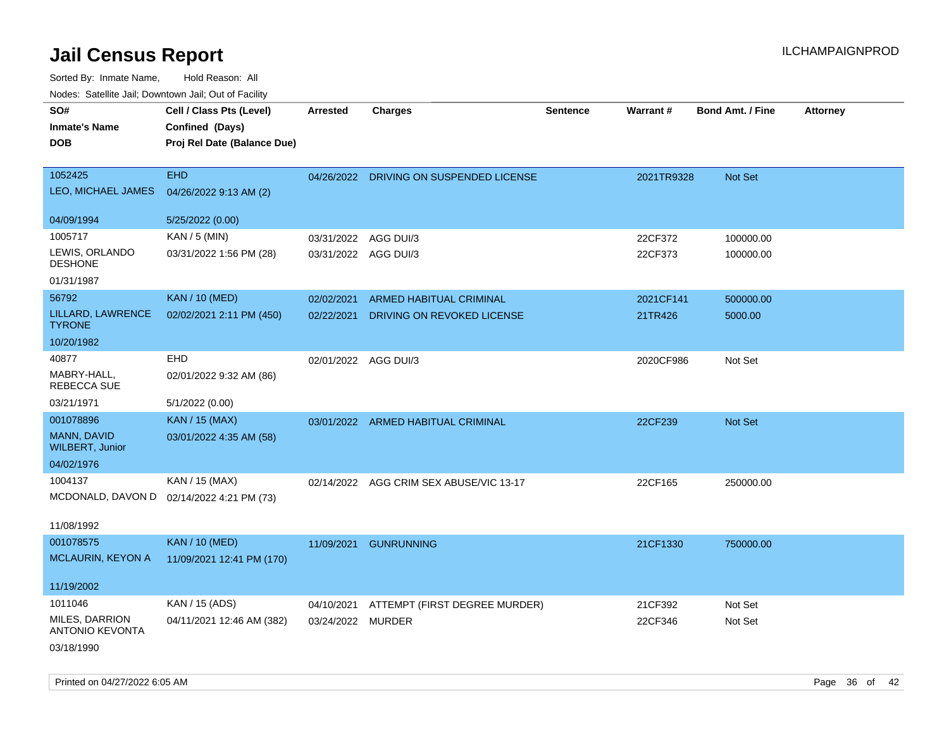| SO#<br><b>Inmate's Name</b><br><b>DOB</b>       | Cell / Class Pts (Level)<br>Confined (Days)<br>Proj Rel Date (Balance Due) | <b>Arrested</b>      | <b>Charges</b>                          | <b>Sentence</b> | <b>Warrant#</b> | <b>Bond Amt. / Fine</b> | <b>Attorney</b> |
|-------------------------------------------------|----------------------------------------------------------------------------|----------------------|-----------------------------------------|-----------------|-----------------|-------------------------|-----------------|
| 1052425<br>LEO, MICHAEL JAMES                   | <b>EHD</b><br>04/26/2022 9:13 AM (2)                                       |                      | 04/26/2022 DRIVING ON SUSPENDED LICENSE |                 | 2021TR9328      | Not Set                 |                 |
| 04/09/1994                                      | 5/25/2022 (0.00)                                                           |                      |                                         |                 |                 |                         |                 |
| 1005717                                         | KAN / 5 (MIN)                                                              | 03/31/2022           | AGG DUI/3                               |                 | 22CF372         | 100000.00               |                 |
| LEWIS, ORLANDO<br><b>DESHONE</b>                | 03/31/2022 1:56 PM (28)                                                    | 03/31/2022 AGG DUI/3 |                                         |                 | 22CF373         | 100000.00               |                 |
| 01/31/1987                                      |                                                                            |                      |                                         |                 |                 |                         |                 |
| 56792                                           | <b>KAN / 10 (MED)</b>                                                      | 02/02/2021           | <b>ARMED HABITUAL CRIMINAL</b>          |                 | 2021CF141       | 500000.00               |                 |
| LILLARD, LAWRENCE<br><b>TYRONE</b>              | 02/02/2021 2:11 PM (450)                                                   | 02/22/2021           | DRIVING ON REVOKED LICENSE              |                 | 21TR426         | 5000.00                 |                 |
| 10/20/1982                                      |                                                                            |                      |                                         |                 |                 |                         |                 |
| 40877                                           | EHD                                                                        | 02/01/2022 AGG DUI/3 |                                         |                 | 2020CF986       | Not Set                 |                 |
| MABRY-HALL,<br>REBECCA SUE                      | 02/01/2022 9:32 AM (86)                                                    |                      |                                         |                 |                 |                         |                 |
| 03/21/1971                                      | 5/1/2022 (0.00)                                                            |                      |                                         |                 |                 |                         |                 |
| 001078896                                       | <b>KAN / 15 (MAX)</b>                                                      |                      | 03/01/2022 ARMED HABITUAL CRIMINAL      |                 | 22CF239         | Not Set                 |                 |
| MANN, DAVID<br><b>WILBERT, Junior</b>           | 03/01/2022 4:35 AM (58)                                                    |                      |                                         |                 |                 |                         |                 |
| 04/02/1976                                      |                                                                            |                      |                                         |                 |                 |                         |                 |
| 1004137                                         | KAN / 15 (MAX)                                                             | 02/14/2022           | AGG CRIM SEX ABUSE/VIC 13-17            |                 | 22CF165         | 250000.00               |                 |
| MCDONALD, DAVON D                               | 02/14/2022 4:21 PM (73)                                                    |                      |                                         |                 |                 |                         |                 |
| 11/08/1992                                      |                                                                            |                      |                                         |                 |                 |                         |                 |
| 001078575                                       | <b>KAN / 10 (MED)</b>                                                      |                      | 11/09/2021 GUNRUNNING                   |                 | 21CF1330        | 750000.00               |                 |
| MCLAURIN, KEYON A                               | 11/09/2021 12:41 PM (170)                                                  |                      |                                         |                 |                 |                         |                 |
| 11/19/2002                                      |                                                                            |                      |                                         |                 |                 |                         |                 |
| 1011046                                         | KAN / 15 (ADS)                                                             | 04/10/2021           | ATTEMPT (FIRST DEGREE MURDER)           |                 | 21CF392         | Not Set                 |                 |
| <b>MILES, DARRION</b><br><b>ANTONIO KEVONTA</b> | 04/11/2021 12:46 AM (382)                                                  | 03/24/2022           | <b>MURDER</b>                           |                 | 22CF346         | Not Set                 |                 |
| 03/18/1990                                      |                                                                            |                      |                                         |                 |                 |                         |                 |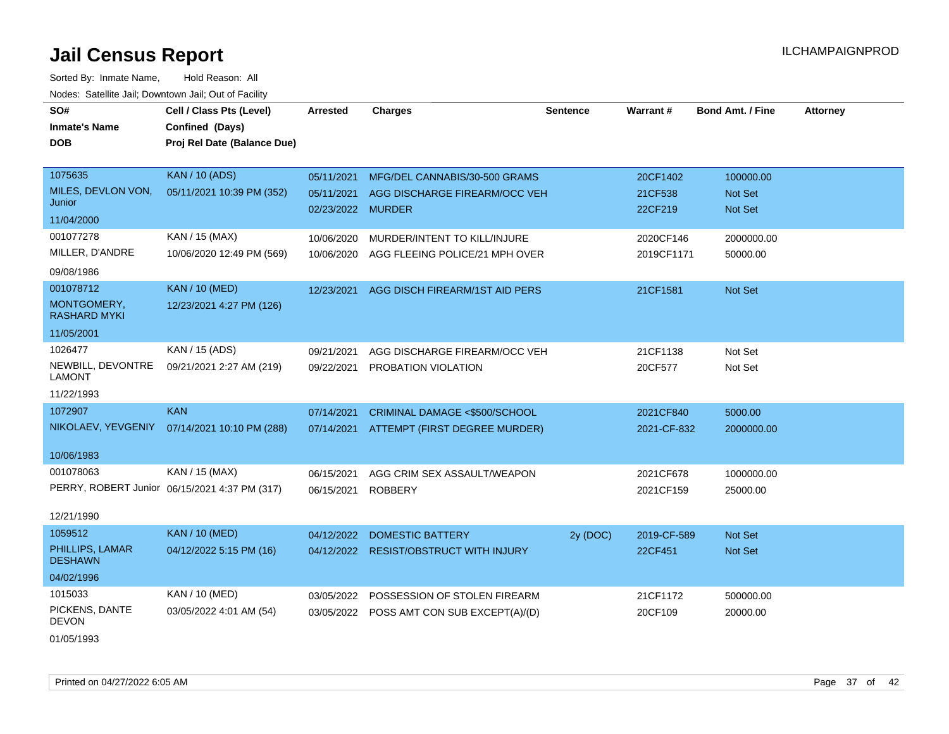Sorted By: Inmate Name, Hold Reason: All Nodes: Satellite Jail; Downtown Jail; Out of Facility

| SO#<br><b>Inmate's Name</b><br><b>DOB</b> | Cell / Class Pts (Level)<br>Confined (Days)<br>Proj Rel Date (Balance Due) | <b>Arrested</b>                 | <b>Charges</b>                            | <b>Sentence</b> | Warrant#           | <b>Bond Amt. / Fine</b>   | <b>Attorney</b> |
|-------------------------------------------|----------------------------------------------------------------------------|---------------------------------|-------------------------------------------|-----------------|--------------------|---------------------------|-----------------|
| 1075635                                   | <b>KAN / 10 (ADS)</b>                                                      | 05/11/2021                      | MFG/DEL CANNABIS/30-500 GRAMS             |                 | 20CF1402           | 100000.00                 |                 |
| MILES, DEVLON VON,<br>Junior              | 05/11/2021 10:39 PM (352)                                                  | 05/11/2021<br>02/23/2022 MURDER | AGG DISCHARGE FIREARM/OCC VEH             |                 | 21CF538<br>22CF219 | Not Set<br><b>Not Set</b> |                 |
| 11/04/2000                                |                                                                            |                                 |                                           |                 |                    |                           |                 |
| 001077278                                 | KAN / 15 (MAX)                                                             | 10/06/2020                      | MURDER/INTENT TO KILL/INJURE              |                 | 2020CF146          | 2000000.00                |                 |
| MILLER, D'ANDRE                           | 10/06/2020 12:49 PM (569)                                                  | 10/06/2020                      | AGG FLEEING POLICE/21 MPH OVER            |                 | 2019CF1171         | 50000.00                  |                 |
| 09/08/1986                                |                                                                            |                                 |                                           |                 |                    |                           |                 |
| 001078712                                 | <b>KAN / 10 (MED)</b>                                                      | 12/23/2021                      | AGG DISCH FIREARM/1ST AID PERS            |                 | 21CF1581           | Not Set                   |                 |
| MONTGOMERY,<br><b>RASHARD MYKI</b>        | 12/23/2021 4:27 PM (126)                                                   |                                 |                                           |                 |                    |                           |                 |
| 11/05/2001                                |                                                                            |                                 |                                           |                 |                    |                           |                 |
| 1026477                                   | KAN / 15 (ADS)                                                             | 09/21/2021                      | AGG DISCHARGE FIREARM/OCC VEH             |                 | 21CF1138           | Not Set                   |                 |
| NEWBILL, DEVONTRE<br><b>LAMONT</b>        | 09/21/2021 2:27 AM (219)                                                   | 09/22/2021                      | PROBATION VIOLATION                       |                 | 20CF577            | Not Set                   |                 |
| 11/22/1993                                |                                                                            |                                 |                                           |                 |                    |                           |                 |
| 1072907                                   | <b>KAN</b>                                                                 | 07/14/2021                      | CRIMINAL DAMAGE <\$500/SCHOOL             |                 | 2021CF840          | 5000.00                   |                 |
|                                           | NIKOLAEV, YEVGENIY 07/14/2021 10:10 PM (288)                               | 07/14/2021                      | ATTEMPT (FIRST DEGREE MURDER)             |                 | 2021-CF-832        | 2000000.00                |                 |
| 10/06/1983                                |                                                                            |                                 |                                           |                 |                    |                           |                 |
| 001078063                                 | KAN / 15 (MAX)                                                             | 06/15/2021                      | AGG CRIM SEX ASSAULT/WEAPON               |                 | 2021CF678          | 1000000.00                |                 |
|                                           | PERRY, ROBERT Junior 06/15/2021 4:37 PM (317)                              | 06/15/2021                      | <b>ROBBERY</b>                            |                 | 2021CF159          | 25000.00                  |                 |
| 12/21/1990                                |                                                                            |                                 |                                           |                 |                    |                           |                 |
| 1059512                                   | <b>KAN / 10 (MED)</b>                                                      | 04/12/2022                      | <b>DOMESTIC BATTERY</b>                   | 2y (DOC)        | 2019-CF-589        | <b>Not Set</b>            |                 |
| PHILLIPS, LAMAR<br><b>DESHAWN</b>         | 04/12/2022 5:15 PM (16)                                                    |                                 | 04/12/2022 RESIST/OBSTRUCT WITH INJURY    |                 | 22CF451            | Not Set                   |                 |
| 04/02/1996                                |                                                                            |                                 |                                           |                 |                    |                           |                 |
| 1015033                                   | KAN / 10 (MED)                                                             | 03/05/2022                      | POSSESSION OF STOLEN FIREARM              |                 | 21CF1172           | 500000.00                 |                 |
| PICKENS, DANTE<br><b>DEVON</b>            | 03/05/2022 4:01 AM (54)                                                    |                                 | 03/05/2022 POSS AMT CON SUB EXCEPT(A)/(D) |                 | 20CF109            | 20000.00                  |                 |

01/05/1993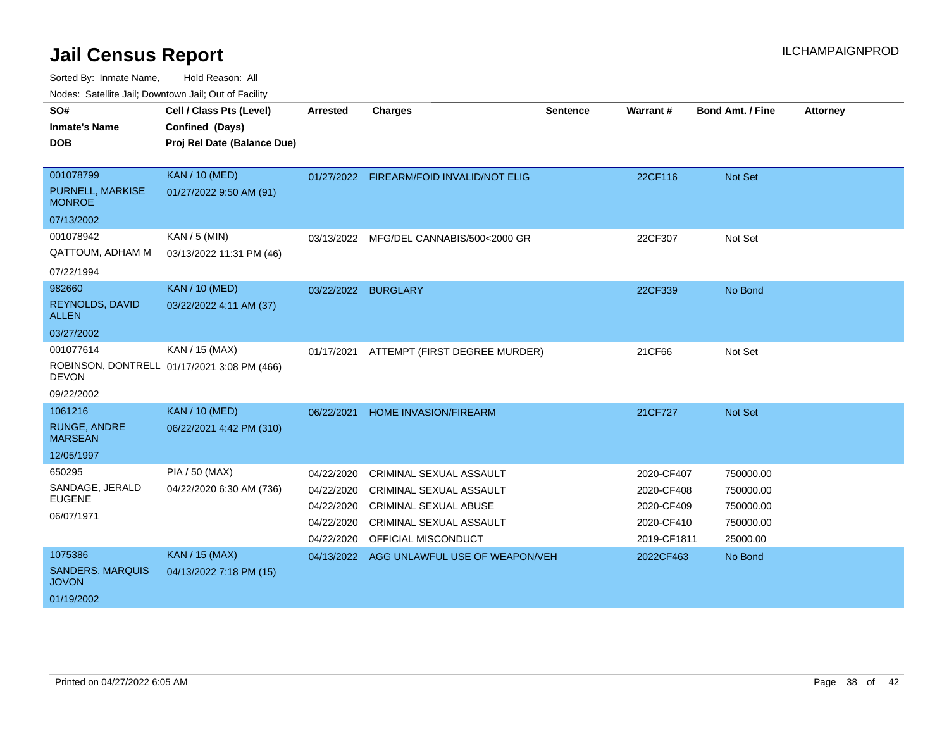Sorted By: Inmate Name, Hold Reason: All

Nodes: Satellite Jail; Downtown Jail; Out of Facility

| SO#                                     | Cell / Class Pts (Level)                    | Arrested   | <b>Charges</b>                            | <b>Sentence</b> | Warrant#    | <b>Bond Amt. / Fine</b> | <b>Attorney</b> |
|-----------------------------------------|---------------------------------------------|------------|-------------------------------------------|-----------------|-------------|-------------------------|-----------------|
| <b>Inmate's Name</b>                    | Confined (Days)                             |            |                                           |                 |             |                         |                 |
| <b>DOB</b>                              | Proj Rel Date (Balance Due)                 |            |                                           |                 |             |                         |                 |
|                                         |                                             |            |                                           |                 |             |                         |                 |
| 001078799                               | <b>KAN / 10 (MED)</b>                       |            | 01/27/2022 FIREARM/FOID INVALID/NOT ELIG  |                 | 22CF116     | Not Set                 |                 |
| PURNELL, MARKISE<br><b>MONROE</b>       | 01/27/2022 9:50 AM (91)                     |            |                                           |                 |             |                         |                 |
| 07/13/2002                              |                                             |            |                                           |                 |             |                         |                 |
| 001078942                               | KAN / 5 (MIN)                               | 03/13/2022 | MFG/DEL CANNABIS/500<2000 GR              |                 | 22CF307     | Not Set                 |                 |
| QATTOUM, ADHAM M                        | 03/13/2022 11:31 PM (46)                    |            |                                           |                 |             |                         |                 |
| 07/22/1994                              |                                             |            |                                           |                 |             |                         |                 |
| 982660                                  | <b>KAN / 10 (MED)</b>                       |            | 03/22/2022 BURGLARY                       |                 | 22CF339     | No Bond                 |                 |
| REYNOLDS, DAVID<br><b>ALLEN</b>         | 03/22/2022 4:11 AM (37)                     |            |                                           |                 |             |                         |                 |
| 03/27/2002                              |                                             |            |                                           |                 |             |                         |                 |
| 001077614                               | KAN / 15 (MAX)                              | 01/17/2021 | ATTEMPT (FIRST DEGREE MURDER)             |                 | 21CF66      | Not Set                 |                 |
| <b>DEVON</b>                            | ROBINSON, DONTRELL 01/17/2021 3:08 PM (466) |            |                                           |                 |             |                         |                 |
| 09/22/2002                              |                                             |            |                                           |                 |             |                         |                 |
| 1061216                                 | <b>KAN / 10 (MED)</b>                       | 06/22/2021 | HOME INVASION/FIREARM                     |                 | 21CF727     | Not Set                 |                 |
| <b>RUNGE, ANDRE</b><br><b>MARSEAN</b>   | 06/22/2021 4:42 PM (310)                    |            |                                           |                 |             |                         |                 |
| 12/05/1997                              |                                             |            |                                           |                 |             |                         |                 |
| 650295                                  | PIA / 50 (MAX)                              | 04/22/2020 | <b>CRIMINAL SEXUAL ASSAULT</b>            |                 | 2020-CF407  | 750000.00               |                 |
| SANDAGE, JERALD                         | 04/22/2020 6:30 AM (736)                    | 04/22/2020 | CRIMINAL SEXUAL ASSAULT                   |                 | 2020-CF408  | 750000.00               |                 |
| <b>EUGENE</b>                           |                                             | 04/22/2020 | <b>CRIMINAL SEXUAL ABUSE</b>              |                 | 2020-CF409  | 750000.00               |                 |
| 06/07/1971                              |                                             | 04/22/2020 | CRIMINAL SEXUAL ASSAULT                   |                 | 2020-CF410  | 750000.00               |                 |
|                                         |                                             | 04/22/2020 | OFFICIAL MISCONDUCT                       |                 | 2019-CF1811 | 25000.00                |                 |
| 1075386                                 | <b>KAN / 15 (MAX)</b>                       |            | 04/13/2022 AGG UNLAWFUL USE OF WEAPON/VEH |                 | 2022CF463   | No Bond                 |                 |
| <b>SANDERS, MARQUIS</b><br><b>JOVON</b> | 04/13/2022 7:18 PM (15)                     |            |                                           |                 |             |                         |                 |
| 01/19/2002                              |                                             |            |                                           |                 |             |                         |                 |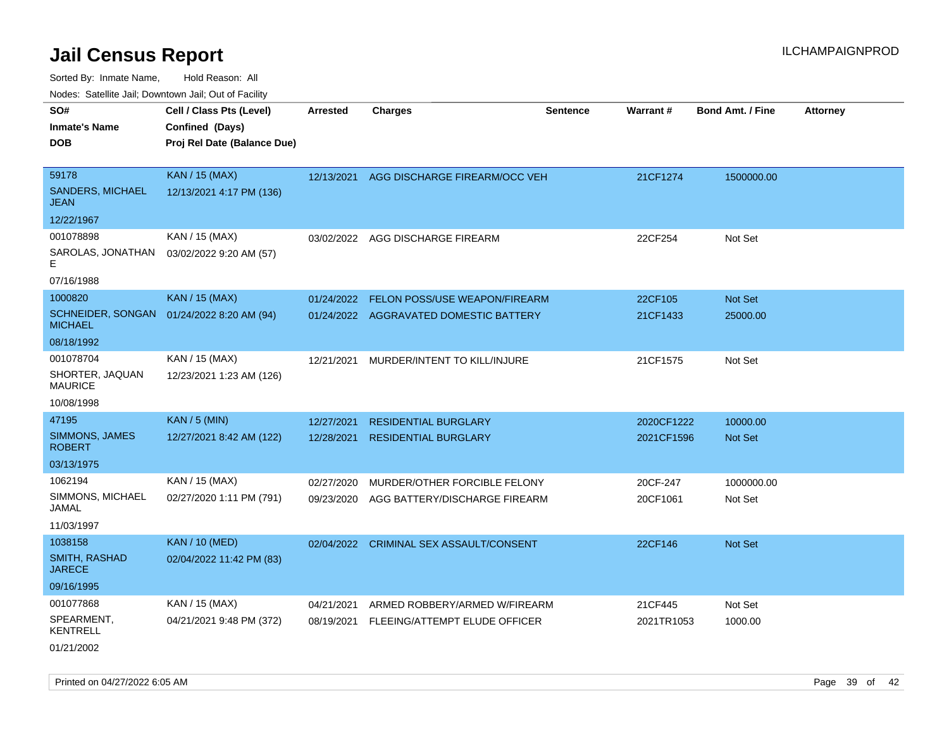Sorted By: Inmate Name, Hold Reason: All

| Nodes: Satellite Jail; Downtown Jail; Out of Facility |                             |                 |                                        |                 |                 |                  |                 |  |
|-------------------------------------------------------|-----------------------------|-----------------|----------------------------------------|-----------------|-----------------|------------------|-----------------|--|
| SO#                                                   | Cell / Class Pts (Level)    | <b>Arrested</b> | <b>Charges</b>                         | <b>Sentence</b> | <b>Warrant#</b> | Bond Amt. / Fine | <b>Attorney</b> |  |
| <b>Inmate's Name</b>                                  | Confined (Days)             |                 |                                        |                 |                 |                  |                 |  |
| <b>DOB</b>                                            | Proj Rel Date (Balance Due) |                 |                                        |                 |                 |                  |                 |  |
|                                                       |                             |                 |                                        |                 |                 |                  |                 |  |
| 59178                                                 | <b>KAN / 15 (MAX)</b>       | 12/13/2021      | AGG DISCHARGE FIREARM/OCC VEH          |                 | 21CF1274        | 1500000.00       |                 |  |
| <b>SANDERS, MICHAEL</b><br><b>JEAN</b>                | 12/13/2021 4:17 PM (136)    |                 |                                        |                 |                 |                  |                 |  |
| 12/22/1967                                            |                             |                 |                                        |                 |                 |                  |                 |  |
| 001078898                                             | KAN / 15 (MAX)              | 03/02/2022      | AGG DISCHARGE FIREARM                  |                 | 22CF254         | Not Set          |                 |  |
| SAROLAS, JONATHAN<br>F                                | 03/02/2022 9:20 AM (57)     |                 |                                        |                 |                 |                  |                 |  |
| 07/16/1988                                            |                             |                 |                                        |                 |                 |                  |                 |  |
| 1000820                                               | <b>KAN / 15 (MAX)</b>       | 01/24/2022      | FELON POSS/USE WEAPON/FIREARM          |                 | 22CF105         | Not Set          |                 |  |
| <b>SCHNEIDER, SONGAN</b><br><b>MICHAEL</b>            | 01/24/2022 8:20 AM (94)     |                 | 01/24/2022 AGGRAVATED DOMESTIC BATTERY |                 | 21CF1433        | 25000.00         |                 |  |
| 08/18/1992                                            |                             |                 |                                        |                 |                 |                  |                 |  |
| 001078704                                             | KAN / 15 (MAX)              | 12/21/2021      | MURDER/INTENT TO KILL/INJURE           |                 | 21CF1575        | Not Set          |                 |  |
| SHORTER, JAQUAN<br><b>MAURICE</b>                     | 12/23/2021 1:23 AM (126)    |                 |                                        |                 |                 |                  |                 |  |
| 10/08/1998                                            |                             |                 |                                        |                 |                 |                  |                 |  |
| 47195                                                 | <b>KAN / 5 (MIN)</b>        | 12/27/2021      | <b>RESIDENTIAL BURGLARY</b>            |                 | 2020CF1222      | 10000.00         |                 |  |
| SIMMONS, JAMES<br><b>ROBERT</b>                       | 12/27/2021 8:42 AM (122)    | 12/28/2021      | <b>RESIDENTIAL BURGLARY</b>            |                 | 2021CF1596      | Not Set          |                 |  |
| 03/13/1975                                            |                             |                 |                                        |                 |                 |                  |                 |  |
| 1062194                                               | KAN / 15 (MAX)              | 02/27/2020      | MURDER/OTHER FORCIBLE FELONY           |                 | 20CF-247        | 1000000.00       |                 |  |
| SIMMONS, MICHAEL<br>JAMAL                             | 02/27/2020 1:11 PM (791)    | 09/23/2020      | AGG BATTERY/DISCHARGE FIREARM          |                 | 20CF1061        | Not Set          |                 |  |
| 11/03/1997                                            |                             |                 |                                        |                 |                 |                  |                 |  |
| 1038158                                               | <b>KAN / 10 (MED)</b>       | 02/04/2022      | CRIMINAL SEX ASSAULT/CONSENT           |                 | 22CF146         | Not Set          |                 |  |
| SMITH, RASHAD<br><b>JARECE</b>                        | 02/04/2022 11:42 PM (83)    |                 |                                        |                 |                 |                  |                 |  |
| 09/16/1995                                            |                             |                 |                                        |                 |                 |                  |                 |  |
| 001077868                                             | KAN / 15 (MAX)              | 04/21/2021      | ARMED ROBBERY/ARMED W/FIREARM          |                 | 21CF445         | Not Set          |                 |  |
| SPEARMENT,<br><b>KENTRELL</b>                         | 04/21/2021 9:48 PM (372)    | 08/19/2021      | FLEEING/ATTEMPT ELUDE OFFICER          |                 | 2021TR1053      | 1000.00          |                 |  |
| 01/21/2002                                            |                             |                 |                                        |                 |                 |                  |                 |  |

Printed on 04/27/2022 6:05 AM Page 39 of 42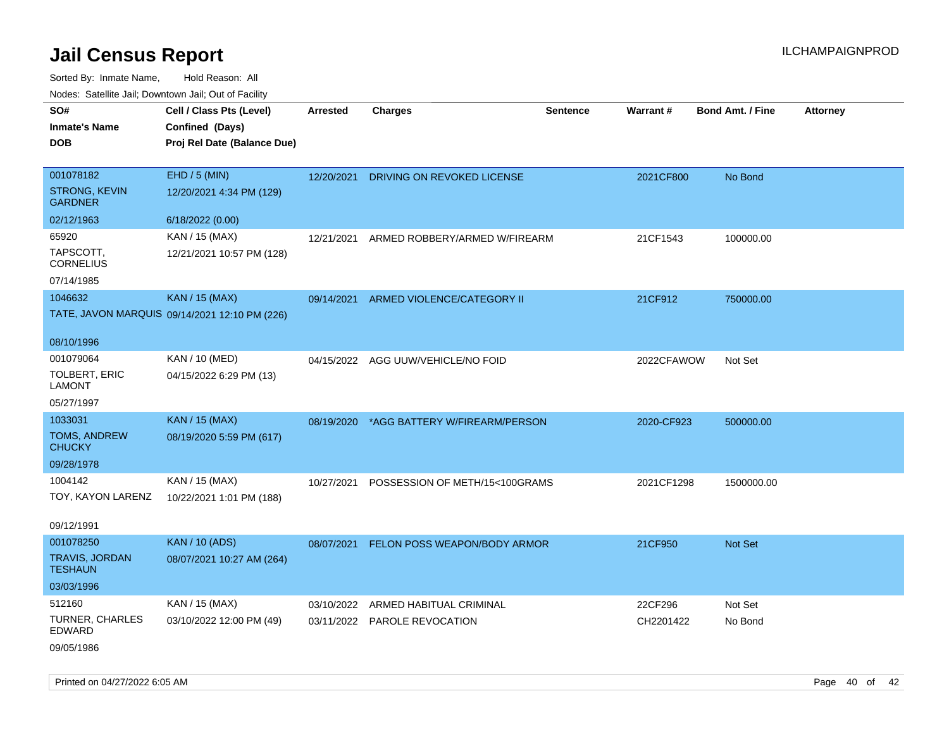Sorted By: Inmate Name, Hold Reason: All Nodes: Satellite Jail; Downtown Jail; Out of Facility

| soupois catomic can, Dominomii can, Cat or Faomt |                                                                            |                 |                                    |                 |            |                         |                 |
|--------------------------------------------------|----------------------------------------------------------------------------|-----------------|------------------------------------|-----------------|------------|-------------------------|-----------------|
| SO#<br><b>Inmate's Name</b><br><b>DOB</b>        | Cell / Class Pts (Level)<br>Confined (Days)<br>Proj Rel Date (Balance Due) | <b>Arrested</b> | <b>Charges</b>                     | <b>Sentence</b> | Warrant#   | <b>Bond Amt. / Fine</b> | <b>Attorney</b> |
| 001078182                                        | EHD / 5 (MIN)                                                              | 12/20/2021      | DRIVING ON REVOKED LICENSE         |                 | 2021CF800  | No Bond                 |                 |
| STRONG, KEVIN<br><b>GARDNER</b>                  | 12/20/2021 4:34 PM (129)                                                   |                 |                                    |                 |            |                         |                 |
| 02/12/1963                                       | 6/18/2022 (0.00)                                                           |                 |                                    |                 |            |                         |                 |
| 65920                                            | KAN / 15 (MAX)                                                             | 12/21/2021      | ARMED ROBBERY/ARMED W/FIREARM      |                 | 21CF1543   | 100000.00               |                 |
| TAPSCOTT,<br><b>CORNELIUS</b>                    | 12/21/2021 10:57 PM (128)                                                  |                 |                                    |                 |            |                         |                 |
| 07/14/1985                                       |                                                                            |                 |                                    |                 |            |                         |                 |
| 1046632                                          | <b>KAN / 15 (MAX)</b>                                                      | 09/14/2021      | ARMED VIOLENCE/CATEGORY II         |                 | 21CF912    | 750000.00               |                 |
|                                                  | TATE, JAVON MARQUIS 09/14/2021 12:10 PM (226)                              |                 |                                    |                 |            |                         |                 |
|                                                  |                                                                            |                 |                                    |                 |            |                         |                 |
| 08/10/1996                                       |                                                                            |                 |                                    |                 |            |                         |                 |
| 001079064                                        | KAN / 10 (MED)                                                             |                 | 04/15/2022 AGG UUW/VEHICLE/NO FOID |                 | 2022CFAWOW | Not Set                 |                 |
| TOLBERT, ERIC<br><b>LAMONT</b>                   | 04/15/2022 6:29 PM (13)                                                    |                 |                                    |                 |            |                         |                 |
| 05/27/1997                                       |                                                                            |                 |                                    |                 |            |                         |                 |
| 1033031                                          | <b>KAN / 15 (MAX)</b>                                                      | 08/19/2020      | *AGG BATTERY W/FIREARM/PERSON      |                 | 2020-CF923 | 500000.00               |                 |
| <b>TOMS, ANDREW</b><br><b>CHUCKY</b>             | 08/19/2020 5:59 PM (617)                                                   |                 |                                    |                 |            |                         |                 |
| 09/28/1978                                       |                                                                            |                 |                                    |                 |            |                         |                 |
| 1004142                                          | KAN / 15 (MAX)                                                             | 10/27/2021      | POSSESSION OF METH/15<100GRAMS     |                 | 2021CF1298 | 1500000.00              |                 |
| TOY, KAYON LARENZ                                | 10/22/2021 1:01 PM (188)                                                   |                 |                                    |                 |            |                         |                 |
| 09/12/1991                                       |                                                                            |                 |                                    |                 |            |                         |                 |
| 001078250                                        | <b>KAN / 10 (ADS)</b>                                                      | 08/07/2021      | FELON POSS WEAPON/BODY ARMOR       |                 | 21CF950    | <b>Not Set</b>          |                 |
| <b>TRAVIS, JORDAN</b><br><b>TESHAUN</b>          | 08/07/2021 10:27 AM (264)                                                  |                 |                                    |                 |            |                         |                 |
| 03/03/1996                                       |                                                                            |                 |                                    |                 |            |                         |                 |
| 512160                                           | KAN / 15 (MAX)                                                             | 03/10/2022      | ARMED HABITUAL CRIMINAL            |                 | 22CF296    | Not Set                 |                 |
| <b>TURNER, CHARLES</b><br><b>EDWARD</b>          | 03/10/2022 12:00 PM (49)                                                   |                 | 03/11/2022 PAROLE REVOCATION       |                 | CH2201422  | No Bond                 |                 |
| 09/05/1986                                       |                                                                            |                 |                                    |                 |            |                         |                 |

Printed on 04/27/2022 6:05 AM **Page 40** of 42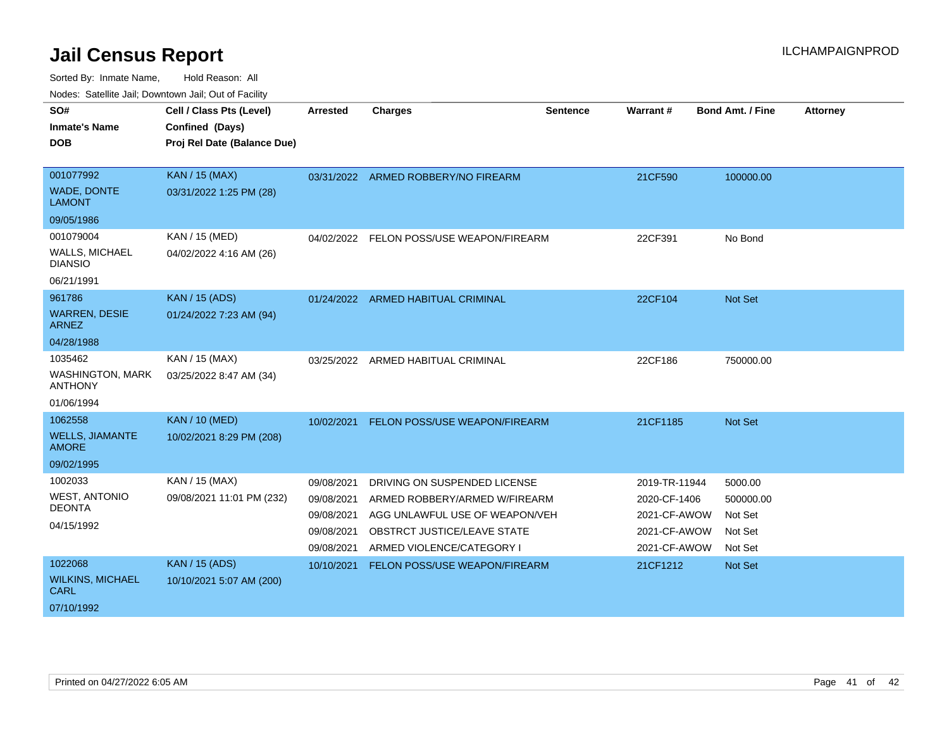| SO#                                       | Cell / Class Pts (Level)                       | Arrested                 | <b>Charges</b>                                                  | <b>Sentence</b> | Warrant#                     | <b>Bond Amt. / Fine</b> | <b>Attorney</b> |
|-------------------------------------------|------------------------------------------------|--------------------------|-----------------------------------------------------------------|-----------------|------------------------------|-------------------------|-----------------|
| <b>Inmate's Name</b><br><b>DOB</b>        | Confined (Days)<br>Proj Rel Date (Balance Due) |                          |                                                                 |                 |                              |                         |                 |
| 001077992                                 | KAN / 15 (MAX)                                 |                          | 03/31/2022 ARMED ROBBERY/NO FIREARM                             |                 | 21CF590                      | 100000.00               |                 |
| WADE, DONTE<br><b>LAMONT</b>              | 03/31/2022 1:25 PM (28)                        |                          |                                                                 |                 |                              |                         |                 |
| 09/05/1986                                |                                                |                          |                                                                 |                 |                              |                         |                 |
| 001079004                                 | KAN / 15 (MED)                                 |                          | 04/02/2022 FELON POSS/USE WEAPON/FIREARM                        |                 | 22CF391                      | No Bond                 |                 |
| <b>WALLS, MICHAEL</b><br><b>DIANSIO</b>   | 04/02/2022 4:16 AM (26)                        |                          |                                                                 |                 |                              |                         |                 |
| 06/21/1991                                |                                                |                          |                                                                 |                 |                              |                         |                 |
| 961786                                    | <b>KAN / 15 (ADS)</b>                          |                          | 01/24/2022 ARMED HABITUAL CRIMINAL                              |                 | 22CF104                      | <b>Not Set</b>          |                 |
| <b>WARREN, DESIE</b><br><b>ARNEZ</b>      | 01/24/2022 7:23 AM (94)                        |                          |                                                                 |                 |                              |                         |                 |
| 04/28/1988                                |                                                |                          |                                                                 |                 |                              |                         |                 |
| 1035462                                   | KAN / 15 (MAX)                                 | 03/25/2022               | ARMED HABITUAL CRIMINAL                                         |                 | 22CF186                      | 750000.00               |                 |
| <b>WASHINGTON, MARK</b><br><b>ANTHONY</b> | 03/25/2022 8:47 AM (34)                        |                          |                                                                 |                 |                              |                         |                 |
| 01/06/1994                                |                                                |                          |                                                                 |                 |                              |                         |                 |
| 1062558                                   | <b>KAN / 10 (MED)</b>                          | 10/02/2021               | FELON POSS/USE WEAPON/FIREARM                                   |                 | 21CF1185                     | Not Set                 |                 |
| <b>WELLS, JIAMANTE</b><br><b>AMORE</b>    | 10/02/2021 8:29 PM (208)                       |                          |                                                                 |                 |                              |                         |                 |
| 09/02/1995                                |                                                |                          |                                                                 |                 |                              |                         |                 |
| 1002033                                   | KAN / 15 (MAX)                                 | 09/08/2021               | DRIVING ON SUSPENDED LICENSE                                    |                 | 2019-TR-11944                | 5000.00                 |                 |
| <b>WEST, ANTONIO</b><br><b>DEONTA</b>     | 09/08/2021 11:01 PM (232)                      | 09/08/2021<br>09/08/2021 | ARMED ROBBERY/ARMED W/FIREARM<br>AGG UNLAWFUL USE OF WEAPON/VEH |                 | 2020-CF-1406<br>2021-CF-AWOW | 500000.00<br>Not Set    |                 |
| 04/15/1992                                |                                                | 09/08/2021               | OBSTRCT JUSTICE/LEAVE STATE                                     |                 | 2021-CF-AWOW                 | Not Set                 |                 |
|                                           |                                                | 09/08/2021               | ARMED VIOLENCE/CATEGORY I                                       |                 | 2021-CF-AWOW                 | Not Set                 |                 |
| 1022068                                   | <b>KAN / 15 (ADS)</b>                          | 10/10/2021               | FELON POSS/USE WEAPON/FIREARM                                   |                 | 21CF1212                     | Not Set                 |                 |
| <b>WILKINS, MICHAEL</b><br><b>CARL</b>    | 10/10/2021 5:07 AM (200)                       |                          |                                                                 |                 |                              |                         |                 |
| 07/10/1992                                |                                                |                          |                                                                 |                 |                              |                         |                 |